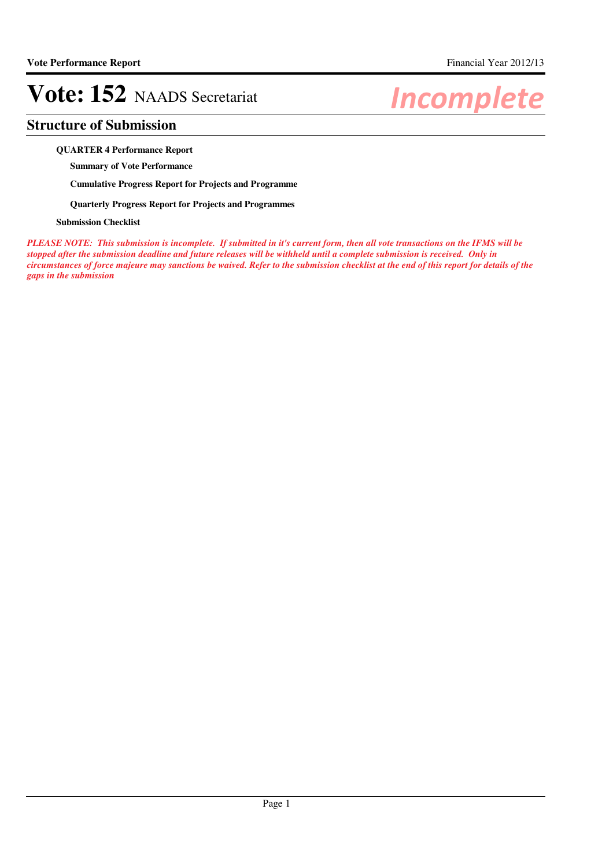## **Structure of Submission**

### **QUARTER 4 Performance Report**

**Summary of Vote Performance**

**Cumulative Progress Report for Projects and Programme**

**Quarterly Progress Report for Projects and Programmes**

### **Submission Checklist**

*PLEASE NOTE: This submission is incomplete. If submitted in it's current form, then all vote transactions on the IFMS will be stopped after the submission deadline and future releases will be withheld until a complete submission is received. Only in circumstances of force majeure may sanctions be waived. Refer to the submission checklist at the end of this report for details of the gaps in the submission*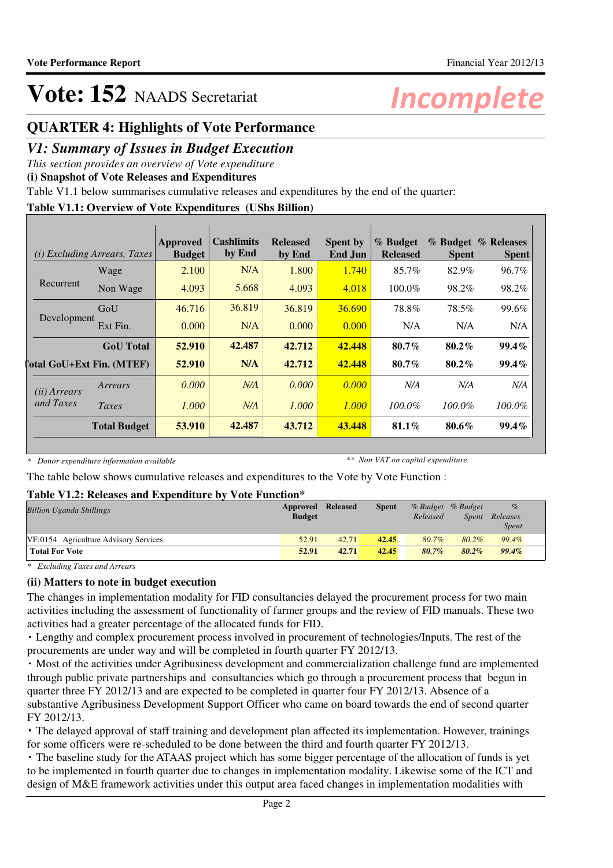## **QUARTER 4: Highlights of Vote Performance**

## *V1: Summary of Issues in Budget Execution*

*This section provides an overview of Vote expenditure*

**(i) Snapshot of Vote Releases and Expenditures**

Table V1.1 below summarises cumulative releases and expenditures by the end of the quarter:

## **Table V1.1: Overview of Vote Expenditures (UShs Billion)**

|                       | <i>(i)</i> Excluding Arrears, Taxes | Approved<br><b>Budget</b> | Cashlimits<br>by End | <b>Released</b><br>by End | <b>Spent by</b><br>End Jun | % Budget<br><b>Released</b> | <b>Spent</b> | % Budget % Releases<br><b>Spent</b> |
|-----------------------|-------------------------------------|---------------------------|----------------------|---------------------------|----------------------------|-----------------------------|--------------|-------------------------------------|
|                       | Wage                                | 2.100                     | N/A                  | 1.800                     | 1.740                      | 85.7%                       | 82.9%        | 96.7%                               |
| Recurrent             | Non Wage                            | 4.093                     | 5.668                | 4.093                     | 4.018                      | 100.0%                      | 98.2%        | 98.2%                               |
|                       | GoU                                 | 46.716                    | 36.819               | 36.819                    | 36.690                     | 78.8%                       | 78.5%        | 99.6%                               |
| Development           | Ext Fin.                            | 0.000                     | N/A                  | 0.000                     | 0.000                      | N/A                         | N/A          | N/A                                 |
|                       | <b>GoU</b> Total                    | 52.910                    | 42.487               | 42.712                    | 42.448                     | $80.7\%$                    | $80.2\%$     | $99.4\%$                            |
|                       | <b>Total GoU+Ext Fin. (MTEF)</b>    | 52.910                    | N/A                  | 42.712                    | 42.448                     | $80.7\%$                    | $80.2\%$     | $99.4\%$                            |
| ( <i>ii</i> ) Arrears | Arrears                             | 0.000                     | N/A                  | 0.000                     | 0.000                      | N/A                         | N/A          | N/A                                 |
| and Taxes             | Taxes                               | 1.000                     | N/A                  | 1.000                     | 1.000                      | 100.0%                      | $100.0\%$    | $100.0\%$                           |
|                       | <b>Total Budget</b>                 | 53.910                    | 42.487               | 43.712                    | 43.448                     | $81.1\%$                    | 80.6%        | $99.4\%$                            |

*\* Donor expenditure information available*

*\*\* Non VAT on capital expenditure*

The table below shows cumulative releases and expenditures to the Vote by Vote Function :

## **Table V1.2: Releases and Expenditure by Vote Function\***

|               |       | <b>Spent</b> |                   |          | $\%$              |  |
|---------------|-------|--------------|-------------------|----------|-------------------|--|
| <b>Budget</b> |       |              | Released          | Spent    | Releases          |  |
|               |       |              |                   |          | <i>Spent</i>      |  |
| 52.91         | 42.71 | 42.45        | 80.7%             | 80.2%    | 99.4%             |  |
| 52.91         | 42.71 | 42.45        | $80.7\%$          | $80.2\%$ | $99.4\%$          |  |
|               |       |              | Approved Released |          | % Budget % Budget |  |

*\* Excluding Taxes and Arrears*

## **(ii) Matters to note in budget execution**

The changes in implementation modality for FID consultancies delayed the procurement process for two main activities including the assessment of functionality of farmer groups and the review of FID manuals. These two activities had a greater percentage of the allocated funds for FID.

 Lengthy and complex procurement process involved in procurement of technologies/Inputs. The rest of the procurements are under way and will be completed in fourth quarter FY 2012/13.

 Most of the activities under Agribusiness development and commercialization challenge fund are implemented through public private partnerships and consultancies which go through a procurement process that begun in quarter three FY 2012/13 and are expected to be completed in quarter four FY 2012/13. Absence of a substantive Agribusiness Development Support Officer who came on board towards the end of second quarter FY 2012/13.

 The delayed approval of staff training and development plan affected its implementation. However, trainings for some officers were re-scheduled to be done between the third and fourth quarter FY 2012/13.

 The baseline study for the ATAAS project which has some bigger percentage of the allocation of funds is yet to be implemented in fourth quarter due to changes in implementation modality. Likewise some of the ICT and design of M&E framework activities under this output area faced changes in implementation modalities with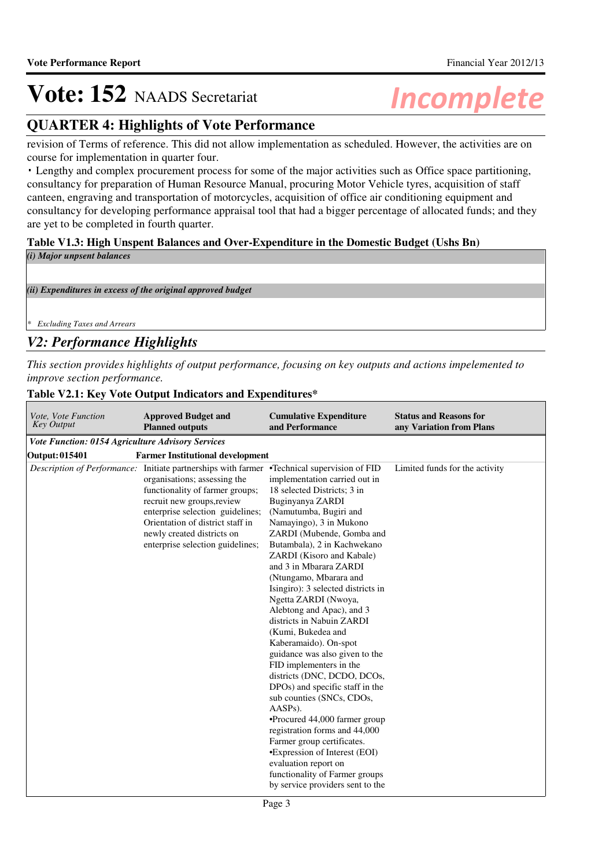## **QUARTER 4: Highlights of Vote Performance**

revision of Terms of reference. This did not allow implementation as scheduled. However, the activities are on course for implementation in quarter four.

 Lengthy and complex procurement process for some of the major activities such as Office space partitioning, consultancy for preparation of Human Resource Manual, procuring Motor Vehicle tyres, acquisition of staff canteen, engraving and transportation of motorcycles, acquisition of office air conditioning equipment and consultancy for developing performance appraisal tool that had a bigger percentage of allocated funds; and they are yet to be completed in fourth quarter.

## **Table V1.3: High Unspent Balances and Over-Expenditure in the Domestic Budget (Ushs Bn)**

*(i) Major unpsent balances*

*(ii) Expenditures in excess of the original approved budget*

*\* Excluding Taxes and Arrears*

## *V2: Performance Highlights*

*This section provides highlights of output performance, focusing on key outputs and actions impelemented to improve section performance.*

### **Table V2.1: Key Vote Output Indicators and Expenditures\***

| Vote, Vote Function<br><b>Key Output</b>          | <b>Approved Budget and</b><br><b>Planned outputs</b>                                                                                                                                                                                                                                                       | <b>Cumulative Expenditure</b><br>and Performance                                                                                                                                                                                                                                                                                                                                                                                                                                                                                                                                                                                                                                                                                                                                                                                                                   | <b>Status and Reasons for</b><br>any Variation from Plans |
|---------------------------------------------------|------------------------------------------------------------------------------------------------------------------------------------------------------------------------------------------------------------------------------------------------------------------------------------------------------------|--------------------------------------------------------------------------------------------------------------------------------------------------------------------------------------------------------------------------------------------------------------------------------------------------------------------------------------------------------------------------------------------------------------------------------------------------------------------------------------------------------------------------------------------------------------------------------------------------------------------------------------------------------------------------------------------------------------------------------------------------------------------------------------------------------------------------------------------------------------------|-----------------------------------------------------------|
| Vote Function: 0154 Agriculture Advisory Services |                                                                                                                                                                                                                                                                                                            |                                                                                                                                                                                                                                                                                                                                                                                                                                                                                                                                                                                                                                                                                                                                                                                                                                                                    |                                                           |
| Output: 015401                                    | <b>Farmer Institutional development</b>                                                                                                                                                                                                                                                                    |                                                                                                                                                                                                                                                                                                                                                                                                                                                                                                                                                                                                                                                                                                                                                                                                                                                                    |                                                           |
| Description of Performance:                       | Initiate partnerships with farmer •Technical supervision of FID<br>organisations; assessing the<br>functionality of farmer groups;<br>recruit new groups, review<br>enterprise selection guidelines;<br>Orientation of district staff in<br>newly created districts on<br>enterprise selection guidelines; | implementation carried out in<br>18 selected Districts; 3 in<br>Buginyanya ZARDI<br>(Namutumba, Bugiri and<br>Namayingo), 3 in Mukono<br>ZARDI (Mubende, Gomba and<br>Butambala), 2 in Kachwekano<br>ZARDI (Kisoro and Kabale)<br>and 3 in Mbarara ZARDI<br>(Ntungamo, Mbarara and<br>Isingiro): 3 selected districts in<br>Ngetta ZARDI (Nwoya,<br>Alebtong and Apac), and 3<br>districts in Nabuin ZARDI<br>(Kumi, Bukedea and<br>Kaberamaido). On-spot<br>guidance was also given to the<br>FID implementers in the<br>districts (DNC, DCDO, DCOs,<br>DPOs) and specific staff in the<br>sub counties (SNCs, CDOs,<br>$AASPs$ ).<br>•Procured 44,000 farmer group<br>registration forms and 44,000<br>Farmer group certificates.<br>•Expression of Interest (EOI)<br>evaluation report on<br>functionality of Farmer groups<br>by service providers sent to the | Limited funds for the activity                            |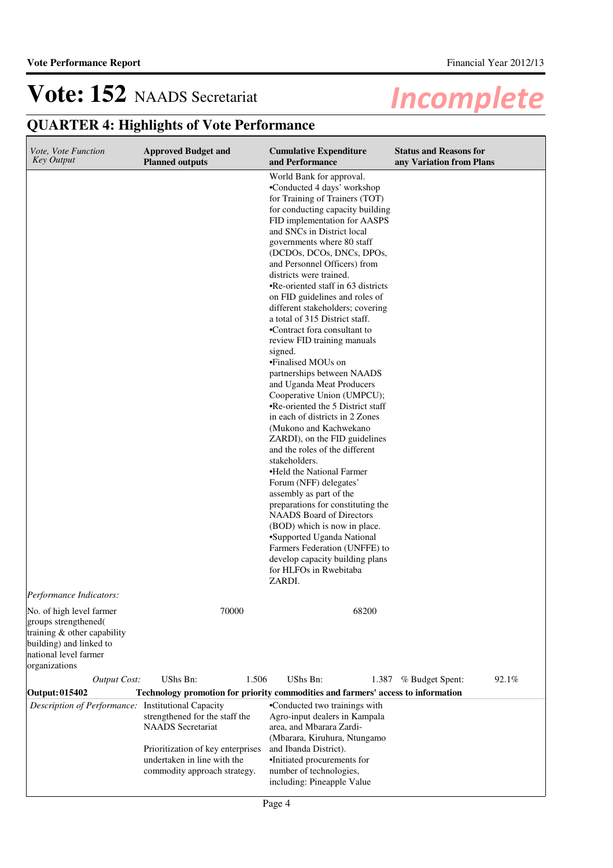| Vote, Vote Function<br><b>Key Output</b>                                                                                                             | <b>Approved Budget and</b><br><b>Planned outputs</b>                                                                           | <b>Cumulative Expenditure</b><br>and Performance                                                                                                                                                                                                                                                                                                                                                                                                                                                                                                                                                                                                                                                                                                                                                                                                                                                                                                                                                                                                                                                                                                                               | <b>Status and Reasons for</b><br>any Variation from Plans |
|------------------------------------------------------------------------------------------------------------------------------------------------------|--------------------------------------------------------------------------------------------------------------------------------|--------------------------------------------------------------------------------------------------------------------------------------------------------------------------------------------------------------------------------------------------------------------------------------------------------------------------------------------------------------------------------------------------------------------------------------------------------------------------------------------------------------------------------------------------------------------------------------------------------------------------------------------------------------------------------------------------------------------------------------------------------------------------------------------------------------------------------------------------------------------------------------------------------------------------------------------------------------------------------------------------------------------------------------------------------------------------------------------------------------------------------------------------------------------------------|-----------------------------------------------------------|
|                                                                                                                                                      |                                                                                                                                | World Bank for approval.<br>•Conducted 4 days' workshop<br>for Training of Trainers (TOT)<br>for conducting capacity building<br>FID implementation for AASPS<br>and SNCs in District local<br>governments where 80 staff<br>(DCDOs, DCOs, DNCs, DPOs,<br>and Personnel Officers) from<br>districts were trained.<br>•Re-oriented staff in 63 districts<br>on FID guidelines and roles of<br>different stakeholders; covering<br>a total of 315 District staff.<br>•Contract fora consultant to<br>review FID training manuals<br>signed.<br>•Finalised MOUs on<br>partnerships between NAADS<br>and Uganda Meat Producers<br>Cooperative Union (UMPCU);<br>•Re-oriented the 5 District staff<br>in each of districts in 2 Zones<br>(Mukono and Kachwekano<br>ZARDI), on the FID guidelines<br>and the roles of the different<br>stakeholders.<br>•Held the National Farmer<br>Forum (NFF) delegates'<br>assembly as part of the<br>preparations for constituting the<br><b>NAADS</b> Board of Directors<br>(BOD) which is now in place.<br>•Supported Uganda National<br>Farmers Federation (UNFFE) to<br>develop capacity building plans<br>for HLFOs in Rwebitaba<br>ZARDI. |                                                           |
| Performance Indicators:                                                                                                                              |                                                                                                                                |                                                                                                                                                                                                                                                                                                                                                                                                                                                                                                                                                                                                                                                                                                                                                                                                                                                                                                                                                                                                                                                                                                                                                                                |                                                           |
| No. of high level farmer<br>groups strengthened(<br>training & other capability<br>building) and linked to<br>national level farmer<br>organizations | 70000                                                                                                                          | 68200                                                                                                                                                                                                                                                                                                                                                                                                                                                                                                                                                                                                                                                                                                                                                                                                                                                                                                                                                                                                                                                                                                                                                                          |                                                           |
| <b>Output Cost:</b>                                                                                                                                  | UShs Bn:<br>1.506                                                                                                              | UShs Bn:<br>1.387                                                                                                                                                                                                                                                                                                                                                                                                                                                                                                                                                                                                                                                                                                                                                                                                                                                                                                                                                                                                                                                                                                                                                              | 92.1%<br>% Budget Spent:                                  |
| Output: 015402                                                                                                                                       | Technology promotion for priority commodities and farmers' access to information                                               |                                                                                                                                                                                                                                                                                                                                                                                                                                                                                                                                                                                                                                                                                                                                                                                                                                                                                                                                                                                                                                                                                                                                                                                |                                                           |
| Description of Performance: Institutional Capacity                                                                                                   | strengthened for the staff the<br><b>NAADS</b> Secretariat<br>Prioritization of key enterprises<br>undertaken in line with the | •Conducted two trainings with<br>Agro-input dealers in Kampala<br>area, and Mbarara Zardi-<br>(Mbarara, Kiruhura, Ntungamo<br>and Ibanda District).<br>·Initiated procurements for                                                                                                                                                                                                                                                                                                                                                                                                                                                                                                                                                                                                                                                                                                                                                                                                                                                                                                                                                                                             |                                                           |
|                                                                                                                                                      | commodity approach strategy.                                                                                                   | number of technologies,<br>including: Pineapple Value                                                                                                                                                                                                                                                                                                                                                                                                                                                                                                                                                                                                                                                                                                                                                                                                                                                                                                                                                                                                                                                                                                                          |                                                           |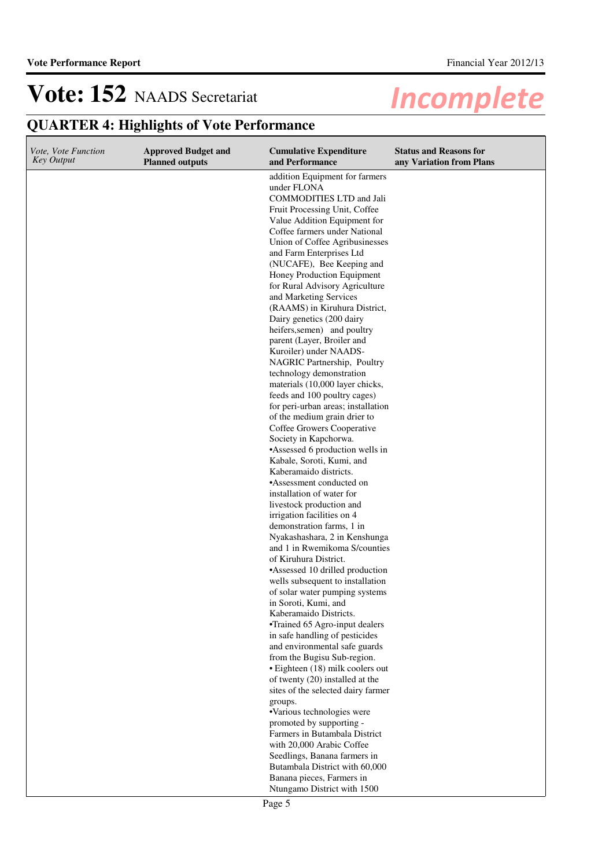| <i>Vote, Vote Function</i><br><b>Key Output</b> | <b>Approved Budget and</b> | <b>Cumulative Expenditure</b><br>and Performance                                                                                                                                                                                                                                                                                                                                                                                                                                                                                                                                                                                                                                                                                                                                                                                                                                                                                                                                                                                                                                                                                                                | <b>Status and Reasons for</b> |
|-------------------------------------------------|----------------------------|-----------------------------------------------------------------------------------------------------------------------------------------------------------------------------------------------------------------------------------------------------------------------------------------------------------------------------------------------------------------------------------------------------------------------------------------------------------------------------------------------------------------------------------------------------------------------------------------------------------------------------------------------------------------------------------------------------------------------------------------------------------------------------------------------------------------------------------------------------------------------------------------------------------------------------------------------------------------------------------------------------------------------------------------------------------------------------------------------------------------------------------------------------------------|-------------------------------|
|                                                 | <b>Planned outputs</b>     | addition Equipment for farmers<br>under FLONA<br><b>COMMODITIES LTD and Jali</b><br>Fruit Processing Unit, Coffee<br>Value Addition Equipment for<br>Coffee farmers under National<br>Union of Coffee Agribusinesses<br>and Farm Enterprises Ltd<br>(NUCAFE), Bee Keeping and<br>Honey Production Equipment<br>for Rural Advisory Agriculture<br>and Marketing Services<br>(RAAMS) in Kiruhura District,<br>Dairy genetics (200 dairy<br>heifers, semen) and poultry<br>parent (Layer, Broiler and<br>Kuroiler) under NAADS-<br>NAGRIC Partnership, Poultry<br>technology demonstration<br>materials (10,000 layer chicks,<br>feeds and 100 poultry cages)<br>for peri-urban areas; installation<br>of the medium grain drier to<br>Coffee Growers Cooperative<br>Society in Kapchorwa.<br>•Assessed 6 production wells in<br>Kabale, Soroti, Kumi, and<br>Kaberamaido districts.<br>•Assessment conducted on<br>installation of water for<br>livestock production and<br>irrigation facilities on 4<br>demonstration farms, 1 in<br>Nyakashashara, 2 in Kenshunga<br>and 1 in Rwemikoma S/counties<br>of Kiruhura District.<br>•Assessed 10 drilled production | any Variation from Plans      |
|                                                 |                            | wells subsequent to installation<br>of solar water pumping systems<br>in Soroti, Kumi, and<br>Kaberamaido Districts.<br>•Trained 65 Agro-input dealers                                                                                                                                                                                                                                                                                                                                                                                                                                                                                                                                                                                                                                                                                                                                                                                                                                                                                                                                                                                                          |                               |
|                                                 |                            | in safe handling of pesticides<br>and environmental safe guards<br>from the Bugisu Sub-region.<br>• Eighteen (18) milk coolers out<br>of twenty (20) installed at the<br>sites of the selected dairy farmer                                                                                                                                                                                                                                                                                                                                                                                                                                                                                                                                                                                                                                                                                                                                                                                                                                                                                                                                                     |                               |
|                                                 |                            | groups.<br>•Various technologies were<br>promoted by supporting -<br>Farmers in Butambala District                                                                                                                                                                                                                                                                                                                                                                                                                                                                                                                                                                                                                                                                                                                                                                                                                                                                                                                                                                                                                                                              |                               |
|                                                 |                            | with 20,000 Arabic Coffee<br>Seedlings, Banana farmers in<br>Butambala District with 60,000<br>Banana pieces, Farmers in<br>Ntungamo District with 1500                                                                                                                                                                                                                                                                                                                                                                                                                                                                                                                                                                                                                                                                                                                                                                                                                                                                                                                                                                                                         |                               |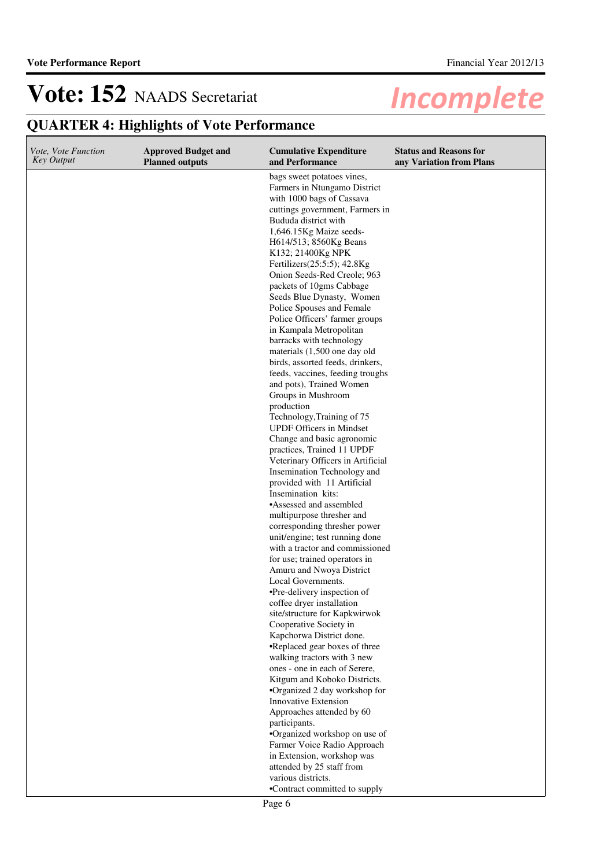| <i>Vote, Vote Function</i><br><b>Key Output</b> | <b>Approved Budget and</b><br><b>Planned outputs</b> | <b>Cumulative Expenditure</b><br>and Performance                                                                                                                                                                                                                                                                                                                                                                                                                                                                                                                                                                                                                                                                                                                                                                                                                                                                                                                                                                                                                                                                                                                                                                                                                                                                                                                                                                                            | <b>Status and Reasons for</b><br>any Variation from Plans |
|-------------------------------------------------|------------------------------------------------------|---------------------------------------------------------------------------------------------------------------------------------------------------------------------------------------------------------------------------------------------------------------------------------------------------------------------------------------------------------------------------------------------------------------------------------------------------------------------------------------------------------------------------------------------------------------------------------------------------------------------------------------------------------------------------------------------------------------------------------------------------------------------------------------------------------------------------------------------------------------------------------------------------------------------------------------------------------------------------------------------------------------------------------------------------------------------------------------------------------------------------------------------------------------------------------------------------------------------------------------------------------------------------------------------------------------------------------------------------------------------------------------------------------------------------------------------|-----------------------------------------------------------|
|                                                 |                                                      | bags sweet potatoes vines,<br>Farmers in Ntungamo District<br>with 1000 bags of Cassava<br>cuttings government, Farmers in<br>Bududa district with<br>1,646.15Kg Maize seeds-<br>H614/513; 8560Kg Beans<br>K132; 21400Kg NPK<br>Fertilizers(25:5:5); 42.8Kg<br>Onion Seeds-Red Creole; 963<br>packets of 10gms Cabbage<br>Seeds Blue Dynasty, Women<br>Police Spouses and Female<br>Police Officers' farmer groups<br>in Kampala Metropolitan<br>barracks with technology<br>materials (1,500 one day old<br>birds, assorted feeds, drinkers,<br>feeds, vaccines, feeding troughs<br>and pots), Trained Women<br>Groups in Mushroom<br>production<br>Technology, Training of 75<br><b>UPDF Officers in Mindset</b><br>Change and basic agronomic<br>practices, Trained 11 UPDF<br>Veterinary Officers in Artificial<br>Insemination Technology and<br>provided with 11 Artificial<br>Insemination kits:<br>•Assessed and assembled<br>multipurpose thresher and<br>corresponding thresher power<br>unit/engine; test running done<br>with a tractor and commissioned<br>for use; trained operators in<br>Amuru and Nwoya District<br>Local Governments.<br>•Pre-delivery inspection of<br>coffee dryer installation<br>site/structure for Kapkwirwok<br>Cooperative Society in<br>Kapchorwa District done.<br>•Replaced gear boxes of three<br>walking tractors with 3 new<br>ones - one in each of Serere,<br>Kitgum and Koboko Districts. |                                                           |
|                                                 |                                                      |                                                                                                                                                                                                                                                                                                                                                                                                                                                                                                                                                                                                                                                                                                                                                                                                                                                                                                                                                                                                                                                                                                                                                                                                                                                                                                                                                                                                                                             |                                                           |
|                                                 |                                                      | •Organized 2 day workshop for<br>Innovative Extension<br>Approaches attended by 60                                                                                                                                                                                                                                                                                                                                                                                                                                                                                                                                                                                                                                                                                                                                                                                                                                                                                                                                                                                                                                                                                                                                                                                                                                                                                                                                                          |                                                           |
|                                                 |                                                      | participants.<br>•Organized workshop on use of                                                                                                                                                                                                                                                                                                                                                                                                                                                                                                                                                                                                                                                                                                                                                                                                                                                                                                                                                                                                                                                                                                                                                                                                                                                                                                                                                                                              |                                                           |
|                                                 |                                                      | Farmer Voice Radio Approach<br>in Extension, workshop was<br>attended by 25 staff from                                                                                                                                                                                                                                                                                                                                                                                                                                                                                                                                                                                                                                                                                                                                                                                                                                                                                                                                                                                                                                                                                                                                                                                                                                                                                                                                                      |                                                           |
|                                                 |                                                      | various districts.<br>•Contract committed to supply                                                                                                                                                                                                                                                                                                                                                                                                                                                                                                                                                                                                                                                                                                                                                                                                                                                                                                                                                                                                                                                                                                                                                                                                                                                                                                                                                                                         |                                                           |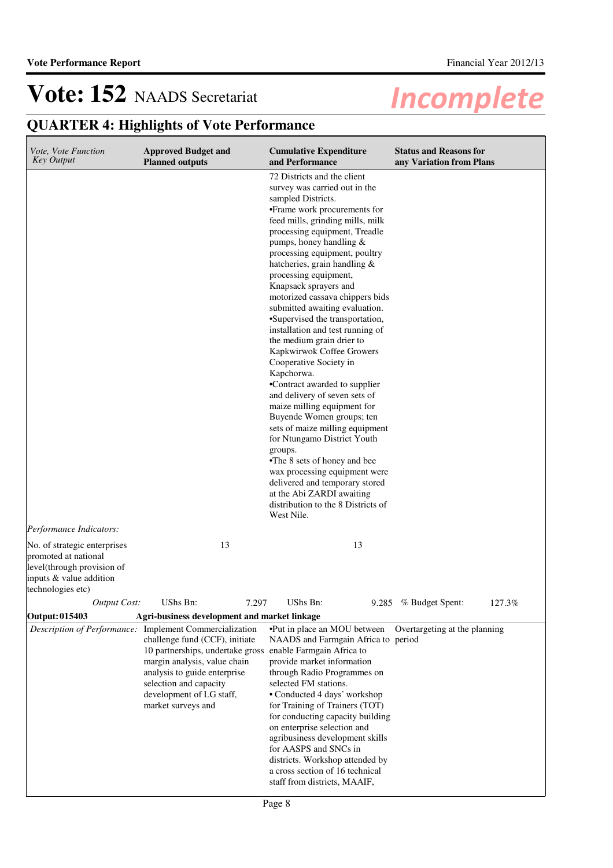| Vote, Vote Function<br><b>Key Output</b>                                                                                           | <b>Approved Budget and</b><br><b>Planned outputs</b>                                                                                                                                                                                                                                                | <b>Cumulative Expenditure</b><br>and Performance                                                                                                                                                                                                                                                                                                                                                                                                                                                                                                                                                                                                                                                                                                                                                                                                                                                                                                                                     | <b>Status and Reasons for</b><br>any Variation from Plans |
|------------------------------------------------------------------------------------------------------------------------------------|-----------------------------------------------------------------------------------------------------------------------------------------------------------------------------------------------------------------------------------------------------------------------------------------------------|--------------------------------------------------------------------------------------------------------------------------------------------------------------------------------------------------------------------------------------------------------------------------------------------------------------------------------------------------------------------------------------------------------------------------------------------------------------------------------------------------------------------------------------------------------------------------------------------------------------------------------------------------------------------------------------------------------------------------------------------------------------------------------------------------------------------------------------------------------------------------------------------------------------------------------------------------------------------------------------|-----------------------------------------------------------|
| Performance Indicators:                                                                                                            |                                                                                                                                                                                                                                                                                                     | 72 Districts and the client<br>survey was carried out in the<br>sampled Districts.<br>•Frame work procurements for<br>feed mills, grinding mills, milk<br>processing equipment, Treadle<br>pumps, honey handling $&$<br>processing equipment, poultry<br>hatcheries, grain handling &<br>processing equipment,<br>Knapsack sprayers and<br>motorized cassava chippers bids<br>submitted awaiting evaluation.<br>•Supervised the transportation,<br>installation and test running of<br>the medium grain drier to<br>Kapkwirwok Coffee Growers<br>Cooperative Society in<br>Kapchorwa.<br>•Contract awarded to supplier<br>and delivery of seven sets of<br>maize milling equipment for<br>Buyende Women groups; ten<br>sets of maize milling equipment<br>for Ntungamo District Youth<br>groups.<br>•The 8 sets of honey and bee<br>wax processing equipment were<br>delivered and temporary stored<br>at the Abi ZARDI awaiting<br>distribution to the 8 Districts of<br>West Nile. |                                                           |
| No. of strategic enterprises<br>promoted at national<br>level(through provision of<br>inputs & value addition<br>technologies etc) | 13                                                                                                                                                                                                                                                                                                  | 13                                                                                                                                                                                                                                                                                                                                                                                                                                                                                                                                                                                                                                                                                                                                                                                                                                                                                                                                                                                   |                                                           |
| Output Cost:                                                                                                                       | UShs Bn:<br>7.297                                                                                                                                                                                                                                                                                   | UShs Bn:                                                                                                                                                                                                                                                                                                                                                                                                                                                                                                                                                                                                                                                                                                                                                                                                                                                                                                                                                                             | 127.3%<br>9.285 % Budget Spent:                           |
| Output: 015403                                                                                                                     | Agri-business development and market linkage                                                                                                                                                                                                                                                        |                                                                                                                                                                                                                                                                                                                                                                                                                                                                                                                                                                                                                                                                                                                                                                                                                                                                                                                                                                                      |                                                           |
|                                                                                                                                    | Description of Performance: Implement Commercialization<br>challenge fund (CCF), initiate<br>10 partnerships, undertake gross enable Farmgain Africa to<br>margin analysis, value chain<br>analysis to guide enterprise<br>selection and capacity<br>development of LG staff,<br>market surveys and | •Put in place an MOU between<br>NAADS and Farmgain Africa to period<br>provide market information<br>through Radio Programmes on<br>selected FM stations.<br>• Conducted 4 days' workshop<br>for Training of Trainers (TOT)<br>for conducting capacity building<br>on enterprise selection and<br>agribusiness development skills<br>for AASPS and SNCs in<br>districts. Workshop attended by<br>a cross section of 16 technical<br>staff from districts, MAAIF,                                                                                                                                                                                                                                                                                                                                                                                                                                                                                                                     | Overtargeting at the planning                             |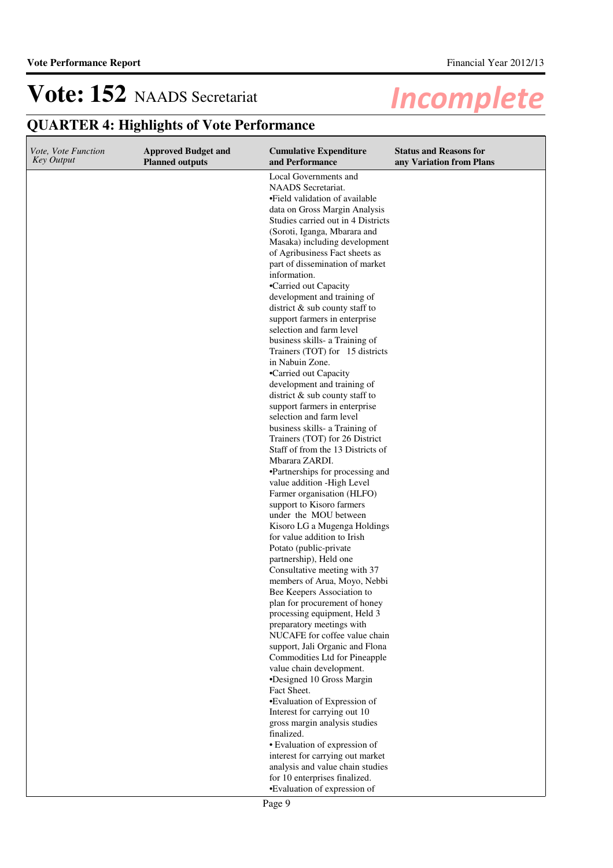**QUARTER 4: Highlights of Vote Performance**

#### **Cumulative Expenditure and Performance Approved Budget and Planned outputs Status and Reasons for any Variation from Plans** *Vote, Vote Function Key Output* Local Governments and NAADS Secretariat. •Field validation of available data on Gross Margin Analysis Studies carried out in 4 Districts (Soroti, Iganga, Mbarara and Masaka) including development of Agribusiness Fact sheets as part of dissemination of market information. •Carried out Capacity development and training of district & sub county staff to support farmers in enterprise selection and farm level business skills- a Training of Trainers (TOT) for 15 districts in Nabuin Zone. •Carried out Capacity development and training of district & sub county staff to support farmers in enterprise selection and farm level business skills- a Training of Trainers (TOT) for 26 District Staff of from the 13 Districts of Mbarara ZARDI. •Partnerships for processing and value addition -High Level Farmer organisation (HLFO) support to Kisoro farmers under the MOU between Kisoro LG a Mugenga Holdings for value addition to Irish Potato (public-private partnership), Held one Consultative meeting with 37 members of Arua, Moyo, Nebbi Bee Keepers Association to plan for procurement of honey processing equipment, Held 3 preparatory meetings with NUCAFE for coffee value chain support, Jali Organic and Flona Commodities Ltd for Pineapple value chain development. •Designed 10 Gross Margin Fact Sheet. •Evaluation of Expression of Interest for carrying out 10 gross margin analysis studies finalized. • Evaluation of expression of interest for carrying out market analysis and value chain studies for 10 enterprises finalized. •Evaluation of expression of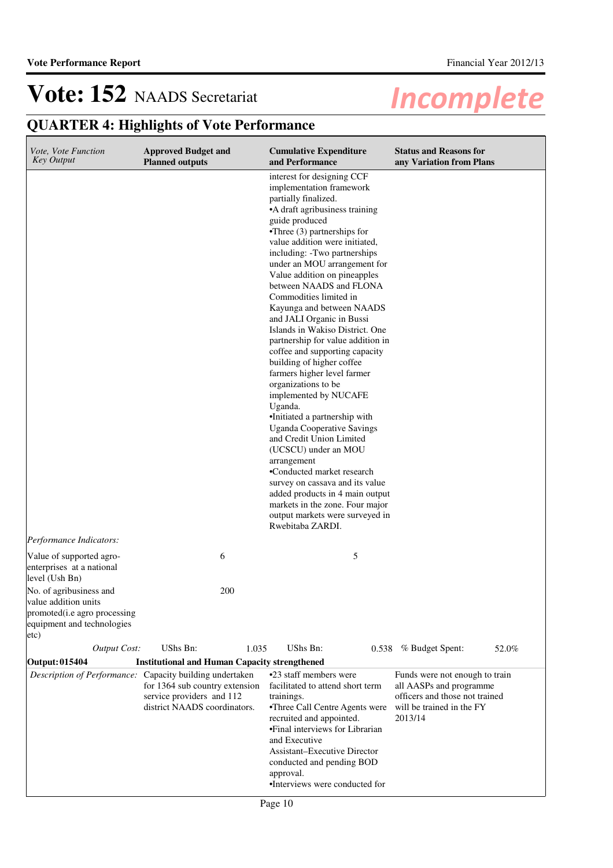| <i>Vote, Vote Function</i><br><b>Key Output</b>                                                                       | <b>Approved Budget and</b><br><b>Planned outputs</b>                                                                                                    |       | <b>Cumulative Expenditure</b><br>and Performance                                                                                                                                                                                                                                                                                                                                                                                                                                                                                                                                                                                                                                                                                                                                                                                                                                                                                                                                                    | <b>Status and Reasons for</b><br>any Variation from Plans                                                                           |       |
|-----------------------------------------------------------------------------------------------------------------------|---------------------------------------------------------------------------------------------------------------------------------------------------------|-------|-----------------------------------------------------------------------------------------------------------------------------------------------------------------------------------------------------------------------------------------------------------------------------------------------------------------------------------------------------------------------------------------------------------------------------------------------------------------------------------------------------------------------------------------------------------------------------------------------------------------------------------------------------------------------------------------------------------------------------------------------------------------------------------------------------------------------------------------------------------------------------------------------------------------------------------------------------------------------------------------------------|-------------------------------------------------------------------------------------------------------------------------------------|-------|
|                                                                                                                       |                                                                                                                                                         |       | interest for designing CCF<br>implementation framework<br>partially finalized.<br>•A draft agribusiness training<br>guide produced<br>$\bullet$ Three (3) partnerships for<br>value addition were initiated,<br>including: -Two partnerships<br>under an MOU arrangement for<br>Value addition on pineapples<br>between NAADS and FLONA<br>Commodities limited in<br>Kayunga and between NAADS<br>and JALI Organic in Bussi<br>Islands in Wakiso District. One<br>partnership for value addition in<br>coffee and supporting capacity<br>building of higher coffee<br>farmers higher level farmer<br>organizations to be<br>implemented by NUCAFE<br>Uganda.<br>·Initiated a partnership with<br><b>Uganda Cooperative Savings</b><br>and Credit Union Limited<br>(UCSCU) under an MOU<br>arrangement<br>•Conducted market research<br>survey on cassava and its value<br>added products in 4 main output<br>markets in the zone. Four major<br>output markets were surveyed in<br>Rwebitaba ZARDI. |                                                                                                                                     |       |
| Performance Indicators:                                                                                               |                                                                                                                                                         |       |                                                                                                                                                                                                                                                                                                                                                                                                                                                                                                                                                                                                                                                                                                                                                                                                                                                                                                                                                                                                     |                                                                                                                                     |       |
| Value of supported agro-<br>enterprises at a national<br>level (Ush Bn)                                               | 6                                                                                                                                                       |       | 5                                                                                                                                                                                                                                                                                                                                                                                                                                                                                                                                                                                                                                                                                                                                                                                                                                                                                                                                                                                                   |                                                                                                                                     |       |
| No. of agribusiness and<br>value addition units<br>promoted(i.e agro processing<br>equipment and technologies<br>etc) |                                                                                                                                                         | 200   |                                                                                                                                                                                                                                                                                                                                                                                                                                                                                                                                                                                                                                                                                                                                                                                                                                                                                                                                                                                                     |                                                                                                                                     |       |
| <b>Output Cost:</b>                                                                                                   | UShs Bn:                                                                                                                                                | 1.035 | UShs Bn:                                                                                                                                                                                                                                                                                                                                                                                                                                                                                                                                                                                                                                                                                                                                                                                                                                                                                                                                                                                            | 0.538 % Budget Spent:                                                                                                               | 52.0% |
| Output: 015404                                                                                                        | <b>Institutional and Human Capacity strengthened</b>                                                                                                    |       |                                                                                                                                                                                                                                                                                                                                                                                                                                                                                                                                                                                                                                                                                                                                                                                                                                                                                                                                                                                                     |                                                                                                                                     |       |
|                                                                                                                       | Description of Performance: Capacity building undertaken<br>for 1364 sub country extension<br>service providers and 112<br>district NAADS coordinators. |       | •23 staff members were<br>facilitated to attend short term<br>trainings.<br>•Three Call Centre Agents were<br>recruited and appointed.<br>•Final interviews for Librarian<br>and Executive<br><b>Assistant-Executive Director</b><br>conducted and pending BOD<br>approval.<br>•Interviews were conducted for                                                                                                                                                                                                                                                                                                                                                                                                                                                                                                                                                                                                                                                                                       | Funds were not enough to train<br>all AASPs and programme<br>officers and those not trained<br>will be trained in the FY<br>2013/14 |       |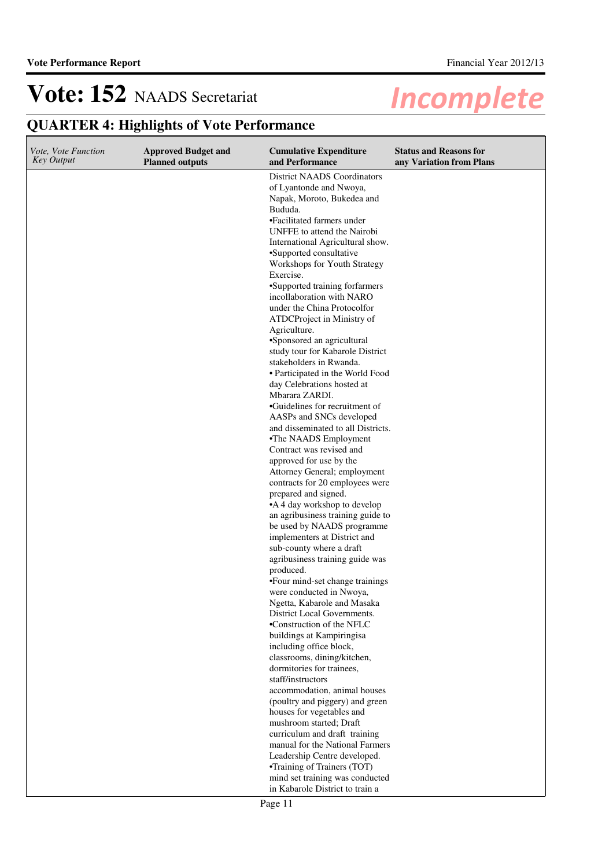| Vote, Vote Function<br><b>Key Output</b> | <b>Approved Budget and</b><br><b>Planned outputs</b> | <b>Cumulative Expenditure</b><br>and Performance                                                                                                                                                                                                                                                                                                                                                                                                                                                                                                                                                                                                                                                                                                                                                                                                                                                                                                                                                                                                                                                                                                                                                         | <b>Status and Reasons for</b><br>any Variation from Plans |
|------------------------------------------|------------------------------------------------------|----------------------------------------------------------------------------------------------------------------------------------------------------------------------------------------------------------------------------------------------------------------------------------------------------------------------------------------------------------------------------------------------------------------------------------------------------------------------------------------------------------------------------------------------------------------------------------------------------------------------------------------------------------------------------------------------------------------------------------------------------------------------------------------------------------------------------------------------------------------------------------------------------------------------------------------------------------------------------------------------------------------------------------------------------------------------------------------------------------------------------------------------------------------------------------------------------------|-----------------------------------------------------------|
|                                          |                                                      | <b>District NAADS Coordinators</b><br>of Lyantonde and Nwoya,<br>Napak, Moroto, Bukedea and<br>Bududa.<br>•Facilitated farmers under<br>UNFFE to attend the Nairobi<br>International Agricultural show.<br>•Supported consultative<br>Workshops for Youth Strategy<br>Exercise.<br>•Supported training forfarmers<br>incollaboration with NARO<br>under the China Protocolfor<br>ATDCProject in Ministry of<br>Agriculture.<br>•Sponsored an agricultural<br>study tour for Kabarole District<br>stakeholders in Rwanda.<br>• Participated in the World Food<br>day Celebrations hosted at<br>Mbarara ZARDI.<br>•Guidelines for recruitment of<br>AASPs and SNCs developed<br>and disseminated to all Districts.<br>•The NAADS Employment<br>Contract was revised and<br>approved for use by the<br>Attorney General; employment<br>contracts for 20 employees were<br>prepared and signed.<br>•A 4 day workshop to develop<br>an agribusiness training guide to<br>be used by NAADS programme<br>implementers at District and<br>sub-county where a draft<br>agribusiness training guide was<br>produced.<br>•Four mind-set change trainings<br>were conducted in Nwoya,<br>Ngetta, Kabarole and Masaka |                                                           |
|                                          |                                                      | District Local Governments.<br>•Construction of the NFLC                                                                                                                                                                                                                                                                                                                                                                                                                                                                                                                                                                                                                                                                                                                                                                                                                                                                                                                                                                                                                                                                                                                                                 |                                                           |
|                                          |                                                      | buildings at Kampiringisa<br>including office block,<br>classrooms, dining/kitchen,<br>dormitories for trainees,                                                                                                                                                                                                                                                                                                                                                                                                                                                                                                                                                                                                                                                                                                                                                                                                                                                                                                                                                                                                                                                                                         |                                                           |
|                                          |                                                      | staff/instructors<br>accommodation, animal houses<br>(poultry and piggery) and green<br>houses for vegetables and                                                                                                                                                                                                                                                                                                                                                                                                                                                                                                                                                                                                                                                                                                                                                                                                                                                                                                                                                                                                                                                                                        |                                                           |
|                                          |                                                      | mushroom started; Draft<br>curriculum and draft training<br>manual for the National Farmers                                                                                                                                                                                                                                                                                                                                                                                                                                                                                                                                                                                                                                                                                                                                                                                                                                                                                                                                                                                                                                                                                                              |                                                           |
|                                          |                                                      | Leadership Centre developed.<br>•Training of Trainers (TOT)<br>mind set training was conducted<br>in Kabarole District to train a                                                                                                                                                                                                                                                                                                                                                                                                                                                                                                                                                                                                                                                                                                                                                                                                                                                                                                                                                                                                                                                                        |                                                           |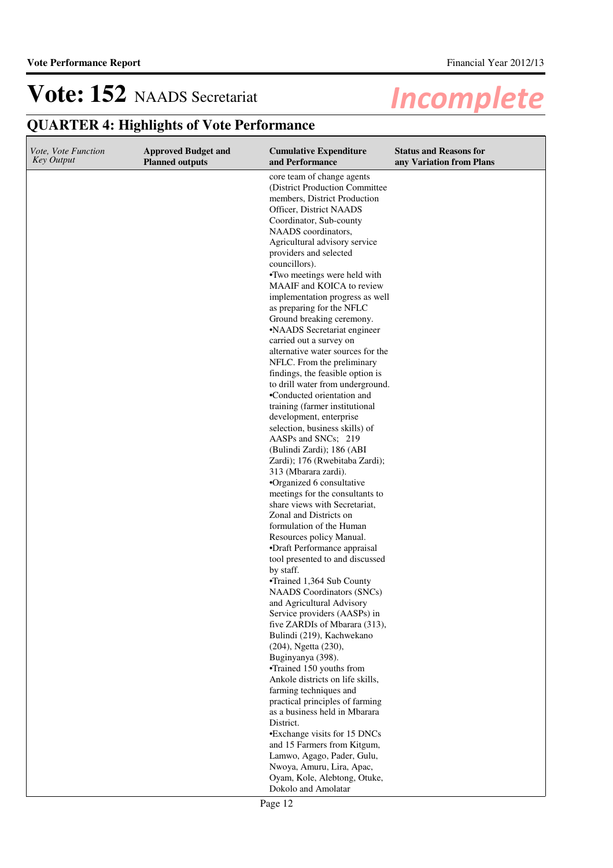| Vote, Vote Function<br><b>Key Output</b> | <b>Approved Budget and</b><br><b>Planned outputs</b> | <b>Cumulative Expenditure</b><br>and Performance                                                                                                                                                                                     | <b>Status and Reasons for</b><br>any Variation from Plans |
|------------------------------------------|------------------------------------------------------|--------------------------------------------------------------------------------------------------------------------------------------------------------------------------------------------------------------------------------------|-----------------------------------------------------------|
|                                          |                                                      | core team of change agents<br>(District Production Committee<br>members, District Production<br>Officer, District NAADS<br>Coordinator, Sub-county<br>NAADS coordinators,<br>Agricultural advisory service<br>providers and selected |                                                           |
|                                          |                                                      | councillors).<br>•Two meetings were held with                                                                                                                                                                                        |                                                           |
|                                          |                                                      | MAAIF and KOICA to review                                                                                                                                                                                                            |                                                           |
|                                          |                                                      | implementation progress as well<br>as preparing for the NFLC<br>Ground breaking ceremony.                                                                                                                                            |                                                           |
|                                          |                                                      | •NAADS Secretariat engineer                                                                                                                                                                                                          |                                                           |
|                                          |                                                      | carried out a survey on<br>alternative water sources for the<br>NFLC. From the preliminary                                                                                                                                           |                                                           |
|                                          |                                                      | findings, the feasible option is<br>to drill water from underground.                                                                                                                                                                 |                                                           |
|                                          |                                                      | •Conducted orientation and                                                                                                                                                                                                           |                                                           |
|                                          |                                                      | training (farmer institutional<br>development, enterprise                                                                                                                                                                            |                                                           |
|                                          |                                                      | selection, business skills) of<br>AASPs and SNCs; 219                                                                                                                                                                                |                                                           |
|                                          |                                                      | (Bulindi Zardi); 186 (ABI<br>Zardi); 176 (Rwebitaba Zardi);                                                                                                                                                                          |                                                           |
|                                          |                                                      | 313 (Mbarara zardi).                                                                                                                                                                                                                 |                                                           |
|                                          |                                                      | •Organized 6 consultative<br>meetings for the consultants to                                                                                                                                                                         |                                                           |
|                                          |                                                      | share views with Secretariat,                                                                                                                                                                                                        |                                                           |
|                                          |                                                      | Zonal and Districts on                                                                                                                                                                                                               |                                                           |
|                                          |                                                      | formulation of the Human<br>Resources policy Manual.                                                                                                                                                                                 |                                                           |
|                                          |                                                      | •Draft Performance appraisal                                                                                                                                                                                                         |                                                           |
|                                          |                                                      | tool presented to and discussed                                                                                                                                                                                                      |                                                           |
|                                          |                                                      | by staff.<br>•Trained 1,364 Sub County                                                                                                                                                                                               |                                                           |
|                                          |                                                      | <b>NAADS</b> Coordinators (SNCs)                                                                                                                                                                                                     |                                                           |
|                                          |                                                      | and Agricultural Advisory                                                                                                                                                                                                            |                                                           |
|                                          |                                                      | Service providers (AASPs) in                                                                                                                                                                                                         |                                                           |
|                                          |                                                      | five ZARDIs of Mbarara (313),<br>Bulindi (219), Kachwekano                                                                                                                                                                           |                                                           |
|                                          |                                                      | (204), Ngetta (230),                                                                                                                                                                                                                 |                                                           |
|                                          |                                                      | Buginyanya (398).                                                                                                                                                                                                                    |                                                           |
|                                          |                                                      | •Trained 150 youths from<br>Ankole districts on life skills,                                                                                                                                                                         |                                                           |
|                                          |                                                      | farming techniques and                                                                                                                                                                                                               |                                                           |
|                                          |                                                      | practical principles of farming                                                                                                                                                                                                      |                                                           |
|                                          |                                                      | as a business held in Mbarara                                                                                                                                                                                                        |                                                           |
|                                          |                                                      | District.<br>•Exchange visits for 15 DNCs                                                                                                                                                                                            |                                                           |
|                                          |                                                      | and 15 Farmers from Kitgum,                                                                                                                                                                                                          |                                                           |
|                                          |                                                      | Lamwo, Agago, Pader, Gulu,                                                                                                                                                                                                           |                                                           |
|                                          |                                                      | Nwoya, Amuru, Lira, Apac,                                                                                                                                                                                                            |                                                           |
|                                          |                                                      | Oyam, Kole, Alebtong, Otuke,<br>Dokolo and Amolatar                                                                                                                                                                                  |                                                           |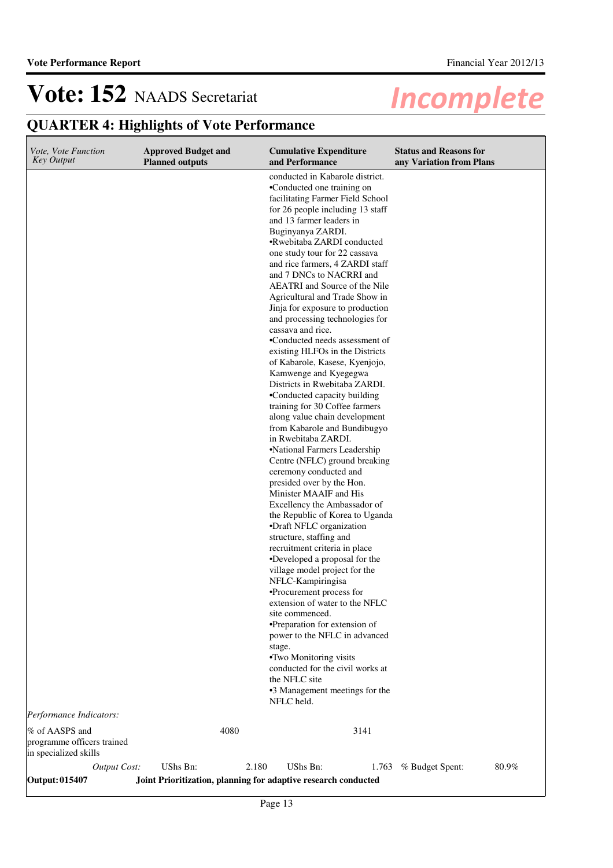#### **QUARTER 4: Highlights of Vote Performance Cumulative Expenditure and Performance Approved Budget and Planned outputs Status and Reasons for any Variation from Plans** *Vote, Vote Function Key Output* conducted in Kabarole district. •Conducted one training on facilitating Farmer Field School for 26 people including 13 staff and 13 farmer leaders in Buginyanya ZARDI. •Rwebitaba ZARDI conducted one study tour for 22 cassava and rice farmers, 4 ZARDI staff and 7 DNCs to NACRRI and AEATRI and Source of the Nile Agricultural and Trade Show in Jinja for exposure to production and processing technologies for cassava and rice. •Conducted needs assessment of existing HLFOs in the Districts of Kabarole, Kasese, Kyenjojo, Kamwenge and Kyegegwa Districts in Rwebitaba ZARDI. •Conducted capacity building training for 30 Coffee farmers along value chain development from Kabarole and Bundibugyo in Rwebitaba ZARDI. •National Farmers Leadership Centre (NFLC) ground breaking ceremony conducted and presided over by the Hon. Minister MAAIF and His Excellency the Ambassador of the Republic of Korea to Uganda •Draft NFLC organization structure, staffing and recruitment criteria in place •Developed a proposal for the village model project for the NFLC-Kampiringisa •Procurement process for extension of water to the NFLC site commenced. •Preparation for extension of power to the NFLC in advanced stage. •Two Monitoring visits conducted for the civil works at the NFLC site •3 Management meetings for the NFLC held.

*Performance Indicators:*

| % of AASPS and<br>programme officers trained<br>in specialized skills |              |                                                                | 4080  |          | 3141 |                       |       |
|-----------------------------------------------------------------------|--------------|----------------------------------------------------------------|-------|----------|------|-----------------------|-------|
|                                                                       | Output Cost: | UShs Bn:                                                       | 2.180 | UShs Bn: |      | 1.763 % Budget Spent: | 80.9% |
| Output: 015407                                                        |              | Joint Prioritization, planning for adaptive research conducted |       |          |      |                       |       |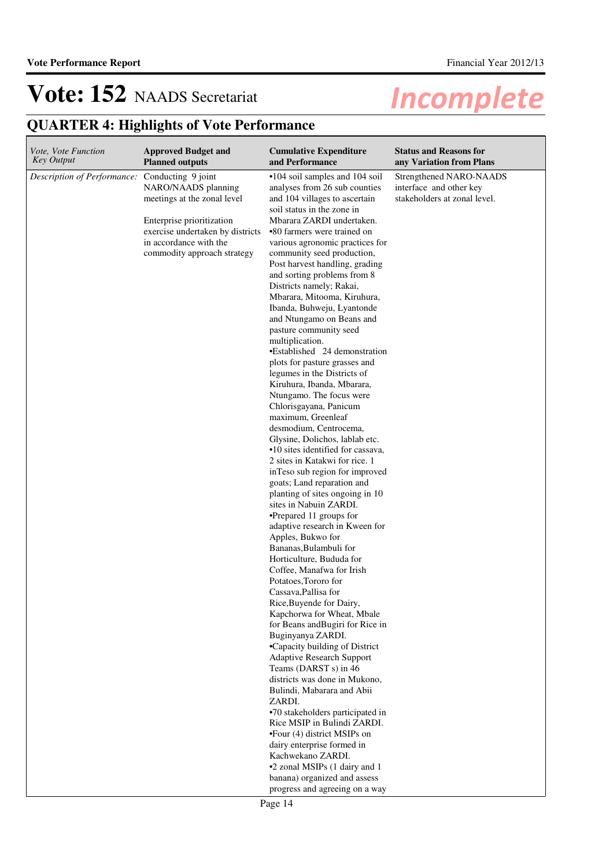| <i>Vote, Vote Function</i>  | <b>Approved Budget and</b>                                                                                                                                                                         | <b>Cumulative Expenditure</b>                                                                                                                                                                                                                                                                                                                                                                                                                                                                                                                                                                                                                                                                                                                                                                                                                                                                                                                                                                                                                                                                                                                                                                                                                                                                                                                                                                                                                                                                                                                                                                                                                                                                                                                                | <b>Status and Reasons for</b>                                                      |
|-----------------------------|----------------------------------------------------------------------------------------------------------------------------------------------------------------------------------------------------|--------------------------------------------------------------------------------------------------------------------------------------------------------------------------------------------------------------------------------------------------------------------------------------------------------------------------------------------------------------------------------------------------------------------------------------------------------------------------------------------------------------------------------------------------------------------------------------------------------------------------------------------------------------------------------------------------------------------------------------------------------------------------------------------------------------------------------------------------------------------------------------------------------------------------------------------------------------------------------------------------------------------------------------------------------------------------------------------------------------------------------------------------------------------------------------------------------------------------------------------------------------------------------------------------------------------------------------------------------------------------------------------------------------------------------------------------------------------------------------------------------------------------------------------------------------------------------------------------------------------------------------------------------------------------------------------------------------------------------------------------------------|------------------------------------------------------------------------------------|
| <b>Key Output</b>           | <b>Planned outputs</b>                                                                                                                                                                             | and Performance                                                                                                                                                                                                                                                                                                                                                                                                                                                                                                                                                                                                                                                                                                                                                                                                                                                                                                                                                                                                                                                                                                                                                                                                                                                                                                                                                                                                                                                                                                                                                                                                                                                                                                                                              | any Variation from Plans                                                           |
| Description of Performance: | Conducting 9 joint<br>NARO/NAADS planning<br>meetings at the zonal level<br>Enterprise prioritization<br>exercise undertaken by districts<br>in accordance with the<br>commodity approach strategy | •104 soil samples and 104 soil<br>analyses from 26 sub counties<br>and 104 villages to ascertain<br>soil status in the zone in<br>Mbarara ZARDI undertaken.<br>•80 farmers were trained on<br>various agronomic practices for<br>community seed production,<br>Post harvest handling, grading<br>and sorting problems from 8<br>Districts namely; Rakai,<br>Mbarara, Mitooma, Kiruhura,<br>Ibanda, Buhweju, Lyantonde<br>and Ntungamo on Beans and<br>pasture community seed<br>multiplication.<br>•Established 24 demonstration<br>plots for pasture grasses and<br>legumes in the Districts of<br>Kiruhura, Ibanda, Mbarara,<br>Ntungamo. The focus were<br>Chlorisgayana, Panicum<br>maximum, Greenleaf<br>desmodium, Centrocema,<br>Glysine, Dolichos, lablab etc.<br>•10 sites identified for cassava,<br>2 sites in Katakwi for rice. 1<br>in Teso sub region for improved<br>goats; Land reparation and<br>planting of sites ongoing in 10<br>sites in Nabuin ZARDI.<br>•Prepared 11 groups for<br>adaptive research in Kween for<br>Apples, Bukwo for<br>Bananas, Bulambuli for<br>Horticulture, Bududa for<br>Coffee, Manafwa for Irish<br>Potatoes, Tororo for<br>Cassava, Pallisa for<br>Rice, Buyende for Dairy,<br>Kapchorwa for Wheat, Mbale<br>for Beans and Bugiri for Rice in<br>Buginyanya ZARDI.<br>•Capacity building of District<br><b>Adaptive Research Support</b><br>Teams (DARST s) in 46<br>districts was done in Mukono,<br>Bulindi, Mabarara and Abii<br>ZARDI.<br>•70 stakeholders participated in<br>Rice MSIP in Bulindi ZARDI.<br>$\bullet$ Four (4) district MSIPs on<br>dairy enterprise formed in<br>Kachwekano ZARDI.<br>•2 zonal MSIPs (1 dairy and 1<br>banana) organized and assess<br>progress and agreeing on a way | Strengthened NARO-NAADS<br>interface and other key<br>stakeholders at zonal level. |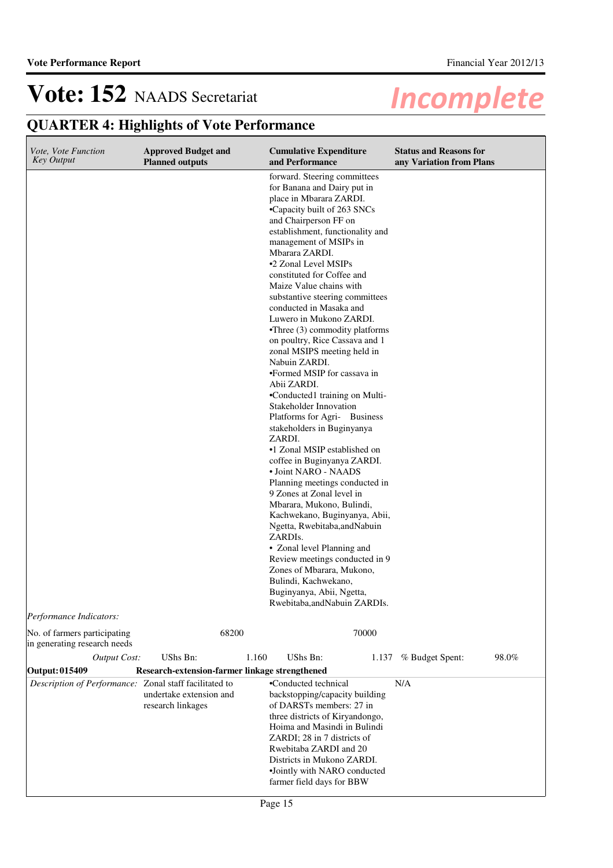| Vote, Vote Function<br><b>Key Output</b>                     | <b>Approved Budget and</b><br><b>Planned outputs</b> | <b>Cumulative Expenditure</b><br>and Performance                                                                                                                                                                                                                                                                                                                                                                                                                                                                                                                                                                                                                                                                                                                                                                                                                                                                                                                                                                                                                                                                                                                         | <b>Status and Reasons for</b><br>any Variation from Plans |
|--------------------------------------------------------------|------------------------------------------------------|--------------------------------------------------------------------------------------------------------------------------------------------------------------------------------------------------------------------------------------------------------------------------------------------------------------------------------------------------------------------------------------------------------------------------------------------------------------------------------------------------------------------------------------------------------------------------------------------------------------------------------------------------------------------------------------------------------------------------------------------------------------------------------------------------------------------------------------------------------------------------------------------------------------------------------------------------------------------------------------------------------------------------------------------------------------------------------------------------------------------------------------------------------------------------|-----------------------------------------------------------|
|                                                              |                                                      | forward. Steering committees<br>for Banana and Dairy put in<br>place in Mbarara ZARDI.<br>•Capacity built of 263 SNCs<br>and Chairperson FF on<br>establishment, functionality and<br>management of MSIPs in<br>Mbarara ZARDI.<br>•2 Zonal Level MSIPs<br>constituted for Coffee and<br>Maize Value chains with<br>substantive steering committees<br>conducted in Masaka and<br>Luwero in Mukono ZARDI.<br>$\bullet$ Three (3) commodity platforms<br>on poultry, Rice Cassava and 1<br>zonal MSIPS meeting held in<br>Nabuin ZARDI.<br>•Formed MSIP for cassava in<br>Abii ZARDI.<br>•Conducted1 training on Multi-<br>Stakeholder Innovation<br>Platforms for Agri- Business<br>stakeholders in Buginyanya<br>ZARDI.<br>•1 Zonal MSIP established on<br>coffee in Buginyanya ZARDI.<br>• Joint NARO - NAADS<br>Planning meetings conducted in<br>9 Zones at Zonal level in<br>Mbarara, Mukono, Bulindi,<br>Kachwekano, Buginyanya, Abii,<br>Ngetta, Rwebitaba,andNabuin<br>ZARDIs.<br>• Zonal level Planning and<br>Review meetings conducted in 9<br>Zones of Mbarara, Mukono,<br>Bulindi, Kachwekano,<br>Buginyanya, Abii, Ngetta,<br>Rwebitaba, and Nabuin ZARDIs. |                                                           |
| Performance Indicators:                                      |                                                      |                                                                                                                                                                                                                                                                                                                                                                                                                                                                                                                                                                                                                                                                                                                                                                                                                                                                                                                                                                                                                                                                                                                                                                          |                                                           |
| No. of farmers participating<br>in generating research needs | 68200                                                | 70000                                                                                                                                                                                                                                                                                                                                                                                                                                                                                                                                                                                                                                                                                                                                                                                                                                                                                                                                                                                                                                                                                                                                                                    |                                                           |
| <b>Output Cost:</b>                                          | UShs Bn:                                             | 1.160<br><b>UShs Bn:</b><br>1.137                                                                                                                                                                                                                                                                                                                                                                                                                                                                                                                                                                                                                                                                                                                                                                                                                                                                                                                                                                                                                                                                                                                                        | 98.0%<br>% Budget Spent:                                  |
| <b>Output: 015409</b>                                        | Research-extension-farmer linkage strengthened       |                                                                                                                                                                                                                                                                                                                                                                                                                                                                                                                                                                                                                                                                                                                                                                                                                                                                                                                                                                                                                                                                                                                                                                          |                                                           |
| Description of Performance: Zonal staff facilitated to       | undertake extension and<br>research linkages         | •Conducted technical<br>backstopping/capacity building<br>of DARSTs members: 27 in<br>three districts of Kiryandongo,<br>Hoima and Masindi in Bulindi<br>ZARDI; 28 in 7 districts of<br>Rwebitaba ZARDI and 20<br>Districts in Mukono ZARDI.<br>•Jointly with NARO conducted<br>farmer field days for BBW                                                                                                                                                                                                                                                                                                                                                                                                                                                                                                                                                                                                                                                                                                                                                                                                                                                                | N/A                                                       |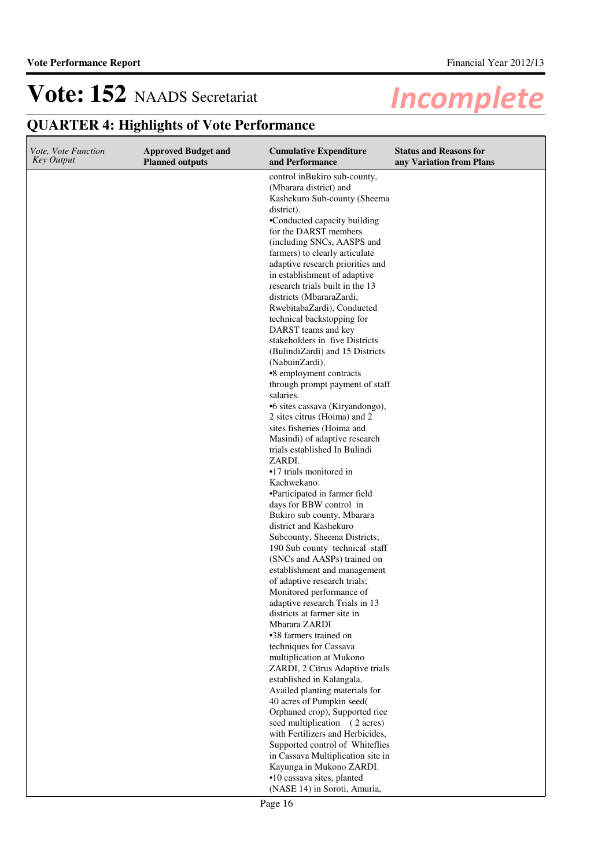| Vote, Vote Function<br><b>Key Output</b> | <b>Approved Budget and</b><br><b>Planned outputs</b> | <b>Cumulative Expenditure</b><br>and Performance                                                                                     | <b>Status and Reasons for</b><br>any Variation from Plans |
|------------------------------------------|------------------------------------------------------|--------------------------------------------------------------------------------------------------------------------------------------|-----------------------------------------------------------|
|                                          |                                                      | control inBukiro sub-county,<br>(Mbarara district) and<br>Kashekuro Sub-county (Sheema<br>district).<br>•Conducted capacity building |                                                           |
|                                          |                                                      | for the DARST members<br>(including SNCs, AASPS and                                                                                  |                                                           |
|                                          |                                                      | farmers) to clearly articulate<br>adaptive research priorities and                                                                   |                                                           |
|                                          |                                                      | in establishment of adaptive<br>research trials built in the 13                                                                      |                                                           |
|                                          |                                                      | districts (MbararaZardi;<br>RwebitabaZardi), Conducted                                                                               |                                                           |
|                                          |                                                      | technical backstopping for<br>DARST teams and key                                                                                    |                                                           |
|                                          |                                                      | stakeholders in five Districts<br>(BulindiZardi) and 15 Districts                                                                    |                                                           |
|                                          |                                                      | (NabuinZardi).<br>•8 employment contracts                                                                                            |                                                           |
|                                          |                                                      | through prompt payment of staff<br>salaries.                                                                                         |                                                           |
|                                          |                                                      | •6 sites cassava (Kiryandongo),<br>2 sites citrus (Hoima) and 2                                                                      |                                                           |
|                                          |                                                      | sites fisheries (Hoima and<br>Masindi) of adaptive research<br>trials established In Bulindi                                         |                                                           |
|                                          |                                                      | ZARDI.<br>•17 trials monitored in                                                                                                    |                                                           |
|                                          |                                                      | Kachwekano.<br>•Participated in farmer field                                                                                         |                                                           |
|                                          |                                                      | days for BBW control in<br>Bukiro sub county, Mbarara                                                                                |                                                           |
|                                          |                                                      | district and Kashekuro<br>Subcounty, Sheema Districts;                                                                               |                                                           |
|                                          |                                                      | 190 Sub county technical staff<br>(SNCs and AASPs) trained on                                                                        |                                                           |
|                                          |                                                      | establishment and management<br>of adaptive research trials;                                                                         |                                                           |
|                                          |                                                      | Monitored performance of<br>adaptive research Trials in 13                                                                           |                                                           |
|                                          |                                                      | districts at farmer site in<br>Mbarara ZARDI<br>•38 farmers trained on                                                               |                                                           |
|                                          |                                                      | techniques for Cassava<br>multiplication at Mukono                                                                                   |                                                           |
|                                          |                                                      | ZARDI, 2 Citrus Adaptive trials<br>established in Kalangala,                                                                         |                                                           |
|                                          |                                                      | Availed planting materials for<br>40 acres of Pumpkin seed(                                                                          |                                                           |
|                                          |                                                      | Orphaned crop), Supported rice<br>seed multiplication (2 acres)                                                                      |                                                           |
|                                          |                                                      | with Fertilizers and Herbicides,<br>Supported control of Whiteflies                                                                  |                                                           |
|                                          |                                                      | in Cassava Multiplication site in<br>Kayunga in Mukono ZARDI.                                                                        |                                                           |
|                                          |                                                      | ·10 cassava sites, planted<br>(NASE 14) in Soroti, Amuria,                                                                           |                                                           |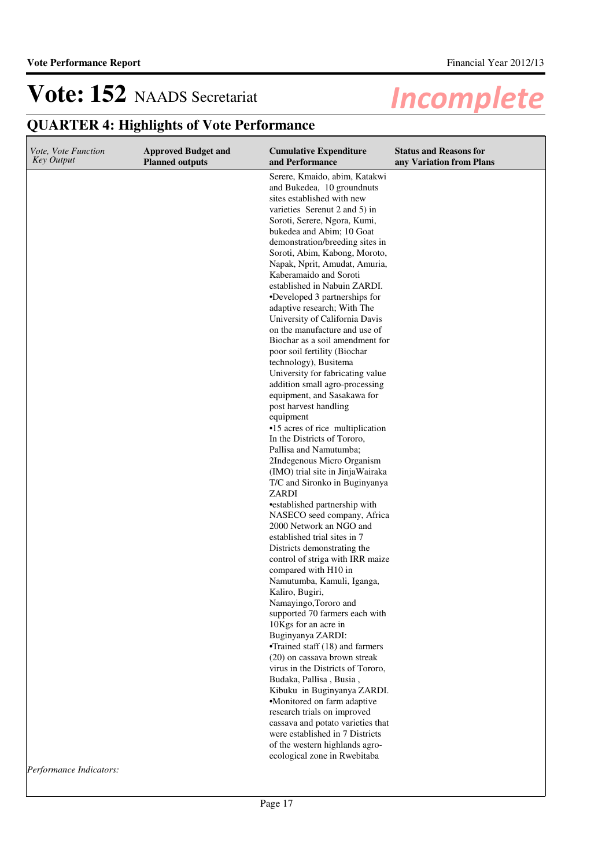# **QUARTER 4: Highlights of Vote Performance**

| <i><b>Incomplete</b></i> |
|--------------------------|
|--------------------------|

| Vote, Vote Function<br><b>Key Output</b> | <b>Approved Budget and</b><br><b>Planned outputs</b> | <b>Cumulative Expenditure</b><br>and Performance                                                                                                                                                                                                                                                                                                                                                                                                                                                                                                                                                                                                                                                                                                                                                                                                                                                                                                                                                                                                                                                                                                                                                                                                                                                                                                                                                                                                            | <b>Status and Reasons for</b><br>any Variation from Plans |
|------------------------------------------|------------------------------------------------------|-------------------------------------------------------------------------------------------------------------------------------------------------------------------------------------------------------------------------------------------------------------------------------------------------------------------------------------------------------------------------------------------------------------------------------------------------------------------------------------------------------------------------------------------------------------------------------------------------------------------------------------------------------------------------------------------------------------------------------------------------------------------------------------------------------------------------------------------------------------------------------------------------------------------------------------------------------------------------------------------------------------------------------------------------------------------------------------------------------------------------------------------------------------------------------------------------------------------------------------------------------------------------------------------------------------------------------------------------------------------------------------------------------------------------------------------------------------|-----------------------------------------------------------|
|                                          |                                                      | Serere, Kmaido, abim, Katakwi<br>and Bukedea, 10 groundnuts<br>sites established with new<br>varieties Serenut 2 and 5) in<br>Soroti, Serere, Ngora, Kumi,<br>bukedea and Abim; 10 Goat<br>demonstration/breeding sites in<br>Soroti, Abim, Kabong, Moroto,<br>Napak, Nprit, Amudat, Amuria,<br>Kaberamaido and Soroti<br>established in Nabuin ZARDI.<br>•Developed 3 partnerships for<br>adaptive research; With The<br>University of California Davis<br>on the manufacture and use of<br>Biochar as a soil amendment for<br>poor soil fertility (Biochar<br>technology), Busitema<br>University for fabricating value<br>addition small agro-processing<br>equipment, and Sasakawa for<br>post harvest handling<br>equipment<br>•15 acres of rice multiplication<br>In the Districts of Tororo,<br>Pallisa and Namutumba;<br>2Indegenous Micro Organism<br>(IMO) trial site in JinjaWairaka<br>T/C and Sironko in Buginyanya<br>ZARDI<br>•established partnership with<br>NASECO seed company, Africa<br>2000 Network an NGO and<br>established trial sites in 7<br>Districts demonstrating the<br>control of striga with IRR maize<br>compared with H10 in<br>Namutumba, Kamuli, Iganga,<br>Kaliro, Bugiri,<br>Namayingo, Tororo and<br>supported 70 farmers each with<br>10Kgs for an acre in<br>Buginyanya ZARDI:<br>•Trained staff (18) and farmers<br>(20) on cassava brown streak<br>virus in the Districts of Tororo,<br>Budaka, Pallisa, Busia, |                                                           |
|                                          |                                                      | Kibuku in Buginyanya ZARDI.<br>•Monitored on farm adaptive<br>research trials on improved<br>cassava and potato varieties that<br>were established in 7 Districts<br>of the western highlands agro-<br>ecological zone in Rwebitaba                                                                                                                                                                                                                                                                                                                                                                                                                                                                                                                                                                                                                                                                                                                                                                                                                                                                                                                                                                                                                                                                                                                                                                                                                         |                                                           |

*Performance Indicators:*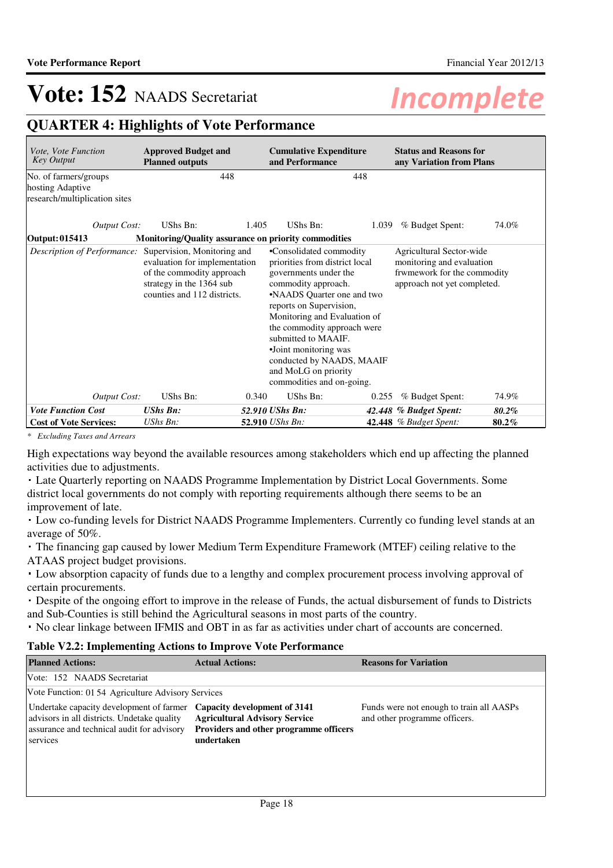## **QUARTER 4: Highlights of Vote Performance**

| Vote, Vote Function<br><b>Key Output</b>                                   | <b>Approved Budget and</b><br><b>Planned outputs</b>                                                                                                 | <b>Cumulative Expenditure</b><br>and Performance                                                                                                                                                                                                                                                                                                                    | <b>Status and Reasons for</b><br>any Variation from Plans                                                           |  |
|----------------------------------------------------------------------------|------------------------------------------------------------------------------------------------------------------------------------------------------|---------------------------------------------------------------------------------------------------------------------------------------------------------------------------------------------------------------------------------------------------------------------------------------------------------------------------------------------------------------------|---------------------------------------------------------------------------------------------------------------------|--|
| No. of farmers/groups<br>hosting Adaptive<br>research/multiplication sites | 448                                                                                                                                                  |                                                                                                                                                                                                                                                                                                                                                                     | 448                                                                                                                 |  |
| Output Cost:                                                               | UShs Bn:                                                                                                                                             | UShs Bn:<br>1.405                                                                                                                                                                                                                                                                                                                                                   | % Budget Spent:<br>1.039<br>74.0%                                                                                   |  |
| Output: 015413                                                             |                                                                                                                                                      | Monitoring/Quality assurance on priority commodities                                                                                                                                                                                                                                                                                                                |                                                                                                                     |  |
| Description of Performance:                                                | Supervision, Monitoring and<br>evaluation for implementation<br>of the commodity approach<br>strategy in the 1364 sub<br>counties and 112 districts. | •Consolidated commodity<br>priorities from district local<br>governments under the<br>commodity approach.<br>•NAADS Quarter one and two<br>reports on Supervision,<br>Monitoring and Evaluation of<br>the commodity approach were<br>submitted to MAAIF.<br>•Joint monitoring was<br>conducted by NAADS, MAAIF<br>and MoLG on priority<br>commodities and on-going. | Agricultural Sector-wide<br>monitoring and evaluation<br>frwmework for the commodity<br>approach not yet completed. |  |
| Output Cost:                                                               | UShs Bn:                                                                                                                                             | UShs Bn:<br>0.340                                                                                                                                                                                                                                                                                                                                                   | % Budget Spent:<br>74.9%<br>0.255                                                                                   |  |
| <b>Vote Function Cost</b>                                                  | <b>UShs Bn:</b>                                                                                                                                      | 52.910 UShs Bn:                                                                                                                                                                                                                                                                                                                                                     | 42.448 % Budget Spent:<br>80.2%                                                                                     |  |
| <b>Cost of Vote Services:</b>                                              | UShs Bn:                                                                                                                                             | 52.910 UShs Bn:                                                                                                                                                                                                                                                                                                                                                     | <b>42.448</b> % Budget Spent:<br>$80.2\%$                                                                           |  |

*\* Excluding Taxes and Arrears*

High expectations way beyond the available resources among stakeholders which end up affecting the planned activities due to adjustments.

 Late Quarterly reporting on NAADS Programme Implementation by District Local Governments. Some district local governments do not comply with reporting requirements although there seems to be an improvement of late.

 Low co-funding levels for District NAADS Programme Implementers. Currently co funding level stands at an average of 50%.

 The financing gap caused by lower Medium Term Expenditure Framework (MTEF) ceiling relative to the ATAAS project budget provisions.

 Low absorption capacity of funds due to a lengthy and complex procurement process involving approval of certain procurements.

 Despite of the ongoing effort to improve in the release of Funds, the actual disbursement of funds to Districts and Sub-Counties is still behind the Agricultural seasons in most parts of the country.

No clear linkage between IFMIS and OBT in as far as activities under chart of accounts are concerned.

### **Table V2.2: Implementing Actions to Improve Vote Performance**

| <b>Planned Actions:</b>                                                                                                                           | <b>Actual Actions:</b>                                                                                                       | <b>Reasons for Variation</b>                                              |
|---------------------------------------------------------------------------------------------------------------------------------------------------|------------------------------------------------------------------------------------------------------------------------------|---------------------------------------------------------------------------|
| Vote: 152 NAADS Secretariat                                                                                                                       |                                                                                                                              |                                                                           |
| Vote Function: 01 54 Agriculture Advisory Services                                                                                                |                                                                                                                              |                                                                           |
| Undertake capacity development of farmer<br>advisors in all districts. Undetake quality<br>assurance and technical audit for advisory<br>services | Capacity development of 3141<br><b>Agricultural Advisory Service</b><br>Providers and other programme officers<br>undertaken | Funds were not enough to train all AASPs<br>and other programme officers. |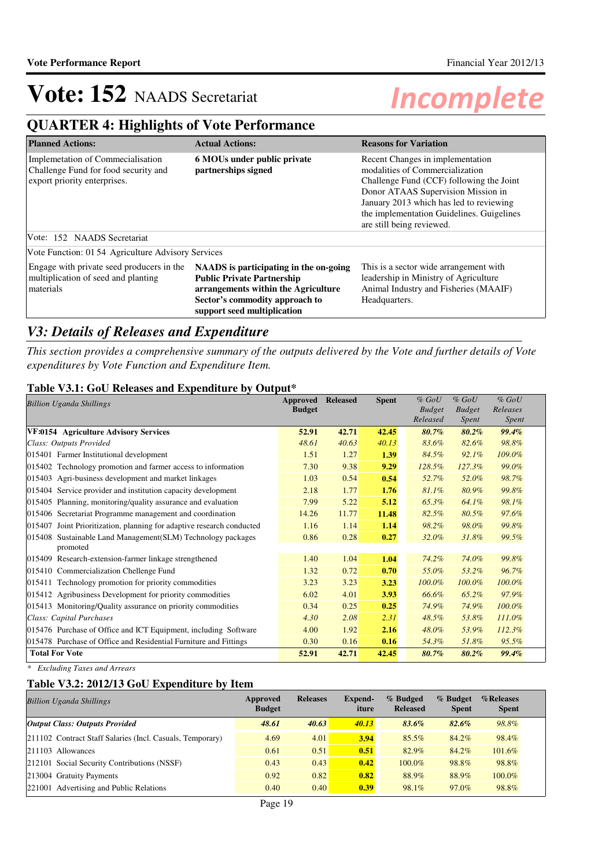## **QUARTER 4: Highlights of Vote Performance**

| <b>Planned Actions:</b>                                                                                   | <b>Actual Actions:</b>                                                                                                                                                              | <b>Reasons for Variation</b>                                                                                                                                                                                                                                               |
|-----------------------------------------------------------------------------------------------------------|-------------------------------------------------------------------------------------------------------------------------------------------------------------------------------------|----------------------------------------------------------------------------------------------------------------------------------------------------------------------------------------------------------------------------------------------------------------------------|
| Implemetation of Commecialisation<br>Challenge Fund for food security and<br>export priority enterprises. | 6 MOUs under public private<br>partnerships signed                                                                                                                                  | Recent Changes in implementation<br>modalities of Commercialization<br>Challenge Fund (CCF) following the Joint<br>Donor ATAAS Supervision Mission in<br>January 2013 which has led to reviewing<br>the implementation Guidelines. Guigelines<br>are still being reviewed. |
| Vote: 152 NAADS Secretariat                                                                               |                                                                                                                                                                                     |                                                                                                                                                                                                                                                                            |
| Vote Function: 01 54 Agriculture Advisory Services                                                        |                                                                                                                                                                                     |                                                                                                                                                                                                                                                                            |
| Engage with private seed producers in the<br>multiplication of seed and planting<br>materials             | NAADS is participating in the on-going<br><b>Public Private Partnership</b><br>arrangements within the Agriculture<br>Sector's commodity approach to<br>support seed multiplication | This is a sector wide arrangement with<br>leadership in Ministry of Agriculture<br>Animal Industry and Fisheries (MAAIF)<br>Headquarters.                                                                                                                                  |

## *V3: Details of Releases and Expenditure*

*This section provides a comprehensive summary of the outputs delivered by the Vote and further details of Vote expenditures by Vote Function and Expenditure Item.*

### **Table V3.1: GoU Releases and Expenditure by Output\***

| <b>Billion Uganda Shillings</b>                                          | Approved<br><b>Budget</b> | <b>Released</b> | <b>Spent</b> | $%$ GoU<br><b>Budget</b><br>Released | $%$ GoU<br><b>Budget</b><br>Spent | $%$ GoU<br>Releases<br><i>Spent</i> |
|--------------------------------------------------------------------------|---------------------------|-----------------|--------------|--------------------------------------|-----------------------------------|-------------------------------------|
| VF:0154 Agriculture Advisory Services                                    | 52.91                     | 42.71           | 42.45        | 80.7%                                | $80.2\%$                          | 99.4%                               |
| Class: Outputs Provided                                                  | 48.61                     | 40.63           | 40.13        | 83.6%                                | 82.6%                             | 98.8%                               |
| 015401 Farmer Institutional development                                  | 1.51                      | 1.27            | 1.39         | 84.5%                                | 92.1%                             | 109.0%                              |
| 015402 Technology promotion and farmer access to information             | 7.30                      | 9.38            | 9.29         | 128.5%                               | 127.3%                            | 99.0%                               |
| 015403 Agri-business development and market linkages                     | 1.03                      | 0.54            | 0.54         | 52.7%                                | 52.0%                             | 98.7%                               |
| 015404 Service provider and institution capacity development             | 2.18                      | 1.77            | 1.76         | 81.1%                                | 80.9%                             | 99.8%                               |
| 015405 Planning, monitoring/quality assurance and evaluation             | 7.99                      | 5.22            | 5.12         | 65.3%                                | 64.1%                             | 98.1%                               |
| 015406 Secretariat Programme management and coordination                 | 14.26                     | 11.77           | 11.48        | 82.5%                                | 80.5%                             | 97.6%                               |
| Joint Prioritization, planning for adaptive research conducted<br>015407 | 1.16                      | 1.14            | 1.14         | 98.2%                                | 98.0%                             | 99.8%                               |
| 015408 Sustainable Land Management(SLM) Technology packages<br>promoted  | 0.86                      | 0.28            | 0.27         | 32.0%                                | 31.8%                             | 99.5%                               |
| 015409 Research-extension-farmer linkage strengthened                    | 1.40                      | 1.04            | 1.04         | 74.2%                                | 74.0%                             | 99.8%                               |
| 015410 Commercialization Chellenge Fund                                  | 1.32                      | 0.72            | 0.70         | 55.0%                                | 53.2%                             | 96.7%                               |
| 015411 Technology promotion for priority commodities                     | 3.23                      | 3.23            | 3.23         | 100.0%                               | 100.0%                            | 100.0%                              |
| 015412 Agribusiness Development for priority commodities                 | 6.02                      | 4.01            | 3.93         | 66.6%                                | 65.2%                             | 97.9%                               |
| 015413 Monitoring/Quality assurance on priority commodities              | 0.34                      | 0.25            | 0.25         | 74.9%                                | 74.9%                             | 100.0%                              |
| Class: Capital Purchases                                                 | 4.30                      | 2.08            | 2.31         | 48.5%                                | 53.8%                             | $111.0\%$                           |
| 015476 Purchase of Office and ICT Equipment, including Software          | 4.00                      | 1.92            | 2.16         | 48.0%                                | 53.9%                             | 112.3%                              |
| 015478 Purchase of Office and Residential Furniture and Fittings         | 0.30                      | 0.16            | 0.16         | 54.3%                                | 51.8%                             | 95.5%                               |
| <b>Total For Vote</b>                                                    | 52.91                     | 42.71           | 42.45        | 80.7%                                | $80.2\%$                          | 99.4%                               |

*\* Excluding Taxes and Arrears*

### **Table V3.2: 2012/13 GoU Expenditure by Item**

| <b>Billion Uganda Shillings</b>                           | Approved<br><b>Budget</b> | <b>Releases</b> | <b>Expend-</b><br>iture | % Budged<br><b>Released</b> | % Budget<br><b>Spent</b> | %Releases<br><b>Spent</b> |
|-----------------------------------------------------------|---------------------------|-----------------|-------------------------|-----------------------------|--------------------------|---------------------------|
| <b>Output Class: Outputs Provided</b>                     | 48.61                     | 40.63           | 40.13                   | 83.6%                       | $82.6\%$                 | 98.8%                     |
| 211102 Contract Staff Salaries (Incl. Casuals, Temporary) | 4.69                      | 4.01            | 3.94                    | $85.5\%$                    | 84.2%                    | 98.4%                     |
| $ 211103$ Allowances                                      | 0.61                      | 0.51            | 0.51                    | 82.9%                       | 84.2%                    | 101.6%                    |
| 212101 Social Security Contributions (NSSF)               | 0.43                      | 0.43            | 0.42                    | $100.0\%$                   | 98.8%                    | 98.8%                     |
| 213004 Gratuity Payments                                  | 0.92                      | 0.82            | 0.82                    | 88.9%                       | 88.9%                    | 100.0%                    |
| 221001 Advertising and Public Relations                   | 0.40                      | 0.40            | 0.39                    | 98.1%                       | 97.0%                    | 98.8%                     |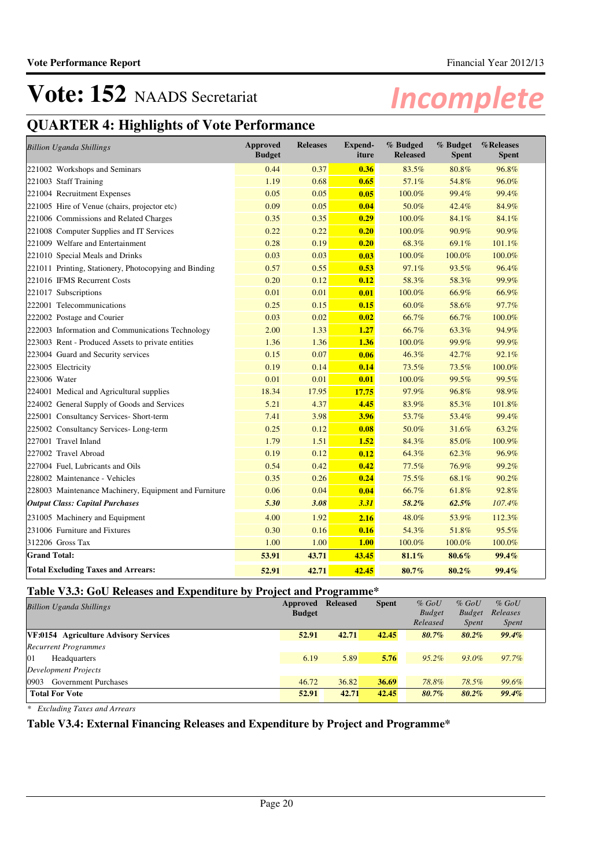## **QUARTER 4: Highlights of Vote Performance**

| <b>Billion Uganda Shillings</b>                       | <b>Approved</b><br><b>Budget</b> | <b>Releases</b> | <b>Expend-</b><br>iture | % Budged<br><b>Released</b> | % Budget<br><b>Spent</b> | %Releases<br><b>Spent</b> |
|-------------------------------------------------------|----------------------------------|-----------------|-------------------------|-----------------------------|--------------------------|---------------------------|
| 221002 Workshops and Seminars                         | 0.44                             | 0.37            | 0.36                    | 83.5%                       | 80.8%                    | 96.8%                     |
| 221003 Staff Training                                 | 1.19                             | 0.68            | 0.65                    | 57.1%                       | 54.8%                    | 96.0%                     |
| 221004 Recruitment Expenses                           | 0.05                             | 0.05            | 0.05                    | 100.0%                      | 99.4%                    | 99.4%                     |
| 221005 Hire of Venue (chairs, projector etc)          | 0.09                             | 0.05            | 0.04                    | 50.0%                       | 42.4%                    | 84.9%                     |
| 221006 Commissions and Related Charges                | 0.35                             | 0.35            | 0.29                    | 100.0%                      | 84.1%                    | 84.1%                     |
| 221008 Computer Supplies and IT Services              | 0.22                             | 0.22            | 0.20                    | 100.0%                      | 90.9%                    | 90.9%                     |
| 221009 Welfare and Entertainment                      | 0.28                             | 0.19            | 0.20                    | 68.3%                       | 69.1%                    | 101.1%                    |
| 221010 Special Meals and Drinks                       | 0.03                             | 0.03            | 0.03                    | 100.0%                      | 100.0%                   | 100.0%                    |
| 221011 Printing, Stationery, Photocopying and Binding | 0.57                             | 0.55            | 0.53                    | 97.1%                       | 93.5%                    | 96.4%                     |
| 221016 IFMS Recurrent Costs                           | 0.20                             | 0.12            | 0.12                    | 58.3%                       | 58.3%                    | 99.9%                     |
| 221017 Subscriptions                                  | 0.01                             | 0.01            | 0.01                    | 100.0%                      | 66.9%                    | 66.9%                     |
| 222001 Telecommunications                             | 0.25                             | 0.15            | 0.15                    | 60.0%                       | 58.6%                    | 97.7%                     |
| 222002 Postage and Courier                            | 0.03                             | 0.02            | 0.02                    | 66.7%                       | 66.7%                    | 100.0%                    |
| 222003 Information and Communications Technology      | 2.00                             | 1.33            | 1.27                    | 66.7%                       | 63.3%                    | 94.9%                     |
| 223003 Rent - Produced Assets to private entities     | 1.36                             | 1.36            | 1.36                    | 100.0%                      | 99.9%                    | 99.9%                     |
| 223004 Guard and Security services                    | 0.15                             | 0.07            | 0.06                    | 46.3%                       | 42.7%                    | 92.1%                     |
| 223005 Electricity                                    | 0.19                             | 0.14            | 0.14                    | 73.5%                       | 73.5%                    | 100.0%                    |
| 223006 Water                                          | 0.01                             | 0.01            | 0.01                    | 100.0%                      | 99.5%                    | 99.5%                     |
| 224001 Medical and Agricultural supplies              | 18.34                            | 17.95           | 17.75                   | 97.9%                       | 96.8%                    | 98.9%                     |
| 224002 General Supply of Goods and Services           | 5.21                             | 4.37            | 4.45                    | 83.9%                       | 85.3%                    | 101.8%                    |
| 225001 Consultancy Services- Short-term               | 7.41                             | 3.98            | 3.96                    | 53.7%                       | 53.4%                    | 99.4%                     |
| 225002 Consultancy Services-Long-term                 | 0.25                             | 0.12            | 0.08                    | 50.0%                       | 31.6%                    | 63.2%                     |
| 227001 Travel Inland                                  | 1.79                             | 1.51            | 1.52                    | 84.3%                       | 85.0%                    | 100.9%                    |
| 227002 Travel Abroad                                  | 0.19                             | 0.12            | 0.12                    | 64.3%                       | 62.3%                    | 96.9%                     |
| 227004 Fuel, Lubricants and Oils                      | 0.54                             | 0.42            | 0.42                    | 77.5%                       | 76.9%                    | 99.2%                     |
| 228002 Maintenance - Vehicles                         | 0.35                             | 0.26            | 0.24                    | 75.5%                       | 68.1%                    | 90.2%                     |
| 228003 Maintenance Machinery, Equipment and Furniture | 0.06                             | 0.04            | 0.04                    | 66.7%                       | 61.8%                    | 92.8%                     |
| <b>Output Class: Capital Purchases</b>                | 5.30                             | 3.08            | 3.31                    | 58.2%                       | 62.5%                    | 107.4%                    |
| 231005 Machinery and Equipment                        | 4.00                             | 1.92            | 2.16                    | 48.0%                       | 53.9%                    | 112.3%                    |
| 231006 Furniture and Fixtures                         | 0.30                             | 0.16            | 0.16                    | 54.3%                       | 51.8%                    | 95.5%                     |
| 312206 Gross Tax                                      | 1.00                             | 1.00            | 1.00                    | 100.0%                      | 100.0%                   | 100.0%                    |
| <b>Grand Total:</b>                                   | 53.91                            | 43.71           | 43.45                   | 81.1%                       | 80.6%                    | 99.4%                     |
| <b>Total Excluding Taxes and Arrears:</b>             | 52.91                            | 42.71           | 42.45                   | 80.7%                       | 80.2%                    | 99.4%                     |

## **Table V3.3: GoU Releases and Expenditure by Project and Programme\***

| <b>Billion Uganda Shillings</b>       | Approved<br><b>Budget</b> | Released | <b>Spent</b> | $%$ GoU<br><b>Budget</b><br>Released | $%$ GoU<br><b>Budget</b><br><i>Spent</i> | $%$ GoU<br>Releases<br><i>Spent</i> |
|---------------------------------------|---------------------------|----------|--------------|--------------------------------------|------------------------------------------|-------------------------------------|
| VF:0154 Agriculture Advisory Services | 52.91                     | 42.71    | 42.45        | 80.7%                                | $80.2\%$                                 | 99.4%                               |
| <b>Recurrent Programmes</b>           |                           |          |              |                                      |                                          |                                     |
| 01<br>Headquarters                    | 6.19                      | 5.89     | 5.76         | $95.2\%$                             | 93.0%                                    | 97.7%                               |
| Development Projects                  |                           |          |              |                                      |                                          |                                     |
| 0903<br><b>Government Purchases</b>   | 46.72                     | 36.82    | 36.69        | 78.8%                                | 78.5%                                    | 99.6%                               |
| <b>Total For Vote</b>                 | 52.91                     | 42.71    | 42.45        | 80.7%                                | $80.2\%$                                 | 99.4%                               |

*\* Excluding Taxes and Arrears*

## **Table V3.4: External Financing Releases and Expenditure by Project and Programme\***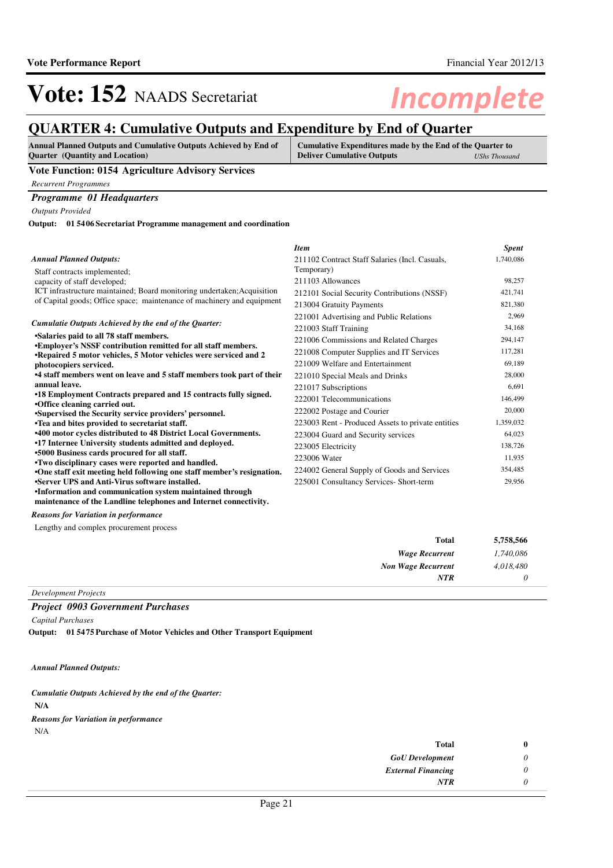## **QUARTER 4: Cumulative Outputs and Expenditure by End of Quarter**

| <b>Annual Planned Outputs and Cumulative Outputs Achieved by End of</b> | Cumulative Expenditures made by the End of the Quarter to |                      |
|-------------------------------------------------------------------------|-----------------------------------------------------------|----------------------|
| <b>Quarter</b> (Quantity and Location)                                  | <b>Deliver Cumulative Outputs</b>                         | <b>UShs Thousand</b> |

### **Vote Function: 0154 Agriculture Advisory Services**

*Recurrent Programmes*

## *Programme 01 Headquarters*

*Outputs Provided*

**01 5406 Secretariat Programme management and coordination Output:**

|                                                                                                                                          | <b>Item</b>                                       | <b>Spent</b> |
|------------------------------------------------------------------------------------------------------------------------------------------|---------------------------------------------------|--------------|
| <b>Annual Planned Outputs:</b>                                                                                                           | 211102 Contract Staff Salaries (Incl. Casuals,    | 1,740,086    |
| Staff contracts implemented;                                                                                                             | Temporary)                                        |              |
| capacity of staff developed;                                                                                                             | 211103 Allowances                                 | 98,257       |
| ICT infrastructure maintained; Board monitoring undertaken; Acquisition                                                                  | 212101 Social Security Contributions (NSSF)       | 421,741      |
| of Capital goods; Office space; maintenance of machinery and equipment                                                                   | 213004 Gratuity Payments                          | 821,380      |
|                                                                                                                                          | 221001 Advertising and Public Relations           | 2,969        |
| Cumulatie Outputs Achieved by the end of the Quarter:                                                                                    | 221003 Staff Training                             | 34,168       |
| •Salaries paid to all 78 staff members.                                                                                                  | 221006 Commissions and Related Charges            | 294,147      |
| <b>.Employer's NSSF contribution remitted for all staff members.</b><br>•Repaired 5 motor vehicles, 5 Motor vehicles were serviced and 2 | 221008 Computer Supplies and IT Services          | 117,281      |
| photocopiers serviced.                                                                                                                   | 221009 Welfare and Entertainment                  | 69,189       |
| •4 staff members went on leave and 5 staff members took part of their                                                                    | 221010 Special Meals and Drinks                   | 28,000       |
| annual leave.                                                                                                                            | 221017 Subscriptions                              | 6,691        |
| •18 Employment Contracts prepared and 15 contracts fully signed.                                                                         | 222001 Telecommunications                         | 146,499      |
| •Office cleaning carried out.<br>•Supervised the Security service providers' personnel.                                                  | 222002 Postage and Courier                        | 20,000       |
| •Tea and bites provided to secretariat staff.                                                                                            | 223003 Rent - Produced Assets to private entities | 1,359,032    |
| <b>.400 motor cycles distributed to 48 District Local Governments.</b>                                                                   | 223004 Guard and Security services                | 64,023       |
| •17 Internee University students admitted and deployed.                                                                                  | 223005 Electricity                                | 138,726      |
| •5000 Business cards procured for all staff.                                                                                             | 223006 Water                                      | 11,935       |
| •Two disciplinary cases were reported and handled.<br>•One staff exit meeting held following one staff member's resignation.             | 224002 General Supply of Goods and Services       | 354,485      |
| .Server UPS and Anti-Virus software installed.                                                                                           | 225001 Consultancy Services- Short-term           | 29,956       |
| •Information and communication system maintained through<br>maintenance of the Landline telephones and Internet connectivity.            |                                                   |              |
| <b>Reasons for Variation in performance</b>                                                                                              |                                                   |              |
| Lengthy and complex procurement process                                                                                                  |                                                   |              |
|                                                                                                                                          |                                                   |              |

| 5,758,566 | Total                     |
|-----------|---------------------------|
| 1,740,086 | <b>Wage Recurrent</b>     |
| 4,018,480 | <b>Non Wage Recurrent</b> |
|           | <b>NTR</b>                |

*Development Projects*

### *Project 0903 Government Purchases*

*Capital Purchases*

**01 5475 Purchase of Motor Vehicles and Other Transport Equipment Output:**

*Annual Planned Outputs:*

**N/A** *Cumulatie Outputs Achieved by the end of the Quarter:*

*Reasons for Variation in performance*

N/A

| Total                     |
|---------------------------|
| <b>GoU</b> Development    |
| <b>External Financing</b> |
| <b>NTR</b>                |
|                           |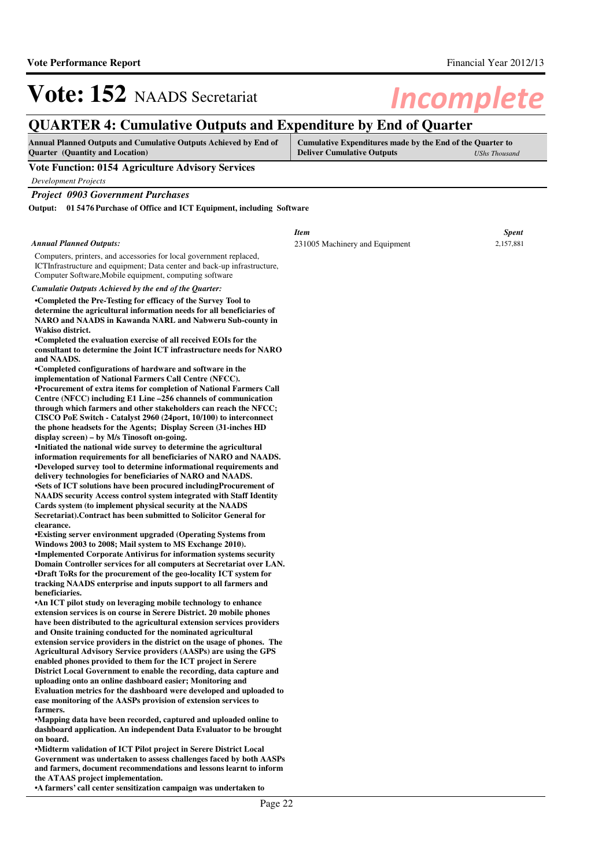## **QUARTER 4: Cumulative Outputs and Expenditure by End of Quarter**

| <b>Annual Planned Outputs and Cumulative Outputs Achieved by End of</b> | Cumulative Expenditures made by the End of the Quarter to |               |
|-------------------------------------------------------------------------|-----------------------------------------------------------|---------------|
| <b>Ouarter</b> (Quantity and Location)                                  | <b>Deliver Cumulative Outputs</b>                         | UShs Thousand |

**Vote Function: 0154 Agriculture Advisory Services**

*Development Projects*

*Project 0903 Government Purchases*

**01 5476 Purchase of Office and ICT Equipment, including Software Output:**

*Annual Planned Outputs:*

Computers, printers, and accessories for local government replaced, ICTInfrastructure and equipment; Data center and back-up infrastructure, Computer Software,Mobile equipment, computing software

*Cumulatie Outputs Achieved by the end of the Quarter:*

**•Completed the Pre-Testing for efficacy of the Survey Tool to determine the agricultural information needs for all beneficiaries of NARO and NAADS in Kawanda NARL and Nabweru Sub-county in Wakiso district.**

**•Completed the evaluation exercise of all received EOIs for the consultant to determine the Joint ICT infrastructure needs for NARO and NAADS.**

**•Completed configurations of hardware and software in the implementation of National Farmers Call Centre (NFCC). •Procurement of extra items for completion of National Farmers Call Centre (NFCC) including E1 Line –256 channels of communication through which farmers and other stakeholders can reach the NFCC; CISCO PoE Switch - Catalyst 2960 (24port, 10/100) to interconnect the phone headsets for the Agents; Display Screen (31-inches HD display screen) – by M/s Tinosoft on-going.**

**•Initiated the national wide survey to determine th e agricultural information requirements for all beneficiaries of NARO and NAADS.** •Developed survey tool to determine informational requirements and **delivery technologies for beneficiaries of NARO and NAADS. •Sets of ICT solutions have been procured including Procurement of NAADS security Access control system integrated with Staff Identity Cards system (to implement physical security at the NAADS Secretariat).Contract has been submitted to Solicitor General for clearance.** 

**•Existing server environment upgraded (Operating Sy stems from Windows 2003 to 2008; Mail system to MS Exchange 2010). •Implemented Corporate Antivirus for information sy stems security Domain Controller services for all computers at Secretariat over LAN. •Draft ToRs for the procurement of the geo-locality ICT system for tracking NAADS enterprise and inputs support to all farmers and beneficiaries.**

**•An ICT pilot study on leveraging mobile technology to enhance extension services is on course in Serere District. 20 mobile phones have been distributed to the agricultural extension services providers and Onsite training conducted for the nominated agricultural extension service providers in the district on the usage of phones. The Agricultural Advisory Service providers (AASPs) are using the GPS enabled phones provided to them for the ICT project in Serere District Local Government to enable the recording, data capture and uploading onto an online dashboard easier; Monitoring and Evaluation metrics for the dashboard were developed and uploaded to ease monitoring of the AASPs provision of extension services to farmers.**

•Mapping data have been recorded, captured and uploaded online to **dashboard application. An independent Data Evaluator to be brought on board.**

**•Midterm validation of ICT Pilot project in Serere District Local Government was undertaken to assess challenges faced by both AASPs and farmers, document recommendations and lessons learnt to inform the ATAAS project implementation.**

**•A farmers' call center sensitization campaign was undertaken to** 

| vare                                          |                           |
|-----------------------------------------------|---------------------------|
| <b>Item</b><br>231005 Machinery and Equipment | <b>Spent</b><br>2,157,881 |
|                                               |                           |
|                                               |                           |
|                                               |                           |
|                                               |                           |
|                                               |                           |
|                                               |                           |
|                                               |                           |
|                                               |                           |
|                                               |                           |
|                                               |                           |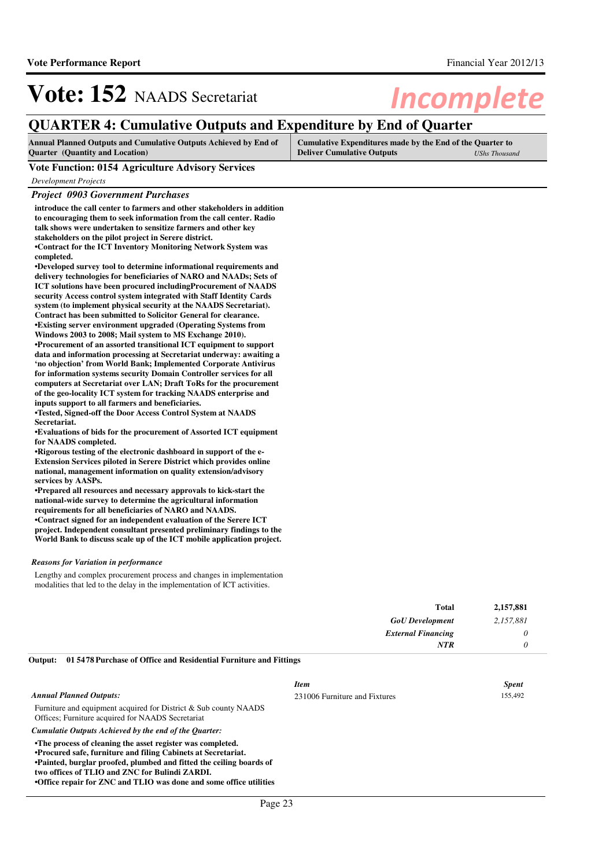## **QUARTER 4: Cumulative Outputs and Expenditure by End of Quarter**

| <b>Annual Planned Outputs and Cumulative Outputs Achieved by End of</b> | Cumulative Expenditures made by the End of the Quarter to |                      |
|-------------------------------------------------------------------------|-----------------------------------------------------------|----------------------|
| <b>Quarter</b> (Quantity and Location)                                  | <b>Deliver Cumulative Outputs</b>                         | <b>UShs Thousand</b> |

#### **Vote Function: 0154 Agriculture Advisory Services**

*Development Projects*

### *Project 0903 Government Purchases*

**introduce the call center to farmers and other stakeholders in addition to encouraging them to seek information from the call center. Radio talk shows were undertaken to sensitize farmers and other key stakeholders on the pilot project in Serere district. •Contract for the ICT Inventory Monitoring Network System was completed.**

**•Developed survey tool to determine informational r equirements and delivery technologies for beneficiaries of NARO and NAADs; Sets of ICT solutions have been procured includingProcurement of NAADS security Access control system integrated with Staff Identity Cards system (to implement physical security at the NAADS Secretariat). Contract has been submitted to Solicitor General for clearance. •Existing server environment upgraded (Operating Sy stems from Windows 2003 to 2008; Mail system to MS Exchange 2010). •Procurement of an assorted transitional ICT equipment to support data and information processing at Secretariat underway: awaiting a 'no objection' from World Bank; Implemented Corporate Antivirus for information systems security Domain Controller services for all computers at Secretariat over LAN; Draft ToRs for the procurement of the geo-locality ICT system for tracking NAADS enterprise and inputs support to all farmers and beneficiaries.**

**•Tested, Signed-off the Door Access Control System at NAADS Secretariat.**

**•Evaluations of bids for the procurement of Assorte d ICT equipment for NAADS completed.**

•Rigorous testing of the electronic dashboard in support of the e-**Extension Services piloted in Serere District which provides online national, management information on quality extension/advisory services by AASPs.**

**•Prepared all resources and necessary approvals to kick-start the national-wide survey to determine the agricultural information requirements for all beneficiaries of NARO and NAADS. •Contract signed for an independent evaluation of t he Serere ICT project. Independent consultant presented preliminary findings to the World Bank to discuss scale up of the ICT mobile application project.**

#### *Reasons for Variation in performance*

Lengthy and complex procurement process and changes in implementation modalities that led to the delay in the implementation of ICT activities.

|                                                                           | Total                     | 2,157,881 |
|---------------------------------------------------------------------------|---------------------------|-----------|
|                                                                           | <b>GoU</b> Development    | 2,157,881 |
|                                                                           | <b>External Financing</b> |           |
|                                                                           | NTR                       |           |
| Output: 01 5478 Purchase of Office and Residential Furniture and Fittings |                           |           |

|                                                                                                                                                                                                                                                                                                                            | <b>Item</b>                   | <b>Spent</b> |
|----------------------------------------------------------------------------------------------------------------------------------------------------------------------------------------------------------------------------------------------------------------------------------------------------------------------------|-------------------------------|--------------|
| <b>Annual Planned Outputs:</b>                                                                                                                                                                                                                                                                                             | 231006 Furniture and Fixtures | 155,492      |
| Furniture and equipment acquired for District $&$ Sub county NAADS<br>Offices: Furniture acquired for NAADS Secretariat                                                                                                                                                                                                    |                               |              |
| Cumulatie Outputs Achieved by the end of the Quarter:                                                                                                                                                                                                                                                                      |                               |              |
| •The process of cleaning the asset register was completed.<br>•Procured safe, furniture and filing Cabinets at Secretariat.<br>•Painted, burglar proofed, plumbed and fitted the ceiling boards of<br>two offices of TLIO and ZNC for Bulindi ZARDI.<br>•Office repair for ZNC and TLIO was done and some office utilities |                               |              |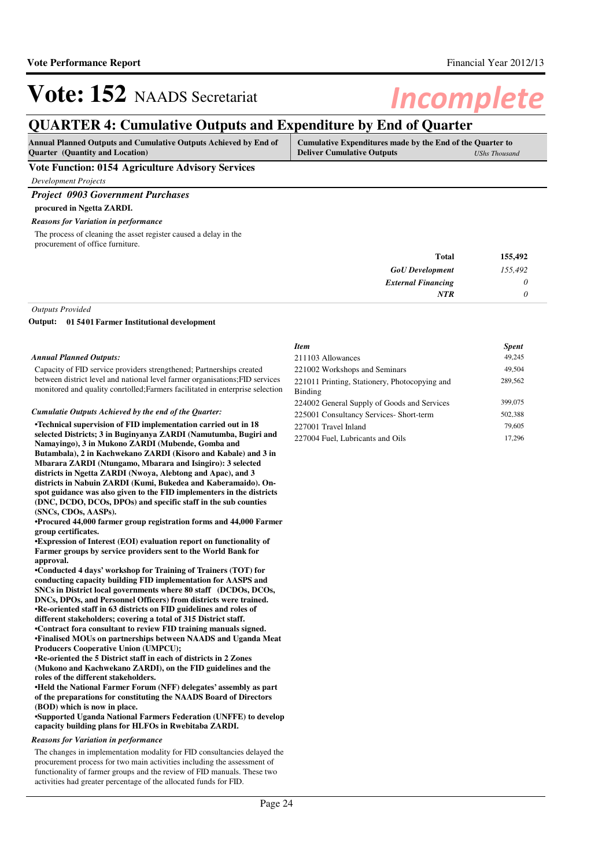## **QUARTER 4: Cumulative Outputs and Expenditure by End of Quarter**

| <b>Annual Planned Outputs and Cumulative Outputs Achieved by End of</b> | Cumulative Expenditures made by the End of the Quarter to |               |
|-------------------------------------------------------------------------|-----------------------------------------------------------|---------------|
| <b>Ouarter</b> (Quantity and Location)                                  | <b>Deliver Cumulative Outputs</b>                         | UShs Thousand |

### **Vote Function: 0154 Agriculture Advisory Services**

*Development Projects*

### *Project 0903 Government Purchases*

**procured in Ngetta ZARDI.**

### *Reasons for Variation in performance*

The process of cleaning the asset register caused a delay in the procurement of office furniture.

| 155,492  |
|----------|
| 155,492  |
| $\theta$ |
|          |
|          |

### *Outputs Provided*

**01 5401 Farmer Institutional development Output:**

### *Annual Planned Outputs:*

Capacity of FID service providers strengthened; Partnerships created between district level and national level farmer organisations;FID services monitored and quality conrtolled;Farmers facilitated in enterprise selection

#### *Cumulatie Outputs Achieved by the end of the Quarter:*

**•Technical supervision of FID implementation carrie d out in 18 selected Districts; 3 in Buginyanya ZARDI (Namutumba, Bugiri and Namayingo), 3 in Mukono ZARDI (Mubende, Gomba and Butambala), 2 in Kachwekano ZARDI (Kisoro and Kabale) and 3 in Mbarara ZARDI (Ntungamo, Mbarara and Isingiro): 3 selected districts in Ngetta ZARDI (Nwoya, Alebtong and Apac), and 3 districts in Nabuin ZARDI (Kumi, Bukedea and Kaberamaido). Onspot guidance was also given to the FID implementers in the districts (DNC, DCDO, DCOs, DPOs) and specific staff in the sub counties (SNCs, CDOs, AASPs).**

**•Procured 44,000 farmer group registration forms an d 44,000 Farmer group certificates.**

**•Expression of Interest (EOI) evaluation report on functionality of Farmer groups by service providers sent to the World Bank for approval.**

**•Conducted 4 days' workshop for Training of Trainer s (TOT) for conducting capacity building FID implementation for AASPS and SNCs in District local governments where 80 staff (DCDOs, DCOs, DNCs, DPOs, and Personnel Officers) from districts were trained. •Re-oriented staff in 63 districts on FID guideline s and roles of different stakeholders; covering a total of 315 District staff.** •Contract fora consultant to review FID training manuals signed. **•Finalised MOUs on partnerships between NAADS and Uganda Meat Producers Cooperative Union (UMPCU);**

**•Re-oriented the 5 District staff in each of districts in 2 Zones (Mukono and Kachwekano ZARDI), on the FID guidelines and the roles of the different stakeholders.**

**•Held the National Farmer Forum (NFF) delegates' as sembly as part of the preparations for constituting the NAADS Board of Directors (BOD) which is now in place.**

**•Supported Uganda National Farmers Federation (UNFFE) to develop capacity building plans for HLFOs in Rwebitaba ZARDI.**

### *Reasons for Variation in performance*

The changes in implementation modality for FID consultancies delayed the procurement process for two main activities including the assessment of functionality of farmer groups and the review of FID manuals. These two activities had greater percentage of the allocated funds for FID.

| Item                                                     | <b>Spent</b> |
|----------------------------------------------------------|--------------|
| 211103 Allowances                                        | 49,245       |
| 221002 Workshops and Seminars                            | 49,504       |
| 221011 Printing, Stationery, Photocopying and<br>Binding | 289,562      |
| 224002 General Supply of Goods and Services              | 399,075      |
| 225001 Consultancy Services- Short-term                  | 502,388      |
| 227001 Travel Inland                                     | 79,605       |
| 227004 Fuel, Lubricants and Oils                         | 17.296       |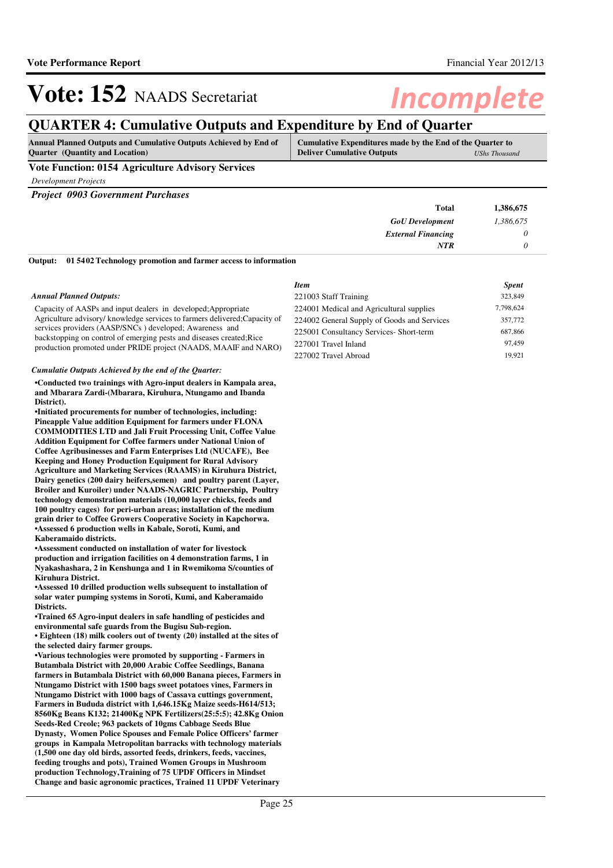## **QUARTER 4: Cumulative Outputs and Expenditure by End of Quarter**

| <b>Annual Planned Outputs and Cumulative Outputs Achieved by End of</b> | Cumulative Expenditures made by the End of the Quarter to |
|-------------------------------------------------------------------------|-----------------------------------------------------------|
| <b>Ouarter</b> (Quantity and Location)                                  | <b>Deliver Cumulative Outputs</b><br>UShs Thousand        |
| ___                                                                     |                                                           |

### **Vote Function: 0154 Agriculture Advisory Services**

*Development Projects*

*Project 0903 Government Purchases*

| <b>Total</b>                                                                                                           | 1,386,675 |
|------------------------------------------------------------------------------------------------------------------------|-----------|
| <b>GoU</b> Development                                                                                                 | 1,386,675 |
| <b>External Financing</b>                                                                                              |           |
| <b>NTR</b>                                                                                                             |           |
| $\alpha$ , $\alpha$ , $\alpha$ , $\alpha$ , $\alpha$ , $\alpha$ , $\alpha$ , $\alpha$ , $\alpha$ , $\alpha$ , $\alpha$ |           |

**01 5402 Technology promotion and farmer access to information Output:**

#### *Annual Planned Outputs:*

Capacity of AASPs and input dealers in developed;Appropriate Agriculture advisory/ knowledge services to farmers delivered;Capacity of services providers (AASP/SNCs ) developed; Awareness and backstopping on control of emerging pests and diseases created;Rice production promoted under PRIDE project (NAADS, MAAIF and NARO)

#### *Cumulatie Outputs Achieved by the end of the Quarter:*

**•Conducted two trainings with Agro-input dealers in Kampala area, and Mbarara Zardi-(Mbarara, Kiruhura, Ntungamo and Ibanda District).**

**•Initiated procurements for number of technologies, including: Pineapple Value addition Equipment for farmers under FLONA COMMODITIES LTD and Jali Fruit Processing Unit, Coffee Value Addition Equipment for Coffee farmers under National Union of Coffee Agribusinesses and Farm Enterprises Ltd (NUCAFE), Bee Keeping and Honey Production Equipment for Rural Advisory Agriculture and Marketing Services (RAAMS) in Kiruhura District, Dairy genetics (200 dairy heifers,semen) and poultry parent (Layer, Broiler and Kuroiler) under NAADS-NAGRIC Partnership, Poultry technology demonstration materials (10,000 layer chicks, feeds and 100 poultry cages) for peri-urban areas; installation of the medium grain drier to Coffee Growers Cooperative Society in Kapchorwa. •Assessed 6 production wells in Kabale, Soroti, Kumi, and Kaberamaido districts.**

**•Assessment conducted on installation of water for livestock production and irrigation facilities on 4 demonstration farms, 1 in Nyakashashara, 2 in Kenshunga and 1 in Rwemikoma S/counties of Kiruhura District.**

**•Assessed 10 drilled production wells subsequent to installation of solar water pumping systems in Soroti, Kumi, and Kaberamaido Districts.**

**•Trained 65 Agro-input dealers in safe handling of pesticides and environmental safe guards from the Bugisu Sub-region.**

• Eighteen (18) milk coolers out of twenty (20) installed at the sites of **the selected dairy farmer groups.**

**•Various technologies were promoted by supporting - Farmers in Butambala District with 20,000 Arabic Coffee Seedlings, Banana farmers in Butambala District with 60,000 Banana pieces, Farmers in Ntungamo District with 1500 bags sweet potatoes vines, Farmers in Ntungamo District with 1000 bags of Cassava cuttings government, Farmers in Bududa district with 1,646.15Kg Maize seeds-H614/513; 8560Kg Beans K132; 21400Kg NPK Fertilizers(25:5:5); 42.8Kg Onion Seeds-Red Creole; 963 packets of 10gms Cabbage Seeds Blue Dynasty, Women Police Spouses and Female Police Officers' farmer groups in Kampala Metropolitan barracks with technology materials (1,500 one day old birds, assorted feeds, drinkers, feeds, vaccines, feeding troughs and pots), Trained Women Groups in Mushroom production Technology,Training of 75 UPDF Officers in Mindset Change and basic agronomic practices, Trained 11 UPDF Veterinary** 

| Item                                        | <b>Spent</b> |
|---------------------------------------------|--------------|
| 221003 Staff Training                       | 323,849      |
| 224001 Medical and Agricultural supplies    | 7,798,624    |
| 224002 General Supply of Goods and Services | 357,772      |
| 225001 Consultancy Services- Short-term     | 687,866      |
| 227001 Travel Inland                        | 97.459       |
| 227002 Travel Abroad                        | 19.921       |
|                                             |              |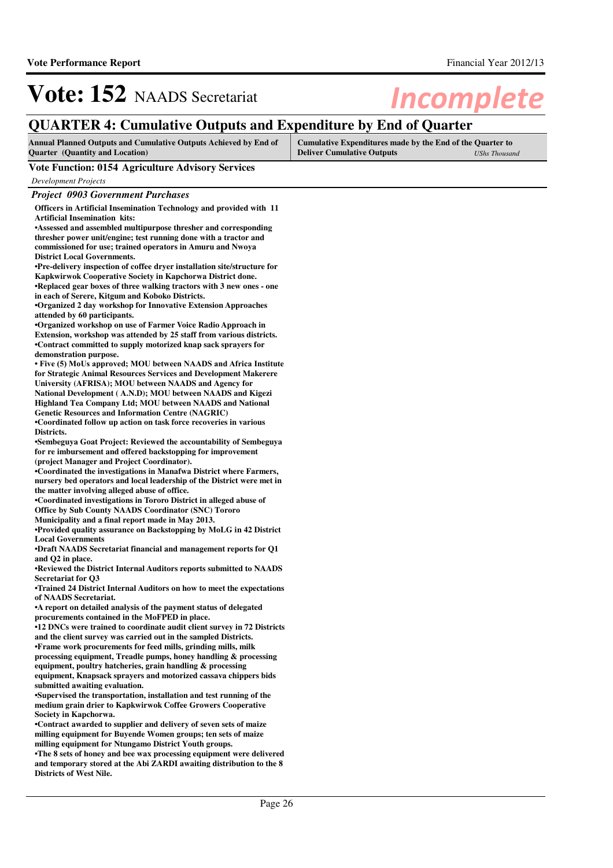## **QUARTER 4: Cumulative Outputs and Expenditure by End of Quarter**

| <b>Annual Planned Outputs and Cumulative Outputs Achieved by End of</b> | Cumulative Expenditures made by the End of the Quarter to |               |
|-------------------------------------------------------------------------|-----------------------------------------------------------|---------------|
| <b>Ouarter</b> (Quantity and Location)                                  | <b>Deliver Cumulative Outputs</b>                         | UShs Thousand |

### **Vote Function: 0154 Agriculture Advisory Services**

*Development Projects*

*Project 0903 Government Purchases*

**Officers in Artificial Insemination Technology and provided with 11 Artificial Insemination kits:** 

**•Assessed and assembled multipurpose thresher and c orresponding thresher power unit/engine; test running done with a tractor and commissioned for use; trained operators in Amuru and Nwoya District Local Governments.**

**•Pre-delivery inspection of coffee dryer installation site/structure for Kapkwirwok Cooperative Society in Kapchorwa District done. •Replaced gear boxes of three walking tractors with 3 new ones - one in each of Serere, Kitgum and Koboko Districts.**

**•Organized 2 day workshop for Innovative Extension Approaches attended by 60 participants.**

**•Organized workshop on use of Farmer Voice Radio Approach in Extension, workshop was attended by 25 staff from various districts. •Contract committed to supply motorized knap sack s prayers for demonstration purpose.**

**•** Five (5) MoUs approved; MOU between NAADS and Africa Institute **for Strategic Animal Resources Services and Development Makerere University (AFRISA); MOU between NAADS and Agency for National Development ( A.N.D); MOU between NAADS and Kigezi Highland Tea Company Ltd; MOU between NAADS and National Genetic Resources and Information Centre (NAGRIC) •Coordinated follow up action on task force recover ies in various** 

**Districts.**

**•Sembeguya Goat Project: Reviewed the accountability of Sembeguya for re imbursement and offered backstopping for improvement (project Manager and Project Coordinator).**

**•Coordinated the investigations in Manafwa District where Farmers, nursery bed operators and local leadership of the District were met in the matter involving alleged abuse of office.**

**•Coordinated investigations in Tororo District in a lleged abuse of Office by Sub County NAADS Coordinator (SNC) Tororo**

**Municipality and a final report made in May 2013.**

**•Provided quality assurance on Backstopping by MoLG in 42 District Local Governments**

**•Draft NAADS Secretariat financial and management r eports for Q1 and Q2 in place.**

**•Reviewed the District Internal Auditors reports submitted to NAADS Secretariat for Q3**

•Trained 24 District Internal Auditors on how to meet the expectations **of NAADS Secretariat.**

**•A report on detailed analysis of the payment status of delegated procurements contained in the MoFPED in place.**

•12 DNCs were trained to coordinate audit client survey in 72 Districts **and the client survey was carried out in the sampled Districts. •Frame work procurements for feed mills, grinding mills, milk processing equipment, Treadle pumps, honey handling & processing equipment, poultry hatcheries, grain handling & processing equipment, Knapsack sprayers and motorized cassava chippers bids submitted awaiting evaluation.**

**•Supervised the transportation, installation and test running of the medium grain drier to Kapkwirwok Coffee Growers Cooperative Society in Kapchorwa.**

**•Contract awarded to supplier and delivery of seven sets of maize milling equipment for Buyende Women groups; ten sets of maize milling equipment for Ntungamo District Youth groups.**

•The 8 sets of honey and bee wax processing equipment were delivered **and temporary stored at the Abi ZARDI awaiting distribution to the 8 Districts of West Nile.**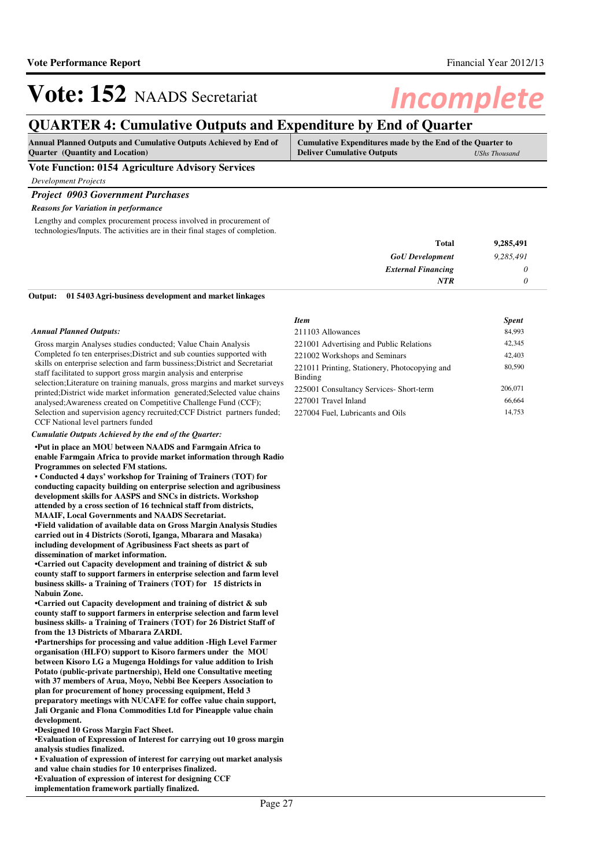## **QUARTER 4: Cumulative Outputs and Expenditure by End of Quarter**

| <b>Quarter</b> (Quantity and Location)<br><b>Deliver Cumulative Outputs</b> | <b>Annual Planned Outputs and Cumulative Outputs Achieved by End of</b> | Cumulative Expenditures made by the End of the Quarter to |               |
|-----------------------------------------------------------------------------|-------------------------------------------------------------------------|-----------------------------------------------------------|---------------|
|                                                                             |                                                                         |                                                           | UShs Thousand |

### **Vote Function: 0154 Agriculture Advisory Services**

*Development Projects*

### *Project 0903 Government Purchases*

### *Reasons for Variation in performance*

Lengthy and complex procurement process involved in procurement of technologies/Inputs. The activities are in their final stages of completion.

| 9,285,491 | <b>Total</b>              |
|-----------|---------------------------|
| 9,285,491 | <b>GoU</b> Development    |
|           | <b>External Financing</b> |
|           | <b>NTR</b>                |
|           |                           |

#### **01 5403 Agri-business development and market linkages Output:**

### *Annual Planned Outputs:*

Gross margin Analyses studies conducted; Value Chain Analysis Completed fo ten enterprises;District and sub counties supported with skills on enterprise selection and farm bussiness;District and Secretariat staff facilitated to support gross margin analysis and enterprise selection;Literature on training manuals, gross margins and market surveys printed;District wide market information generated;Selected value chains analysed;Awareness created on Competitive Challenge Fund (CCF); Selection and supervision agency recruited; CCF District partners funded; CCF National level partners funded

#### *Cumulatie Outputs Achieved by the end of the Quarter:*

**•Put in place an MOU between NAADS and Farmgain Africa to enable Farmgain Africa to provide market information through Radio Programmes on selected FM stations.**

• Conducted 4 days' workshop for Training of Trainers (TOT) for **conducting capacity building on enterprise selection and agribusiness development skills for AASPS and SNCs in districts. Workshop attended by a cross section of 16 technical staff from districts, MAAIF, Local Governments and NAADS Secretariat.**

**•Field validation of available data on Gross Margin Analysis Studies carried out in 4 Districts (Soroti, Iganga, Mbarara and Masaka) including development of Agribusiness Fact sheets as part of dissemination of market information.**

**•Carried out Capacity development and training of d istrict & sub county staff to support farmers in enterprise selection and farm level business skills- a Training of Trainers (TOT) for 15 districts in Nabuin Zone.**

**•Carried out Capacity development and training of d istrict & sub county staff to support farmers in enterprise selection and farm level business skills- a Training of Trainers (TOT) for 26 District Staff of from the 13 Districts of Mbarara ZARDI.**

**•Partnerships for processing and value addition -High Level Farmer organisation (HLFO) support to Kisoro farmers under the MOU between Kisoro LG a Mugenga Holdings for value addition to Irish Potato (public-private partnership), Held one Consultative meeting with 37 members of Arua, Moyo, Nebbi Bee Keepers Association to plan for procurement of honey processing equipment, Held 3 preparatory meetings with NUCAFE for coffee value chain support, Jali Organic and Flona Commodities Ltd for Pineapple value chain development.**

**•Designed 10 Gross Margin Fact Sheet.**

**•Evaluation of Expression of Interest for carrying out 10 gross margin analysis studies finalized.**

**• Evaluation of expression of interest for carrying out market analysis and value chain studies for 10 enterprises finalized. •Evaluation of expression of interest for designing CCF** 

**implementation framework partially finalized.**

| Item                                                     | <b>Spent</b> |
|----------------------------------------------------------|--------------|
| 211103 Allowances                                        | 84,993       |
| 221001 Advertising and Public Relations                  | 42,345       |
| 221002 Workshops and Seminars                            | 42,403       |
| 221011 Printing, Stationery, Photocopying and<br>Binding | 80,590       |
| 225001 Consultancy Services- Short-term                  | 206,071      |
| 227001 Travel Inland                                     | 66,664       |
| 227004 Fuel, Lubricants and Oils                         | 14.753       |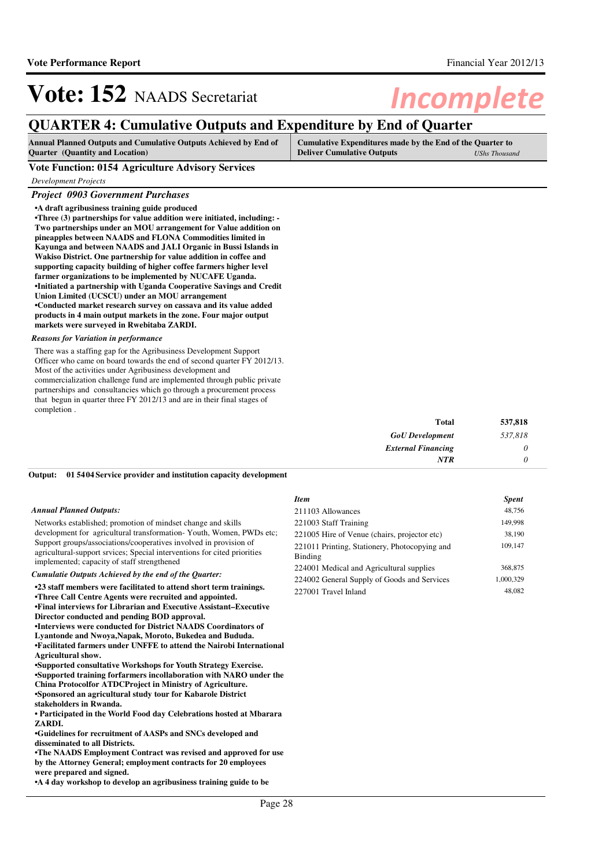## **QUARTER 4: Cumulative Outputs and Expenditure by End of Quarter**

| <b>Annual Planned Outputs and Cumulative Outputs Achieved by End of</b> | Cumulative Expenditures made by the End of the Quarter to |                      |
|-------------------------------------------------------------------------|-----------------------------------------------------------|----------------------|
| <b>Quarter</b> (Quantity and Location)                                  | <b>Deliver Cumulative Outputs</b>                         | <b>UShs Thousand</b> |

### **Vote Function: 0154 Agriculture Advisory Services**

*Development Projects*

### *Project 0903 Government Purchases*

**•A draft agribusiness training guide produced**

**•Three (3) partnerships for value addition were ini tiated, including: - Two partnerships under an MOU arrangement for Value addition on pineapples between NAADS and FLONA Commodities limited in Kayunga and between NAADS and JALI Organic in Bussi Islands in Wakiso District. One partnership for value addition in coffee and supporting capacity building of higher coffee farmers higher level farmer organizations to be implemented by NUCAFE Uganda. •Initiated a partnership with Uganda Cooperative Savings and Credit Union Limited (UCSCU) under an MOU arrangement •Conducted market research survey on cassava and its value added products in 4 main output markets in the zone. Four major output markets were surveyed in Rwebitaba ZARDI.**

#### *Reasons for Variation in performance*

There was a staffing gap for the Agribusiness Development Support Officer who came on board towards the end of second quarter FY 2012/13. Most of the activities under Agribusiness development and commercialization challenge fund are implemented through public private partnerships and consultancies which go through a procurement process that begun in quarter three FY 2012/13 and are in their final stages of completion .

| <b>Total</b>              | 537,818 |
|---------------------------|---------|
| <b>GoU</b> Development    | 537,818 |
| <b>External Financing</b> | υ       |
| NTR                       |         |

#### **01 5404 Service provider and institution capacity development Output:**

#### *Annual Planned Outputs:*

Networks established; promotion of mindset change and skills development for agricultural transformation- Youth, Women, PWDs etc; Support groups/associations/cooperatives involved in provision of agricultural-support srvices; Special interventions for cited priorities implemented; capacity of staff strengthened

#### *Cumulatie Outputs Achieved by the end of the Quarter:*

**•23 staff members were facilitated to attend short term trainings. •Three Call Centre Agents were recruited and appointed. •Final interviews for Librarian and Executive Assis tant–Executive Director conducted and pending BOD approval.**  $\cdot$ Interviews were conducted for District NAADS Coordinators of **Lyantonde and Nwoya,Napak, Moroto, Bukedea and Bududa.**

**•Facilitated farmers under UNFFE to attend the Nairobi International Agricultural show.**

**•Supported consultative Workshops for Youth Strateg y Exercise. •Supported training forfarmers incollaboration with NARO under the China Protocolfor ATDCProject in Ministry of Agriculture. •Sponsored an agricultural study tour for Kabarole District stakeholders in Rwanda.**

**• Participated in the World Food day Celebrations h osted at Mbarara ZARDI.**

**•Guidelines for recruitment of AASPs and SNCs devel oped and disseminated to all Districts.**

**•The NAADS Employment Contract was revised and approved for use by the Attorney General; employment contracts for 20 employees were prepared and signed.**

**•A 4 day workshop to develop an agribusiness training guide to be** 

### *Item Spent* 211103 Allowances 48,756 221003 Staff Training 149,998 221005 Hire of Venue (chairs, projector etc) 38,190 221011 Printing, Stationery, Photocopying and Binding 109,147 224001 Medical and Agricultural supplies 368,875 224002 General Supply of Goods and Services 1,000,329 227001 Travel Inland 48,082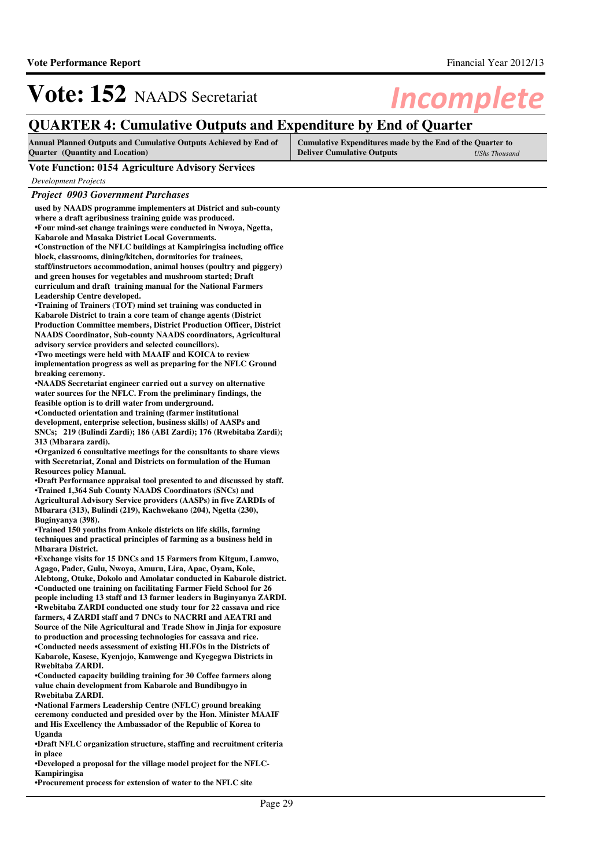## **QUARTER 4: Cumulative Outputs and Expenditure by End of Quarter**

| <b>Annual Planned Outputs and Cumulative Outputs Achieved by End of</b> | <b>Cumulative Expenditures made by the End of the Quarter to</b> |                      |
|-------------------------------------------------------------------------|------------------------------------------------------------------|----------------------|
| <b>Ouarter</b> (Quantity and Location)                                  | <b>Deliver Cumulative Outputs</b>                                | <b>UShs Thousand</b> |

### **Vote Function: 0154 Agriculture Advisory Services**

*Development Projects*

# *Project 0903 Government Purchases*

| used by NAADS programme implementers at District and sub-county                                                                           |
|-------------------------------------------------------------------------------------------------------------------------------------------|
| where a draft agribusiness training guide was produced.                                                                                   |
| •Four mind-set change trainings were conducted in Nwoya, Ngetta,                                                                          |
| Kabarole and Masaka District Local Governments.                                                                                           |
| •Construction of the NFLC buildings at Kampiringisa including office                                                                      |
| block, classrooms, dining/kitchen, dormitories for trainees,                                                                              |
| staff/instructors accommodation, animal houses (poultry and piggery)                                                                      |
| and green houses for vegetables and mushroom started; Draft                                                                               |
| curriculum and draft training manual for the National Farmers                                                                             |
| Leadership Centre developed.                                                                                                              |
| •Training of Trainers (TOT) mind set training was conducted in                                                                            |
| Kabarole District to train a core team of change agents (District                                                                         |
| Production Committee members, District Production Officer, District                                                                       |
| <b>NAADS</b> Coordinator, Sub-county NAADS coordinators, Agricultural                                                                     |
| advisory service providers and selected councillors).                                                                                     |
| •Two meetings were held with MAAIF and KOICA to review                                                                                    |
| implementation progress as well as preparing for the NFLC Ground<br>breaking ceremony.                                                    |
| •NAADS Secretariat engineer carried out a survey on alternative                                                                           |
| water sources for the NFLC. From the preliminary findings, the                                                                            |
| feasible option is to drill water from underground.                                                                                       |
| •Conducted orientation and training (farmer institutional                                                                                 |
| development, enterprise selection, business skills) of AASPs and                                                                          |
| SNCs; 219 (Bulindi Zardi); 186 (ABI Zardi); 176 (Rwebitaba Zardi);                                                                        |
| 313 (Mbarara zardi).                                                                                                                      |
| •Organized 6 consultative meetings for the consultants to share views                                                                     |
| with Secretariat, Zonal and Districts on formulation of the Human                                                                         |
| <b>Resources policy Manual.</b>                                                                                                           |
| •Draft Performance appraisal tool presented to and discussed by staff.                                                                    |
| •Trained 1,364 Sub County NAADS Coordinators (SNCs) and                                                                                   |
| Agricultural Advisory Service providers (AASPs) in five ZARDIs of                                                                         |
| Mbarara (313), Bulindi (219), Kachwekano (204), Ngetta (230),                                                                             |
| Buginyanya (398).                                                                                                                         |
| •Trained 150 youths from Ankole districts on life skills, farming<br>techniques and practical principles of farming as a business held in |
| <b>Mbarara District.</b>                                                                                                                  |
| •Exchange visits for 15 DNCs and 15 Farmers from Kitgum, Lamwo,                                                                           |
| Agago, Pader, Gulu, Nwoya, Amuru, Lira, Apac, Oyam, Kole,                                                                                 |
| Alebtong, Otuke, Dokolo and Amolatar conducted in Kabarole district.                                                                      |
| •Conducted one training on facilitating Farmer Field School for 26                                                                        |
| people including 13 staff and 13 farmer leaders in Buginyanya ZARDI.                                                                      |
| •Rwebitaba ZARDI conducted one study tour for 22 cassava and rice                                                                         |
| farmers, 4 ZARDI staff and 7 DNCs to NACRRI and AEATRI and                                                                                |
| Source of the Nile Agricultural and Trade Show in Jinja for exposure                                                                      |
| to production and processing technologies for cassava and rice.                                                                           |
| •Conducted needs assessment of existing HLFOs in the Districts of                                                                         |
| Kabarole, Kasese, Kyenjojo, Kamwenge and Kyegegwa Districts in                                                                            |
| Rwebitaba ZARDI.                                                                                                                          |
| •Conducted capacity building training for 30 Coffee farmers along                                                                         |
| value chain development from Kabarole and Bundibugyo in                                                                                   |
| Rwebitaba ZARDI.                                                                                                                          |
| •National Farmers Leadership Centre (NFLC) ground breaking<br>ceremony conducted and presided over by the Hon. Minister MAAIF             |
| and His Excellency the Ambassador of the Republic of Korea to                                                                             |
| Uganda                                                                                                                                    |
| •Draft NFLC organization structure, staffing and recruitment criteria                                                                     |
| in place                                                                                                                                  |
| •Developed a proposal for the village model project for the NFLC-                                                                         |
| Kampiringisa                                                                                                                              |

**•Procurement process for extension of water to the NFLC site**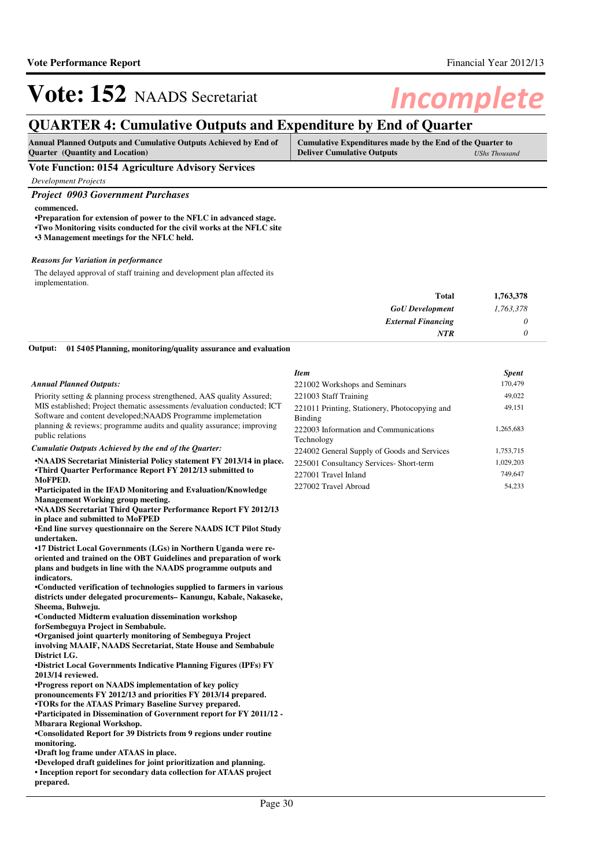## **QUARTER 4: Cumulative Outputs and Expenditure by End of Quarter**

| <b>Annual Planned Outputs and Cumulative Outputs Achieved by End of</b> | Cumulative Expenditures made by the End of the Quarter to |               |
|-------------------------------------------------------------------------|-----------------------------------------------------------|---------------|
| <b>Ouarter</b> (Quantity and Location)                                  | <b>Deliver Cumulative Outputs</b>                         | UShs Thousand |

**Vote Function: 0154 Agriculture Advisory Services**

*Development Projects*

### *Project 0903 Government Purchases*

### **commenced.**

**•Preparation for extension of power to the NFLC in advanced stage.**

- **•Two Monitoring visits conducted for the civil work s at the NFLC site**
- **•3 Management meetings for the NFLC held.**

#### *Reasons for Variation in performance*

The delayed approval of staff training and development plan affected its implementation.

| 1,763,378 | <b>Total</b>              |  |
|-----------|---------------------------|--|
| 1,763,378 | <b>GoU</b> Development    |  |
| 0         | <b>External Financing</b> |  |
| 0         | <b>NTR</b>                |  |
|           |                           |  |

**01 5405 Planning, monitoring/quality assurance and evaluation Output:**

#### *Annual Planned Outputs:*

Priority setting & planning process strengthened, AAS quality Assured; MIS established; Project thematic assessments /evaluation conducted; ICT Software and content developed;NAADS Programme implemetation planning & reviews; programme audits and quality assurance; improving public relations

#### *Cumulatie Outputs Achieved by the end of the Quarter:*

**•NAADS Secretariat Ministerial Policy statement FY 2013/14 in place. •Third Quarter Performance Report FY 2012/13 submitted to MoFPED.**

**•Participated in the IFAD Monitoring and Evaluation /Knowledge Management Working group meeting.**

**•NAADS Secretariat Third Quarter Performance Report FY 2012/13 in place and submitted to MoFPED**

**•End line survey questionnaire on the Serere NAADS ICT Pilot Study undertaken.**

**•17 District Local Governments (LGs) in Northern Ug anda were reoriented and trained on the OBT Guidelines and preparation of work plans and budgets in line with the NAADS programme outputs and indicators.**

**•Conducted verification of technologies supplied to farmers in various districts under delegated procurements– Kanungu, Kabale, Nakaseke, Sheema, Buhweju.**

**•Conducted Midterm evaluation dissemination workshop forSembeguya Project in Sembabule.**

**•Organised joint quarterly monitoring of Sembeguya Project** 

**involving MAAIF, NAADS Secretariat, State House and Sembabule District LG.**

**•District Local Governments Indicative Planning Figures (IPFs) FY 2013/14 reviewed.**

**•Progress report on NAADS implementation of key policy** 

**pronouncements FY 2012/13 and priorities FY 2013/14 prepared. •TORs for the ATAAS Primary Baseline Survey prepared.** 

**•Participated in Dissemination of Government report for FY 2011/12 - Mbarara Regional Workshop.**

**•Consolidated Report for 39 Districts from 9 region s under routine monitoring.**

**•Draft log frame under ATAAS in place.**

**•Developed draft guidelines for joint prioritizatio n and planning.**

**• Inception report for secondary data collection fo r ATAAS project prepared.**

| Item                                                     | <b>Spent</b> |
|----------------------------------------------------------|--------------|
| 221002 Workshops and Seminars                            | 170,479      |
| 221003 Staff Training                                    | 49,022       |
| 221011 Printing, Stationery, Photocopying and<br>Binding | 49,151       |
| 222003 Information and Communications<br>Technology      | 1,265,683    |
| 224002 General Supply of Goods and Services              | 1,753,715    |
| 225001 Consultancy Services- Short-term                  | 1,029,203    |
| 227001 Travel Inland                                     | 749,647      |
| 227002 Travel Abroad                                     | 54.233       |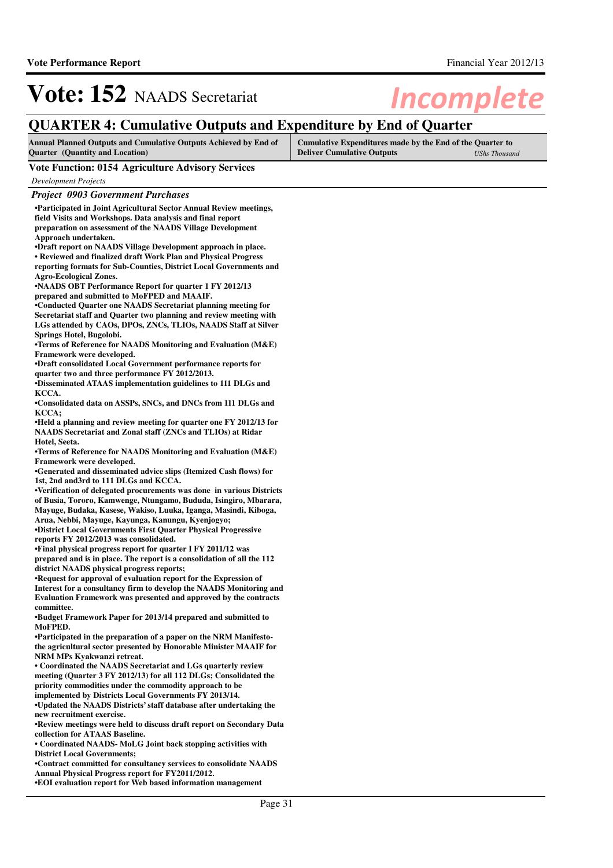## **QUARTER 4: Cumulative Outputs and Expenditure by End of Quarter**

| Annual Planned Outputs and Cumulative Outputs Achieved by End of | Cumulative Expenditures made by the End of the Quarter to |               |
|------------------------------------------------------------------|-----------------------------------------------------------|---------------|
| <b>Quarter</b> (Quantity and Location)                           | <b>Deliver Cumulative Outputs</b>                         | UShs Thousand |

### **Vote Function: 0154 Agriculture Advisory Services**

*Development Projects*

### *Project 0903 Government Purchases* **•Participated in Joint Agricultural Sector Annual Review meetings,**

**field Visits and Workshops. Data analysis and final report preparation on assessment of the NAADS Village Development Approach undertaken. •Draft report on NAADS Village Development approach in place.**

**• Reviewed and finalized draft Work Plan and Physical Progress** 

**reporting formats for Sub-Counties, District Local Governments and Agro-Ecological Zones.**

**•NAADS OBT Performance Report for quarter 1 FY 2012 /13 prepared and submitted to MoFPED and MAAIF.**

**•Conducted Quarter one NAADS Secretariat planning meeting for Secretariat staff and Quarter two planning and review meeting with LGs attended by CAOs, DPOs, ZNCs, TLIOs, NAADS Staff at Silver Springs Hotel, Bugolobi.**

•Terms of Reference for NAADS Monitoring and Evaluation (M&E) **Framework were developed.**

**•Draft consolidated Local Government performance reports for quarter two and three performance FY 2012/2013.**

**•Disseminated ATAAS implementation guidelines to 11 1 DLGs and KCCA.**

**•Consolidated data on ASSPs, SNCs, and DNCs from 11 1 DLGs and KCCA;** 

**•Held a planning and review meeting for quarter one FY 2012/13 for NAADS Secretariat and Zonal staff (ZNCs and TLIOs) at Ridar Hotel, Seeta.**

**•Terms of Reference for NAADS Monitoring and Evaluation (M&E) Framework were developed.**

**•Generated and disseminated advice slips (Itemized Cash flows) for 1st, 2nd and3rd to 111 DLGs and KCCA.**

**•Verification of delegated procurements was done i n various Districts of Busia, Tororo, Kamwenge, Ntungamo, Bududa, Isingiro, Mbarara, Mayuge, Budaka, Kasese, Wakiso, Luuka, Iganga, Masindi, Kiboga, Arua, Nebbi, Mayuge, Kayunga, Kanungu, Kyenjogyo;** 

**•District Local Governments First Quarter Physical Progressive reports FY 2012/2013 was consolidated.**

**•Final physical progress report for quarter I FY 20 11/12 was prepared and is in place. The report is a consolidation of all the 112 district NAADS physical progress reports;**

**•Request for approval of evaluation report for the Expression of Interest for a consultancy firm to develop the NAADS Monitoring and Evaluation Framework was presented and approved by the contracts committee.**

**•Budget Framework Paper for 2013/14 prepared and submitted to MoFPED.**

**•Participated in the preparation of a paper on the NRM Manifestothe agricultural sector presented by Honorable Minister MAAIF for NRM MPs Kyakwanzi retreat.**

• Coordinated the NAADS Secretariat and LGs quarterly review **meeting (Quarter 3 FY 2012/13) for all 112 DLGs; Consolidated the priority commodities under the commodity approach to be implemented by Districts Local Governments FY 2013/14.**

**•Updated the NAADS Districts' staff database after undertaking the new recruitment exercise.**

**•Review meetings were held to discuss draft report on Secondary Data collection for ATAAS Baseline.**

• Coordinated NAADS- MoLG Joint back stopping activities with **District Local Governments;**

**•Contract committed for consultancy services to con solidate NAADS Annual Physical Progress report for FY2011/2012.**

**•EOI evaluation report for Web based information ma nagement**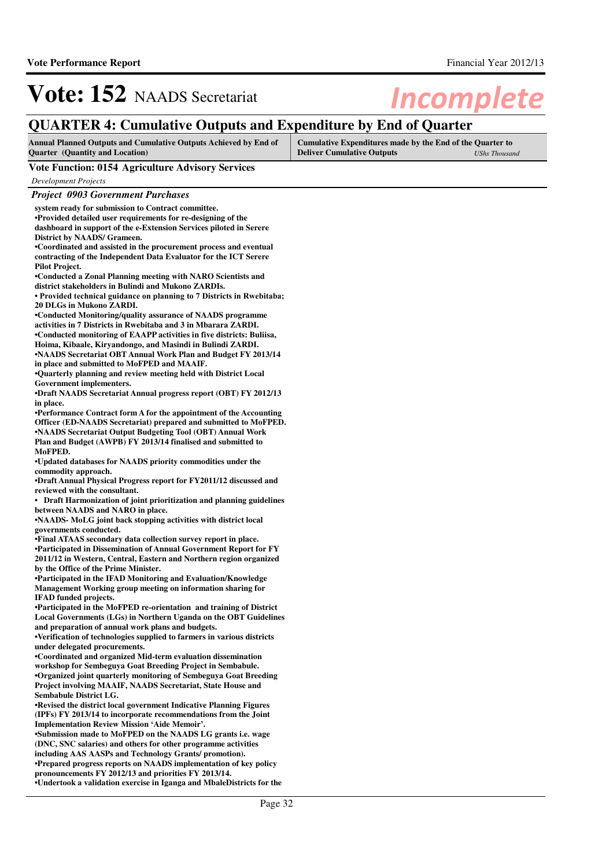## **QUARTER 4: Cumulative Outputs and Expenditure by End of Quarter**

| <b>Annual Planned Outputs and Cumulative Outputs Achieved by End of</b> | Cumulative Expenditures made by the End of the Quarter to |               |
|-------------------------------------------------------------------------|-----------------------------------------------------------|---------------|
| <b>Ouarter</b> (Quantity and Location)                                  | <b>Deliver Cumulative Outputs</b>                         | UShs Thousand |

## **Vote Function: 0154 Agriculture Advisory Services**

| <b>Project 0903 Government Purchases</b>                                                                                   |  |
|----------------------------------------------------------------------------------------------------------------------------|--|
| system ready for submission to Contract committee.                                                                         |  |
| •Provided detailed user requirements for re-designing of the                                                               |  |
| dashboard in support of the e-Extension Services piloted in Serere                                                         |  |
| District by NAADS/ Grameen.                                                                                                |  |
| •Coordinated and assisted in the procurement process and eventual                                                          |  |
| contracting of the Independent Data Evaluator for the ICT Serere                                                           |  |
| <b>Pilot Project.</b>                                                                                                      |  |
| •Conducted a Zonal Planning meeting with NARO Scientists and                                                               |  |
| district stakeholders in Bulindi and Mukono ZARDIs.                                                                        |  |
| • Provided technical guidance on planning to 7 Districts in Rwebitaba;                                                     |  |
| 20 DLGs in Mukono ZARDI.                                                                                                   |  |
| •Conducted Monitoring/quality assurance of NAADS programme                                                                 |  |
| activities in 7 Districts in Rwebitaba and 3 in Mbarara ZARDI.                                                             |  |
| •Conducted monitoring of EAAPP activities in five districts: Buliisa,                                                      |  |
| Hoima, Kibaale, Kiryandongo, and Masindi in Bulindi ZARDI.                                                                 |  |
| •NAADS Secretariat OBT Annual Work Plan and Budget FY 2013/14<br>in place and submitted to MoFPED and MAAIF.               |  |
| •Quarterly planning and review meeting held with District Local                                                            |  |
| Government implementers.                                                                                                   |  |
| <b>•Draft NAADS Secretariat Annual progress report (OBT) FY 2012/13</b>                                                    |  |
| in place.                                                                                                                  |  |
| •Performance Contract form A for the appointment of the Accounting                                                         |  |
| <b>Officer (ED-NAADS Secretariat) prepared and submitted to MoFPED.</b>                                                    |  |
| •NAADS Secretariat Output Budgeting Tool (OBT) Annual Work                                                                 |  |
| Plan and Budget (AWPB) FY 2013/14 finalised and submitted to                                                               |  |
| MoFPED.                                                                                                                    |  |
| •Updated databases for NAADS priority commodities under the                                                                |  |
| commodity approach.                                                                                                        |  |
| •Draft Annual Physical Progress report for FY2011/12 discussed and                                                         |  |
| reviewed with the consultant.                                                                                              |  |
| • Draft Harmonization of joint prioritization and planning guidelines                                                      |  |
| between NAADS and NARO in place.                                                                                           |  |
| •NAADS- MoLG joint back stopping activities with district local                                                            |  |
| governments conducted.                                                                                                     |  |
| •Final ATAAS secondary data collection survey report in place.                                                             |  |
| •Participated in Dissemination of Annual Government Report for FY                                                          |  |
| 2011/12 in Western, Central, Eastern and Northern region organized<br>by the Office of the Prime Minister.                 |  |
| •Participated in the IFAD Monitoring and Evaluation/Knowledge                                                              |  |
| Management Working group meeting on information sharing for                                                                |  |
| IFAD funded projects.                                                                                                      |  |
| •Participated in the MoFPED re-orientation and training of District                                                        |  |
| Local Governments (LGs) in Northern Uganda on the OBT Guidelines                                                           |  |
| and preparation of annual work plans and budgets.                                                                          |  |
| •Verification of technologies supplied to farmers in various districts                                                     |  |
| under delegated procurements.                                                                                              |  |
| •Coordinated and organized Mid-term evaluation dissemination                                                               |  |
| workshop for Sembeguya Goat Breeding Project in Sembabule.                                                                 |  |
| <b>•Organized joint quarterly monitoring of Sembeguya Goat Breeding</b>                                                    |  |
| Project involving MAAIF, NAADS Secretariat, State House and                                                                |  |
| <b>Sembabule District LG.</b>                                                                                              |  |
| •Revised the district local government Indicative Planning Figures                                                         |  |
| (IPFs) FY 2013/14 to incorporate recommendations from the Joint                                                            |  |
| <b>Implementation Review Mission 'Aide Memoir'.</b>                                                                        |  |
| •Submission made to MoFPED on the NAADS LG grants i.e. wage                                                                |  |
| (DNC, SNC salaries) and others for other programme activities                                                              |  |
| including AAS AASPs and Technology Grants/ promotion).<br>•Prepared progress reports on NAADS implementation of key policy |  |
| pronouncements FY 2012/13 and priorities FY 2013/14.                                                                       |  |
| •Undertook a validation exercise in Iganga and MbaleDistricts for the                                                      |  |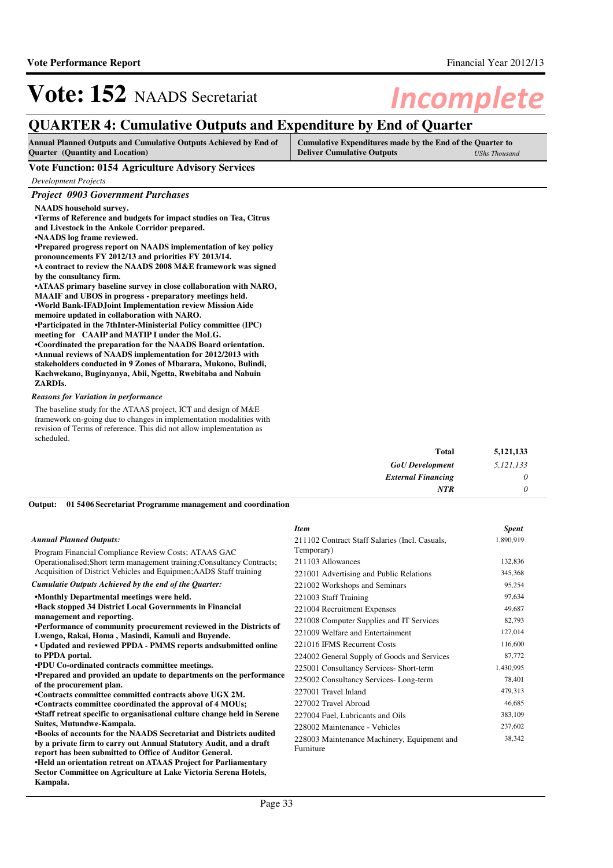## **QUARTER 4: Cumulative Outputs and Expenditure by End of Quarter**

| <b>Annual Planned Outputs and Cumulative Outputs Achieved by End of</b> | Cumulative Expenditures made by the End of the Quarter to |               |
|-------------------------------------------------------------------------|-----------------------------------------------------------|---------------|
| <b>Quarter</b> (Quantity and Location)                                  | <b>Deliver Cumulative Outputs</b>                         | UShs Thousand |

### **Vote Function: 0154 Agriculture Advisory Services**

*Development Projects*

### *Project 0903 Government Purchases*

**NAADS household survey.**

| •Terms of Reference and budgets for impact studies on Tea, Citrus |
|-------------------------------------------------------------------|
| and Livestock in the Ankole Corridor prepared.                    |
| •NAADS log frame reviewed.                                        |
| •Prepared progress report on NAADS implementation of key policy   |
| pronouncements FY 2012/13 and priorities FY 2013/14.              |
| • A contract to review the NAADS 2008 M&E framework was signed    |

**by the consultancy firm.**

**•ATAAS primary baseline survey in close collaboration with NARO, MAAIF and UBOS in progress - preparatory meetings held. •World Bank-IFADJoint Implementation review Mission Aide** 

**memoire updated in collaboration with NARO.**

**•Participated in the 7thInter-Ministerial Policy committee (IPC) meeting for CAAIP and MATIP I under the MoLG.**

**•Coordinated the preparation for the NAADS Board or ientation. •Annual reviews of NAADS implementation for 2012/2013 with stakeholders conducted in 9 Zones of Mbarara, Mukono, Bulindi, Kachwekano, Buginyanya, Abii, Ngetta, Rwebitaba and Nabuin ZARDIs.**

### *Reasons for Variation in performance*

**Kampala.**

The baseline study for the ATAAS project, ICT and design of M&E framework on-going due to changes in implementation modalities with revision of Terms of reference. This did not allow implementation as scheduled.

| Total                     | 5,121,133 |
|---------------------------|-----------|
| <b>GoU</b> Development    | 5,121,133 |
| <b>External Financing</b> | $\theta$  |
| NTR                       | 0         |

### **01 5406 Secretariat Programme management and coordination Output:**

|                                                                                                                         | <b>Item</b>                                    | <b>Spent</b> |
|-------------------------------------------------------------------------------------------------------------------------|------------------------------------------------|--------------|
| Annual Planned Outputs:                                                                                                 | 211102 Contract Staff Salaries (Incl. Casuals, | 1,890,919    |
| Program Financial Compliance Review Costs; ATAAS GAC                                                                    | Temporary)                                     |              |
| Operationalised; Short term management training; Consultancy Contracts;                                                 | 211103 Allowances                              | 132,836      |
| Acquisition of District Vehicles and Equipmen; AADS Staff training                                                      | 221001 Advertising and Public Relations        | 345,368      |
| Cumulatie Outputs Achieved by the end of the Quarter:                                                                   | 221002 Workshops and Seminars                  | 95,254       |
| .Monthly Departmental meetings were held.                                                                               | 221003 Staff Training                          | 97,634       |
| <b>•Back stopped 34 District Local Governments in Financial</b>                                                         | 221004 Recruitment Expenses                    | 49,687       |
| management and reporting.                                                                                               | 221008 Computer Supplies and IT Services       | 82,793       |
| •Performance of community procurement reviewed in the Districts of<br>Lwengo, Rakai, Homa, Masindi, Kamuli and Buyende. | 221009 Welfare and Entertainment               | 127,014      |
| • Updated and reviewed PPDA - PMMS reports and submitted online                                                         | 221016 IFMS Recurrent Costs                    | 116,600      |
| to PPDA portal.                                                                                                         | 224002 General Supply of Goods and Services    | 87,772       |
| <b>•PDU Co-ordinated contracts committee meetings.</b>                                                                  | 225001 Consultancy Services- Short-term        | 1,430,995    |
| •Prepared and provided an update to departments on the performance                                                      | 225002 Consultancy Services-Long-term          | 78,401       |
| of the procurement plan.                                                                                                | 227001 Travel Inland                           | 479,313      |
| •Contracts committee committed contracts above UGX 2M.                                                                  | 227002 Travel Abroad                           | 46,685       |
| •Contracts committee coordinated the approval of 4 MOUs;                                                                |                                                |              |
| •Staff retreat specific to organisational culture change held in Serene                                                 | 227004 Fuel, Lubricants and Oils               | 383,109      |
| Suites, Mutundwe-Kampala.                                                                                               | 228002 Maintenance - Vehicles                  | 237,602      |
| <b>•Books of accounts for the NAADS Secretariat and Districts audited</b>                                               | 228003 Maintenance Machinery, Equipment and    | 38,342       |
| by a private firm to carry out Annual Statutory Audit, and a draft                                                      | Furniture                                      |              |
| report has been submitted to Office of Auditor General.                                                                 |                                                |              |
| •Held an orientation retreat on ATAAS Project for Parliamentary                                                         |                                                |              |
| Sector Committee on Agriculture at Lake Victoria Serena Hotels,                                                         |                                                |              |

### Page 33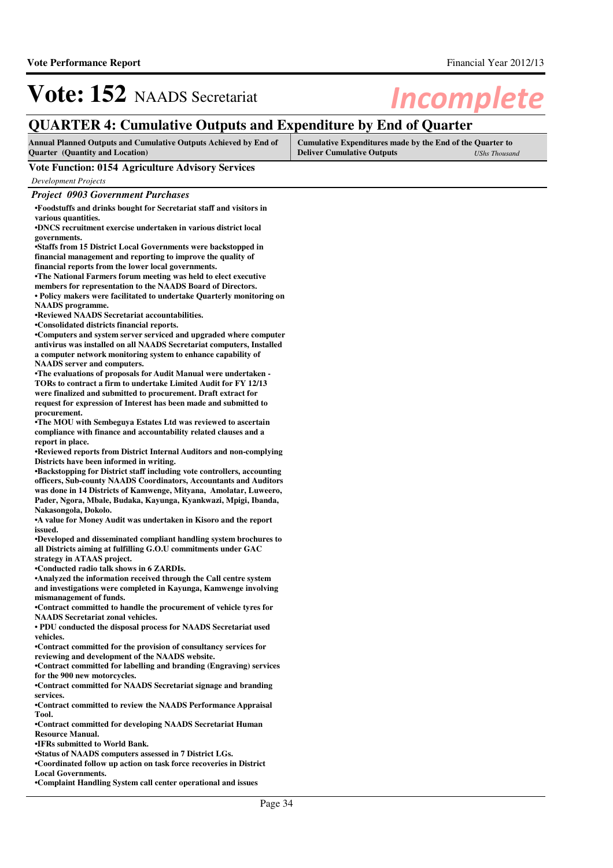## **QUARTER 4: Cumulative Outputs and Expenditure by End of Quarter**

| <b>Annual Planned Outputs and Cumulative Outputs Achieved by End of</b> | Cumulative Expenditures made by the End of the Quarter to |               |
|-------------------------------------------------------------------------|-----------------------------------------------------------|---------------|
| <b>Quarter</b> (Quantity and Location)                                  | <b>Deliver Cumulative Outputs</b>                         | UShs Thousand |

### **Vote Function: 0154 Agriculture Advisory Services**

*Development Projects*

*Project 0903 Government Purchases*

**•Foodstuffs and drinks bought for Secretariat staff and visitors in various quantities.**

**•DNCS recruitment exercise undertaken in various di strict local governments.**

•Staffs from 15 District Local Governments were backstopped in **financial management and reporting to improve the quality of** 

**financial reports from the lower local governments.** •The National Farmers forum meeting was held to elect executive

**members for representation to the NAADS Board of Directors.** • Policy makers were facilitated to undertake Ouarterly monitoring on **NAADS programme.**

**•Reviewed NAADS Secretariat accountabilities.**

**•Consolidated districts financial reports.**

**•Computers and system server serviced and upgraded where computer antivirus was installed on all NAADS Secretariat computers, Installed a computer network monitoring system to enhance capability of NAADS server and computers.**

**•The evaluations of proposals for Audit Manual were undertaken - TORs to contract a firm to undertake Limited Audit for FY 12/13 were finalized and submitted to procurement. Draft extract for request for expression of Interest has been made and submitted to procurement.**

**•The MOU with Sembeguya Estates Ltd was reviewed to ascertain compliance with finance and accountability related clauses and a report in place.**

**•Reviewed reports from District Internal Auditors and non-complying Districts have been informed in writing.**

**•Backstopping for District staff including vote controllers, accounting officers, Sub-county NAADS Coordinators, Accountants and Auditors was done in 14 Districts of Kamwenge, Mityana, Amolatar, Luweero, Pader, Ngora, Mbale, Budaka, Kayunga, Kyankwazi, Mpigi, Ibanda, Nakasongola, Dokolo.**

**•A value for Money Audit was undertaken in Kisoro and the report issued.**

•Developed and disseminated compliant handling system brochures to **all Districts aiming at fulfilling G.O.U commitments under GAC strategy in ATAAS project.** 

**•Conducted radio talk shows in 6 ZARDIs.**

**•Analyzed the information received through the Call centre system and investigations were completed in Kayunga, Kamwenge involving mismanagement of funds.**

•Contract committed to handle the procurement of vehicle tyres for **NAADS Secretariat zonal vehicles.**

• PDU conducted the disposal process for NAADS Secretariat used **vehicles.**

**•Contract committed for the provision of consultanc y services for reviewing and development of the NAADS website.**

**•Contract committed for labelling and branding (Engraving) services for the 900 new motorcycles.**

**•Contract committed for NAADS Secretariat signage a nd branding services.**

**•Contract committed to review the NAADS Performance Appraisal Tool.**

**•Contract committed for developing NAADS Secretaria t Human Resource Manual.**

**•IFRs submitted to World Bank.**

**•Status of NAADS computers assessed in 7 District L Gs.**

**•Coordinated follow up action on task force recover ies in District Local Governments.**

**•Complaint Handling System call center operational and issues**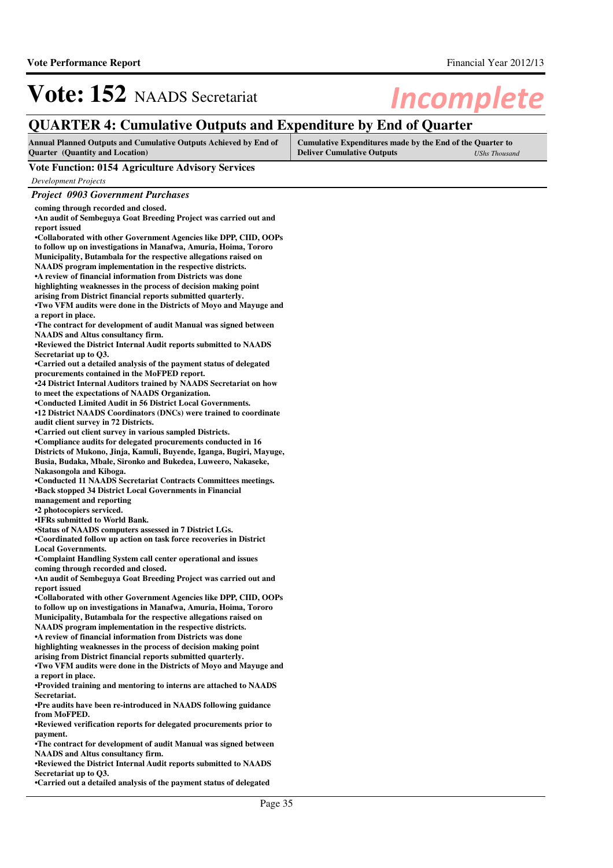## **QUARTER 4: Cumulative Outputs and Expenditure by End of Quarter**

| <b>Annual Planned Outputs and Cumulative Outputs Achieved by End of</b> | Cumulative Expenditures made by the End of the Quarter to |                      |
|-------------------------------------------------------------------------|-----------------------------------------------------------|----------------------|
| <b>Ouarter</b> (Quantity and Location)                                  | <b>Deliver Cumulative Outputs</b>                         | <b>UShs Thousand</b> |

### **Vote Function: 0154 Agriculture Advisory Services**

*Development Projects*

## *Project 0903 Government Purchases*

| coming through recorded and closed.                                                                                                   |
|---------------------------------------------------------------------------------------------------------------------------------------|
| . An audit of Sembeguya Goat Breeding Project was carried out and<br>report issued                                                    |
| •Collaborated with other Government Agencies like DPP, CIID, OOPs                                                                     |
| to follow up on investigations in Manafwa, Amuria, Hoima, Tororo                                                                      |
| Municipality, Butambala for the respective allegations raised on                                                                      |
| NAADS program implementation in the respective districts.                                                                             |
| • A review of financial information from Districts was done                                                                           |
| highlighting weaknesses in the process of decision making point<br>arising from District financial reports submitted quarterly.       |
| •Two VFM audits were done in the Districts of Moyo and Mayuge and                                                                     |
| a report in place.                                                                                                                    |
| •The contract for development of audit Manual was signed between                                                                      |
| <b>NAADS</b> and Altus consultancy firm.                                                                                              |
| •Reviewed the District Internal Audit reports submitted to NAADS                                                                      |
| Secretariat up to Q3.                                                                                                                 |
| •Carried out a detailed analysis of the payment status of delegated<br>procurements contained in the MoFPED report.                   |
| •24 District Internal Auditors trained by NAADS Secretariat on how                                                                    |
| to meet the expectations of NAADS Organization.                                                                                       |
| •Conducted Limited Audit in 56 District Local Governments.                                                                            |
| •12 District NAADS Coordinators (DNCs) were trained to coordinate                                                                     |
| audit client survey in 72 Districts.                                                                                                  |
| •Carried out client survey in various sampled Districts.                                                                              |
| •Compliance audits for delegated procurements conducted in 16<br>Districts of Mukono, Jinja, Kamuli, Buyende, Iganga, Bugiri, Mayuge, |
| Busia, Budaka, Mbale, Sironko and Bukedea, Luweero, Nakaseke,                                                                         |
| Nakasongola and Kiboga.                                                                                                               |
| •Conducted 11 NAADS Secretariat Contracts Committees meetings.                                                                        |
| <b>•Back stopped 34 District Local Governments in Financial</b>                                                                       |
|                                                                                                                                       |
| management and reporting                                                                                                              |
| •2 photocopiers serviced.                                                                                                             |
| •IFRs submitted to World Bank.                                                                                                        |
| •Status of NAADS computers assessed in 7 District LGs.                                                                                |
| •Coordinated follow up action on task force recoveries in District<br><b>Local Governments.</b>                                       |
| •Complaint Handling System call center operational and issues                                                                         |
| coming through recorded and closed.                                                                                                   |
| <b>An audit of Sembeguya Goat Breeding Project was carried out and</b>                                                                |
| report issued                                                                                                                         |
| •Collaborated with other Government Agencies like DPP, CIID, OOPs                                                                     |
| to follow up on investigations in Manafwa, Amuria, Hoima, Tororo                                                                      |
| Municipality, Butambala for the respective allegations raised on<br>NAADS program implementation in the respective districts.         |
| • A review of financial information from Districts was done                                                                           |
| highlighting weaknesses in the process of decision making point                                                                       |
| arising from District financial reports submitted quarterly.                                                                          |
| . Two VFM audits were done in the Districts of Moyo and Mayuge and                                                                    |
| a report in place.                                                                                                                    |
| •Provided training and mentoring to interns are attached to NAADS<br>Secretariat.                                                     |
| •Pre audits have been re-introduced in NAADS following guidance                                                                       |
| from MoFPED.                                                                                                                          |
| •Reviewed verification reports for delegated procurements prior to                                                                    |
| payment.                                                                                                                              |
| •The contract for development of audit Manual was signed between                                                                      |
| <b>NAADS</b> and Altus consultancy firm.                                                                                              |
| •Reviewed the District Internal Audit reports submitted to NAADS<br>Secretariat up to Q3.                                             |

Page 35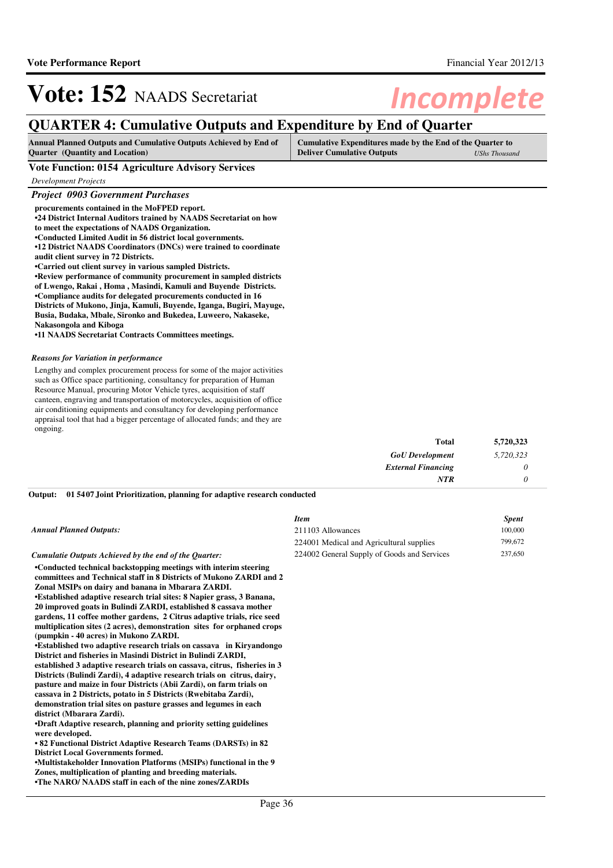## **QUARTER 4: Cumulative Outputs and Expenditure by End of Quarter**

| <b>Annual Planned Outputs and Cumulative Outputs Achieved by End of</b> | Cumulative Expenditures made by the End of the Quarter to |               |
|-------------------------------------------------------------------------|-----------------------------------------------------------|---------------|
| <b>Quarter</b> (Quantity and Location)                                  | <b>Deliver Cumulative Outputs</b>                         | UShs Thousand |

### **Vote Function: 0154 Agriculture Advisory Services**

*Development Projects*

## *Project 0903 Government Purchases*

| procurements contained in the MoFPED report.                         |
|----------------------------------------------------------------------|
| •24 District Internal Auditors trained by NAADS Secretariat on how   |
| to meet the expectations of NAADS Organization.                      |
| •Conducted Limited Audit in 56 district local governments.           |
| •12 District NAADS Coordinators (DNCs) were trained to coordinate    |
| audit client survey in 72 Districts.                                 |
| •Carried out client survey in various sampled Districts.             |
| •Review performance of community procurement in sampled districts    |
| of Lwengo, Rakai, Homa, Masindi, Kamuli and Buyende Districts.       |
| •Compliance audits for delegated procurements conducted in 16        |
| Districts of Mukono, Jinja, Kamuli, Buyende, Iganga, Bugiri, Mayuge, |
| Busia, Budaka, Mbale, Sironko and Bukedea, Luweero, Nakaseke,        |
| Nakasongola and Kiboga                                               |
|                                                                      |

**•11 NAADS Secretariat Contracts Committees meetings .**

#### *Reasons for Variation in performance*

Lengthy and complex procurement process for some of the major activities such as Office space partitioning, consultancy for preparation of Human Resource Manual, procuring Motor Vehicle tyres, acquisition of staff canteen, engraving and transportation of motorcycles, acquisition of office air conditioning equipments and consultancy for developing performance appraisal tool that had a bigger percentage of allocated funds; and they are ongoing.

| <b>Total</b>              | 5,720,323 |
|---------------------------|-----------|
| <b>GoU</b> Development    | 5,720,323 |
| <b>External Financing</b> | 0         |
| <b>NTR</b>                |           |

#### **01 5407 Joint Prioritization, planning for adaptive research conducted Output:**

#### *Annual Planned Outputs:*

#### *Cumulatie Outputs Achieved by the end of the Quarter:*

**•Conducted technical backstopping meetings with interim steering committees and Technical staff in 8 Districts of Mukono ZARDI and 2 Zonal MSIPs on dairy and banana in Mbarara ZARDI. •Established adaptive research trial sites: 8 Napier grass, 3 Banana, 20 improved goats in Bulindi ZARDI, established 8 cassava mother gardens, 11 coffee mother gardens, 2 Citrus adaptive trials, rice seed multiplication sites (2 acres), demonstration sites for orphaned crops** 

**(pumpkin - 40 acres) in Mukono ZARDI. •Established two adaptive research trials on cassav a in Kiryandongo District and fisheries in Masindi District in Bulindi ZARDI, established 3 adaptive research trials on cassava, citrus, fisheries in 3 Districts (Bulindi Zardi), 4 adaptive research trials on citrus, dairy, pasture and maize in four Districts (Abii Zardi), on farm trials on cassava in 2 Districts, potato in 5 Districts (Rwebitaba Zardi), demonstration trial sites on pasture grasses and legumes in each district (Mbarara Zardi).**

**•Draft Adaptive research, planning and priority setting guidelines were developed.**

**• 82 Functional District Adaptive Research Teams (D ARSTs) in 82 District Local Governments formed.**

•Multistakeholder Innovation Platforms (MSIPs) functional in the 9 **Zones, multiplication of planting and breeding materials. •The NARO/ NAADS staff in each of the nine zones/ZA RDIs** 

### *Item Spent* 211103 Allowances 100,000 224001 Medical and Agricultural supplies 799,672 224002 General Supply of Goods and Services 237,650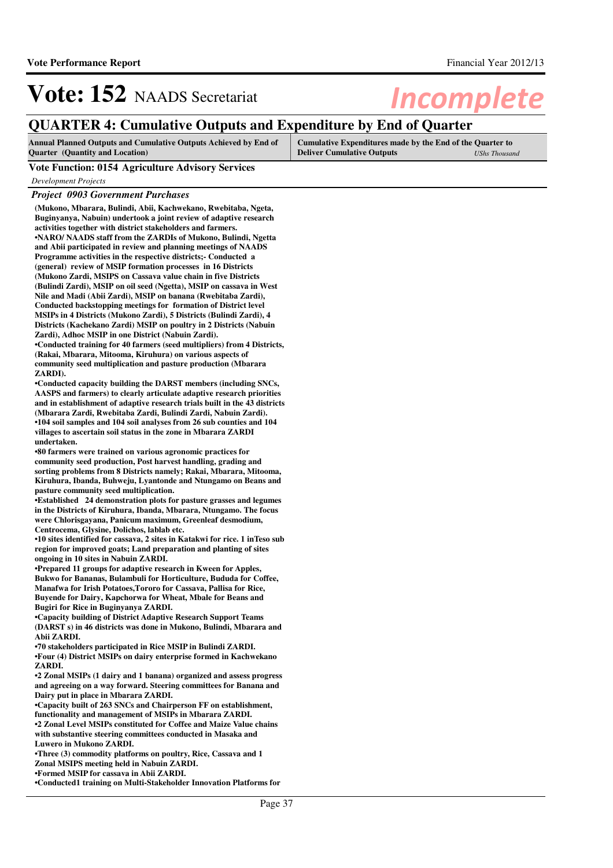## **QUARTER 4: Cumulative Outputs and Expenditure by End of Quarter**

| <b>Annual Planned Outputs and Cumulative Outputs Achieved by End of</b> | Cumulative Expenditures made by the End of the Quarter to |                      |
|-------------------------------------------------------------------------|-----------------------------------------------------------|----------------------|
| <b>Quarter</b> (Quantity and Location)                                  | <b>Deliver Cumulative Outputs</b>                         | <b>UShs Thousand</b> |

**Vote Function: 0154 Agriculture Advisory Services**

*Development Projects*

### *Project 0903 Government Purchases*

**(Mukono, Mbarara, Bulindi, Abii, Kachwekano, Rwebitaba, Ngeta, Buginyanya, Nabuin) undertook a joint review of adaptive research activities together with district stakeholders and farmers.** •NARO/ NAADS staff from the ZARDIs of Mukono, Bulindi, Ngetta **and Abii participated in review and planning meetings of NAADS Programme activities in the respective districts;- Conducted a (general) review of MSIP formation processes in 16 Districts (Mukono Zardi, MSIPS on Cassava value chain in five Districts (Bulindi Zardi), MSIP on oil seed (Ngetta), MSIP on cassava in West Nile and Madi (Abii Zardi), MSIP on banana (Rwebitaba Zardi), Conducted backstopping meetings for formation of District level MSIPs in 4 Districts (Mukono Zardi), 5 Districts (Bulindi Zardi), 4 Districts (Kachekano Zardi) MSIP on poultry in 2 Districts (Nabuin Zardi), Adhoc MSIP in one District (Nabuin Zardi). •Conducted training for 40 farmers (seed multiplier s) from 4 Districts,** 

**(Rakai, Mbarara, Mitooma, Kiruhura) on various aspects of community seed multiplication and pasture production (Mbarara ZARDI).**

•Conducted capacity building the DARST members (including SNCs, **AASPS and farmers) to clearly articulate adaptive research priorities and in establishment of adaptive research trials built in the 43 districts (Mbarara Zardi, Rwebitaba Zardi, Bulindi Zardi, Nabuin Zardi). •104 soil samples and 104 soil analyses from 26 sub counties and 104 villages to ascertain soil status in the zone in Mbarara ZARDI undertaken.**

**•80 farmers were trained on various agronomic practices for community seed production, Post harvest handling, grading and sorting problems from 8 Districts namely; Rakai, Mbarara, Mitooma, Kiruhura, Ibanda, Buhweju, Lyantonde and Ntungamo on Beans and pasture community seed multiplication.**

**•Established 24 demonstration plots for pasture grasses and legumes in the Districts of Kiruhura, Ibanda, Mbarara, Ntungamo. The focus were Chlorisgayana, Panicum maximum, Greenleaf desmodium, Centrocema, Glysine, Dolichos, lablab etc.**

**•10 sites identified for cassava, 2 sites in Katakw i for rice. 1 inTeso sub region for improved goats; Land preparation and planting of sites ongoing in 10 sites in Nabuin ZARDI.**

**•Prepared 11 groups for adaptive research in Kween for Apples, Bukwo for Bananas, Bulambuli for Horticulture, Bududa for Coffee, Manafwa for Irish Potatoes,Tororo for Cassava, Pallisa for Rice, Buyende for Dairy, Kapchorwa for Wheat, Mbale for Beans and Bugiri for Rice in Buginyanya ZARDI.**

•Capacity building of District Adaptive Research Support Teams **(DARST s) in 46 districts was done in Mukono, Bulindi, Mbarara and Abii ZARDI.**

•70 stakeholders participated in Rice MSIP in Bulindi ZARDI. **•Four (4) District MSIPs on dairy enterprise formed in Kachwekano ZARDI.**

**•2 Zonal MSIPs (1 dairy and 1 banana) organized and assess progress and agreeing on a way forward. Steering committees for Banana and Dairy put in place in Mbarara ZARDI.**

**•Capacity built of 263 SNCs and Chairperson FF on e stablishment, functionality and management of MSIPs in Mbarara ZARDI. •2 Zonal Level MSIPs constituted for Coffee and Mai ze Value chains** 

**with substantive steering committees conducted in Masaka and Luwero in Mukono ZARDI.**

**•Three (3) commodity platforms on poultry, Rice, Ca ssava and 1 Zonal MSIPS meeting held in Nabuin ZARDI. •Formed MSIP for cassava in Abii ZARDI.**

**•Conducted1 training on Multi-Stakeholder Innovatio n Platforms for**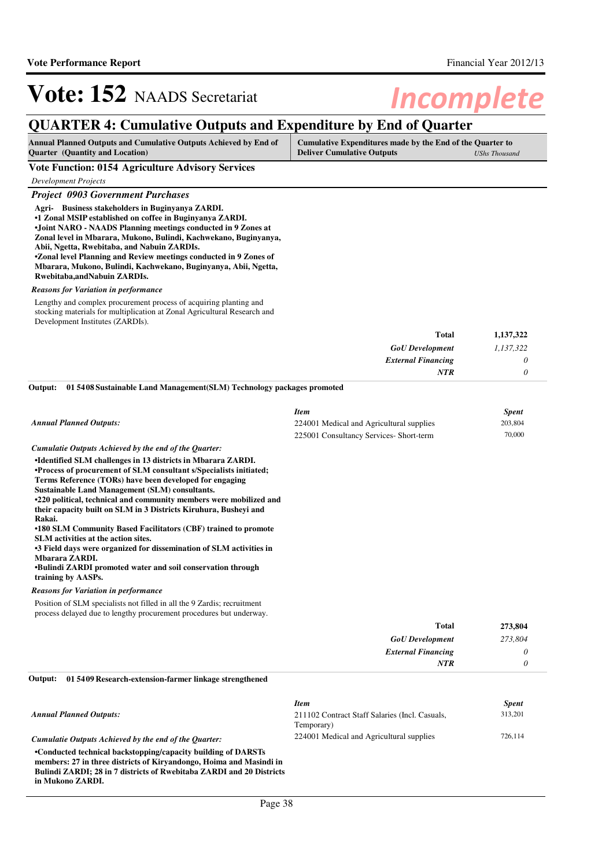## **QUARTER 4: Cumulative Outputs and Expenditure by End of Quarter**

| <b>Annual Planned Outputs and Cumulative Outputs Achieved by End of</b> | Cumulative Expenditures made by the End of the Quarter to |                      |
|-------------------------------------------------------------------------|-----------------------------------------------------------|----------------------|
| <b>Ouarter</b> (Quantity and Location)                                  | <b>Deliver Cumulative Outputs</b>                         | <b>UShs Thousand</b> |

**Vote Function: 0154 Agriculture Advisory Services**

| <b>Development Projects</b>                                                                                                                                                                                                                                                                                                                                                                                                                                                                                         |                                          |                         |
|---------------------------------------------------------------------------------------------------------------------------------------------------------------------------------------------------------------------------------------------------------------------------------------------------------------------------------------------------------------------------------------------------------------------------------------------------------------------------------------------------------------------|------------------------------------------|-------------------------|
| <b>Project 0903 Government Purchases</b>                                                                                                                                                                                                                                                                                                                                                                                                                                                                            |                                          |                         |
| Agri- Business stakeholders in Buginyanya ZARDI.<br>•1 Zonal MSIP established on coffee in Buginyanya ZARDI.<br>.Joint NARO - NAADS Planning meetings conducted in 9 Zones at<br>Zonal level in Mbarara, Mukono, Bulindi, Kachwekano, Buginyanya,<br>Abii, Ngetta, Rwebitaba, and Nabuin ZARDIs.<br><b>*Zonal level Planning and Review meetings conducted in 9 Zones of</b><br>Mbarara, Mukono, Bulindi, Kachwekano, Buginyanya, Abii, Ngetta,<br>Rwebitaba, and Nabuin ZARDIs.                                    |                                          |                         |
| <b>Reasons for Variation in performance</b>                                                                                                                                                                                                                                                                                                                                                                                                                                                                         |                                          |                         |
| Lengthy and complex procurement process of acquiring planting and<br>stocking materials for multiplication at Zonal Agricultural Research and<br>Development Institutes (ZARDIs).                                                                                                                                                                                                                                                                                                                                   |                                          |                         |
|                                                                                                                                                                                                                                                                                                                                                                                                                                                                                                                     | <b>Total</b>                             | 1,137,322               |
|                                                                                                                                                                                                                                                                                                                                                                                                                                                                                                                     | <b>GoU</b> Development                   | 1,137,322               |
|                                                                                                                                                                                                                                                                                                                                                                                                                                                                                                                     | <b>External Financing</b>                | $\theta$                |
|                                                                                                                                                                                                                                                                                                                                                                                                                                                                                                                     | <b>NTR</b>                               | $\theta$                |
| 015408 Sustainable Land Management (SLM) Technology packages promoted<br>Output:                                                                                                                                                                                                                                                                                                                                                                                                                                    |                                          |                         |
|                                                                                                                                                                                                                                                                                                                                                                                                                                                                                                                     | <b>Item</b>                              |                         |
| <b>Annual Planned Outputs:</b>                                                                                                                                                                                                                                                                                                                                                                                                                                                                                      | 224001 Medical and Agricultural supplies | <b>Spent</b><br>203,804 |
|                                                                                                                                                                                                                                                                                                                                                                                                                                                                                                                     | 225001 Consultancy Services- Short-term  | 70,000                  |
| Cumulatie Outputs Achieved by the end of the Quarter:                                                                                                                                                                                                                                                                                                                                                                                                                                                               |                                          |                         |
| •Identified SLM challenges in 13 districts in Mbarara ZARDI.<br>•Process of procurement of SLM consultant s/Specialists initiated;<br>Terms Reference (TORs) have been developed for engaging<br><b>Sustainable Land Management (SLM) consultants.</b><br>•220 political, technical and community members were mobilized and<br>their capacity built on SLM in 3 Districts Kiruhura, Busheyi and<br>Rakai.<br>•180 SLM Community Based Facilitators (CBF) trained to promote<br>SLM activities at the action sites. |                                          |                         |
| •3 Field days were organized for dissemination of SLM activities in<br>Mbarara ZARDI.<br><b>•Bulindi ZARDI</b> promoted water and soil conservation through                                                                                                                                                                                                                                                                                                                                                         |                                          |                         |
| training by AASPs.                                                                                                                                                                                                                                                                                                                                                                                                                                                                                                  |                                          |                         |
| <b>Reasons for Variation in performance</b>                                                                                                                                                                                                                                                                                                                                                                                                                                                                         |                                          |                         |
| Position of SLM specialists not filled in all the 9 Zardis; recruitment                                                                                                                                                                                                                                                                                                                                                                                                                                             |                                          |                         |
| process delayed due to lengthy procurement procedures but underway.                                                                                                                                                                                                                                                                                                                                                                                                                                                 |                                          |                         |
|                                                                                                                                                                                                                                                                                                                                                                                                                                                                                                                     | Total                                    | 273,804                 |

| <b>GoU</b> Development    | 273,804 |
|---------------------------|---------|
| <b>External Financing</b> | υ       |
| NTR                       |         |

#### **01 5409 Research-extension-farmer linkage strengthened Output:**

**in Mukono ZARDI.**

|                                                                      | <b>Item</b>                                    | <b>Spent</b> |
|----------------------------------------------------------------------|------------------------------------------------|--------------|
| <b>Annual Planned Outputs:</b>                                       | 211102 Contract Staff Salaries (Incl. Casuals, | 313,201      |
|                                                                      | Temporary)                                     |              |
| Cumulatie Outputs Achieved by the end of the Ouarter:                | 224001 Medical and Agricultural supplies       | 726.114      |
| •Conducted technical backstopping/capacity building of DARSTs        |                                                |              |
| members: 27 in three districts of Kirvandongo, Hoima and Masindi in  |                                                |              |
| Bulindi ZARDI; 28 in 7 districts of Rwebitaba ZARDI and 20 Districts |                                                |              |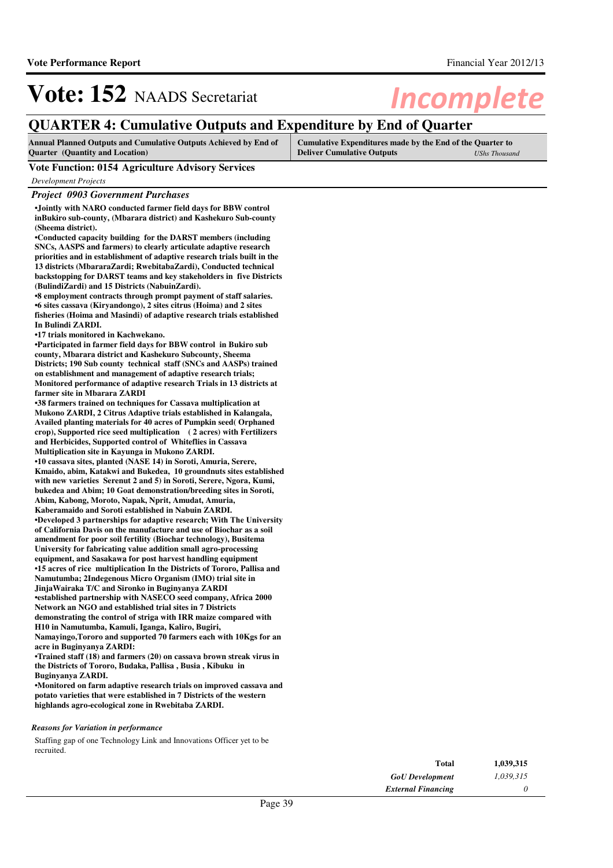## **QUARTER 4: Cumulative Outputs and Expenditure by End of Quarter**

| <b>Annual Planned Outputs and Cumulative Outputs Achieved by End of</b> | Cumulative Expenditures made by the End of the Quarter to |               |
|-------------------------------------------------------------------------|-----------------------------------------------------------|---------------|
| <b>Quarter</b> (Quantity and Location)                                  | <b>Deliver Cumulative Outputs</b>                         | UShs Thousand |

### **Vote Function: 0154 Agriculture Advisory Services**

*Development Projects*

### *Project 0903 Government Purchases*

**•Jointly with NARO conducted farmer field days for BBW control inBukiro sub-county, (Mbarara district) and Kashekuro Sub-county (Sheema district).**

**•Conducted capacity building for the DARST members (including SNCs, AASPS and farmers) to clearly articulate adaptive research priorities and in establishment of adaptive research trials built in the 13 districts (MbararaZardi; RwebitabaZardi), Conducted technical backstopping for DARST teams and key stakeholders in five Districts (BulindiZardi) and 15 Districts (NabuinZardi).**

**•8 employment contracts through prompt payment of s taff salaries.**  $\bullet$ 6 sites cassava (Kiryandongo), 2 sites citrus (Hoima) and 2 sites **fisheries (Hoima and Masindi) of adaptive research trials established In Bulindi ZARDI.** 

**•17 trials monitored in Kachwekano.**

**•Participated in farmer field days for BBW control in Bukiro sub county, Mbarara district and Kashekuro Subcounty, Sheema Districts; 190 Sub county technical staff (SNCs and AASPs) trained on establishment and management of adaptive research trials; Monitored performance of adaptive research Trials in 13 districts at farmer site in Mbarara ZARDI**

**•38 farmers trained on techniques for Cassava multi plication at Mukono ZARDI, 2 Citrus Adaptive trials established in Kalangala, Availed planting materials for 40 acres of Pumpkin seed( Orphaned crop), Supported rice seed multiplication ( 2 acres) with Fertilizers and Herbicides, Supported control of Whiteflies in Cassava Multiplication site in Kayunga in Mukono ZARDI.**

 $\bullet$ 10 cassava sites, planted (NASE 14) in Soroti, Amuria, Serere, **Kmaido, abim, Katakwi and Bukedea, 10 groundnuts sites established with new varieties Serenut 2 and 5) in Soroti, Serere, Ngora, Kumi, bukedea and Abim; 10 Goat demonstration/breeding sites in Soroti, Abim, Kabong, Moroto, Napak, Nprit, Amudat, Amuria, Kaberamaido and Soroti established in Nabuin ZARDI.**

**•** Developed 3 partnerships for adaptive research; With The University **of California Davis on the manufacture and use of Biochar as a soil amendment for poor soil fertility (Biochar technology), Busitema University for fabricating value addition small agro-processing equipment, and Sasakawa for post harvest handling equipment •15 acres of rice multiplication In the Districts of Tororo, Pallisa and Namutumba; 2Indegenous Micro Organism (IMO) trial site in JinjaWairaka T/C and Sironko in Buginyanya ZARDI •established partnership with NASECO seed company, Africa 2000 Network an NGO and established trial sites in 7 Districts demonstrating the control of striga with IRR maize compared with** 

**H10 in Namutumba, Kamuli, Iganga, Kaliro, Bugiri, Namayingo,Tororo and supported 70 farmers each with 10Kgs for an acre in Buginyanya ZARDI:**

**•Trained staff (18) and farmers (20) on cassava brown streak virus in the Districts of Tororo, Budaka, Pallisa , Busia , Kibuku in Buginyanya ZARDI.**

**•Monitored on farm adaptive research trials on improved cassava and potato varieties that were established in 7 Districts of the western highlands agro-ecological zone in Rwebitaba ZARDI.**

#### *Reasons for Variation in performance*

Staffing gap of one Technology Link and Innovations Officer yet to be recruited.

| Total                     | 1,039,315 |
|---------------------------|-----------|
| <b>GoU</b> Development    | 1.039.315 |
| <b>External Financing</b> | n         |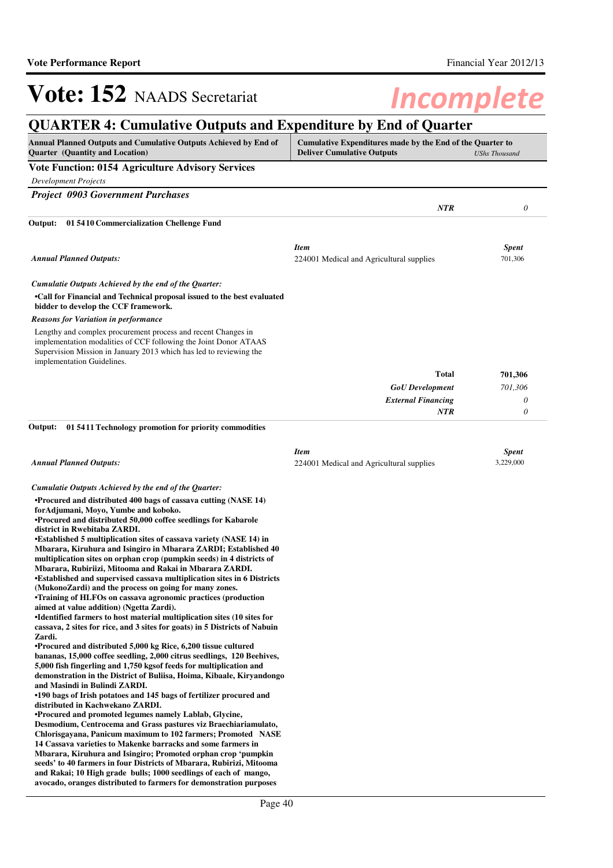### Vote: 152 NAADS Secretariat **Incomplete QUARTER 4: Cumulative Outputs and Expenditure by End of Quarter Annual Planned Outputs and Cumulative Outputs Achieved by End of Quarter (Quantity and Location) Cumulative Expenditures made by the End of the Quarter to Deliver Cumulative Outputs** *UShs Thousand* **Vote Function: 0154 Agriculture Advisory Services** *Development Projects Project 0903 Government Purchases NTR 0* **•Call for Financial and Technical proposal issued to the best evaluated bidder to develop the CCF framework. 01 5410 Commercialization Chellenge Fund Output:** *GoU Development External Financing* **Total** *701,306 0 0* **701,306** *Cumulatie Outputs Achieved by the end of the Quarter: Annual Planned Outputs: NTR* Lengthy and complex procurement process and recent Changes in implementation modalities of CCF following the Joint Donor ATAAS Supervision Mission in January 2013 which has led to reviewing the implementation Guidelines. *Reasons for Variation in performance Item Spent* 224001 Medical and Agricultural supplies 701,306 **•Procured and distributed 400 bags of cassava cutting (NASE 14) forAdjumani, Moyo, Yumbe and koboko. •Procured and distributed 50,000 coffee seedlings for Kabarole district in Rwebitaba ZARDI.** •Established 5 multiplication sites of cassava variety (NASE 14) in **Mbarara, Kiruhura and Isingiro in Mbarara ZARDI; Established 40 multiplication sites on orphan crop (pumpkin seeds) in 4 districts of Mbarara, Rubiriizi, Mitooma and Rakai in Mbarara ZARDI. •Established and supervised cassava multiplication sites in 6 Districts (MukonoZardi) and the process on going for many zones. •Training of HLFOs on cassava agronomic practices ( production aimed at value addition) (Ngetta Zardi). •Identified farmers to host material multiplication sites (10 sites for cassava, 2 sites for rice, and 3 sites for goats) in 5 Districts of Nabuin Zardi. •Procured and distributed 5,000 kg Rice, 6,200 tissue cultured bananas, 15,000 coffee seedling, 2,000 citrus seedlings, 120 Beehives, 5,000 fish fingerling and 1,750 kgsof feeds for multiplication and demonstration in the District of Buliisa, Hoima, Kibaale, Kiryandongo and Masindi in Bulindi ZARDI. •190 bags of Irish potatoes and 145 bags of fertili zer procured and distributed in Kachwekano ZARDI. •Procured and promoted legumes namely Lablab, Glycine, Desmodium, Centrocema and Grass pastures viz Braechiariamulato, Chlorisgayana, Panicum maximum to 102 farmers; Promoted NASE 14 Cassava varieties to Makenke barracks and some farmers in Mbarara, Kiruhura and Isingiro; Promoted orphan crop 'pumpkin seeds' to 40 farmers in four Districts of Mbarara, Rubirizi, Mitooma and Rakai; 10 High grade bulls; 1000 seedlings of each of mango, avocado, oranges distributed to farmers for demonstration purposes 01 5411 Technology promotion for priority commodities Output:** *Cumulatie Outputs Achieved by the end of the Quarter: Annual Planned Outputs: Item Spent* 224001 Medical and Agricultural supplies 3,229,000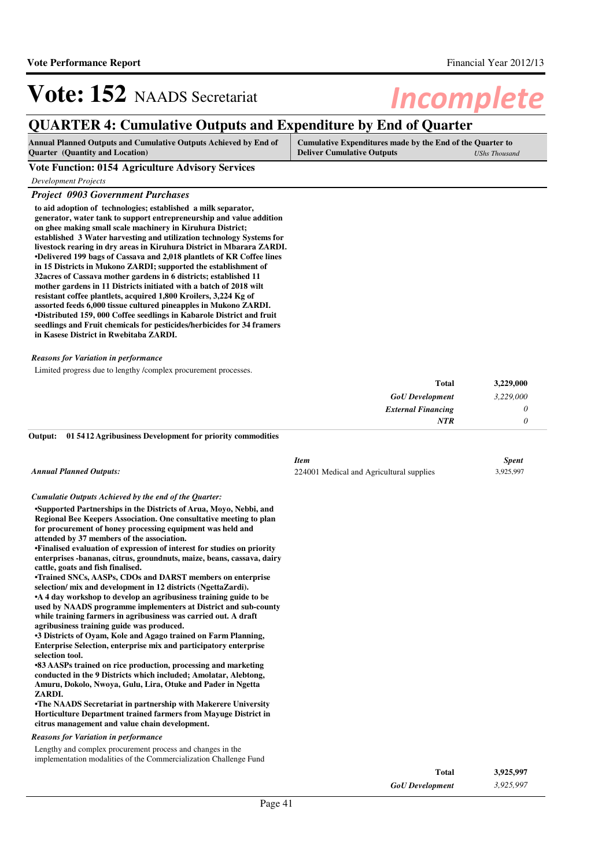## **QUARTER 4: Cumulative Outputs and Expenditure by End of Quarter**

| <b>Annual Planned Outputs and Cumulative Outputs Achieved by End of</b> | Cumulative Expenditures made by the End of the Quarter to |                      |
|-------------------------------------------------------------------------|-----------------------------------------------------------|----------------------|
| <b>Quarter</b> (Quantity and Location)                                  | <b>Deliver Cumulative Outputs</b>                         | <b>UShs Thousand</b> |

**Vote Function: 0154 Agriculture Advisory Services**

*Development Projects*

### *Project 0903 Government Purchases*

**to aid adoption of technologies; established a milk separator, generator, water tank to support entrepreneurship and value addition on ghee making small scale machinery in Kiruhura District; established 3 Water harvesting and utilization technology Systems for livestock rearing in dry areas in Kiruhura District in Mbarara ZARDI. •Delivered 199 bags of Cassava and 2,018 plantlets of KR Coffee lines in 15 Districts in Mukono ZARDI; supported the establishment of 32acres of Cassava mother gardens in 6 districts; established 11 mother gardens in 11 Districts initiated with a batch of 2018 wilt resistant coffee plantlets, acquired 1,800 Kroilers, 3,224 Kg of assorted feeds 6,000 tissue cultured pineapples in Mukono ZARDI. •Distributed 159, 000 Coffee seedlings in Kabarole District and fruit seedlings and Fruit chemicals for pesticides/herbicides for 34 framers in Kasese District in Rwebitaba ZARDI.**

### *Reasons for Variation in performance*

Limited progress due to lengthy /complex procurement processes.

| 3,229,000 | <b>Total</b>              |
|-----------|---------------------------|
| 3,229,000 | <b>GoU</b> Development    |
|           | <b>External Financing</b> |
|           | NTR                       |

#### **01 5412 Agribusiness Development for priority commodities Output:**

| <b>Annual Planned Outputs:</b>                                                                                                                                                                                                                                                                                                                                                                                                                                                                                                                                                                                                                                                                                                                                                                                                                                                                                                                                                                                                                                                                                                        | <b>Item</b><br>224001 Medical and Agricultural supplies | <b>Spent</b><br>3,925,997 |
|---------------------------------------------------------------------------------------------------------------------------------------------------------------------------------------------------------------------------------------------------------------------------------------------------------------------------------------------------------------------------------------------------------------------------------------------------------------------------------------------------------------------------------------------------------------------------------------------------------------------------------------------------------------------------------------------------------------------------------------------------------------------------------------------------------------------------------------------------------------------------------------------------------------------------------------------------------------------------------------------------------------------------------------------------------------------------------------------------------------------------------------|---------------------------------------------------------|---------------------------|
| Cumulatie Outputs Achieved by the end of the Ouarter:                                                                                                                                                                                                                                                                                                                                                                                                                                                                                                                                                                                                                                                                                                                                                                                                                                                                                                                                                                                                                                                                                 |                                                         |                           |
| •Supported Partnerships in the Districts of Arua, Moyo, Nebbi, and<br>Regional Bee Keepers Association. One consultative meeting to plan<br>for procurement of honey processing equipment was held and<br>attended by 37 members of the association.<br>•Finalised evaluation of expression of interest for studies on priority<br>enterprises -bananas, citrus, groundnuts, maize, beans, cassava, dairy<br>cattle, goats and fish finalised.<br>•Trained SNCs, AASPs, CDOs and DARST members on enterprise<br>selection/ mix and development in 12 districts (NgettaZardi).<br>•A 4 day workshop to develop an agribusiness training guide to be<br>used by NAADS programme implementers at District and sub-county<br>while training farmers in agribusiness was carried out. A draft<br>agribusiness training guide was produced.<br>•3 Districts of Oyam, Kole and Agago trained on Farm Planning,<br>Enterprise Selection, enterprise mix and participatory enterprise<br>selection tool.<br>•83 AASPs trained on rice production, processing and marketing<br>conducted in the 9 Districts which included; Amolatar, Alebtong, |                                                         |                           |
| Amuru, Dokolo, Nwoya, Gulu, Lira, Otuke and Pader in Ngetta<br>ZARDI.                                                                                                                                                                                                                                                                                                                                                                                                                                                                                                                                                                                                                                                                                                                                                                                                                                                                                                                                                                                                                                                                 |                                                         |                           |
| •The NAADS Secretariat in partnership with Makerere University<br>Horticulture Department trained farmers from Mayuge District in<br>citrus management and value chain development.                                                                                                                                                                                                                                                                                                                                                                                                                                                                                                                                                                                                                                                                                                                                                                                                                                                                                                                                                   |                                                         |                           |
| <b>Reasons for Variation in performance</b>                                                                                                                                                                                                                                                                                                                                                                                                                                                                                                                                                                                                                                                                                                                                                                                                                                                                                                                                                                                                                                                                                           |                                                         |                           |
| Lengthy and complex procurement process and changes in the                                                                                                                                                                                                                                                                                                                                                                                                                                                                                                                                                                                                                                                                                                                                                                                                                                                                                                                                                                                                                                                                            |                                                         |                           |

implementation modalities of the Commercialization Challenge Fund

| Total                  | 3,925,997 |
|------------------------|-----------|
| <b>GoU</b> Development | 3,925,997 |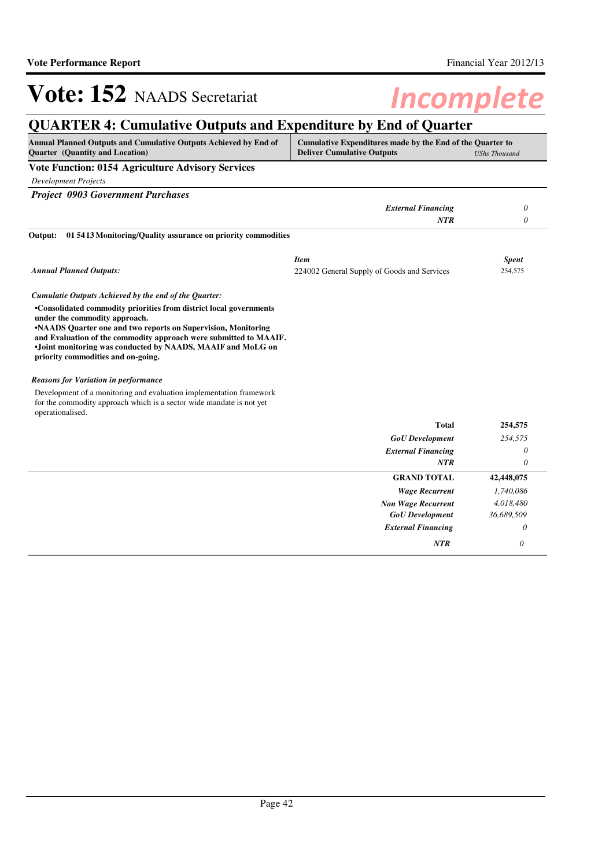# **QUARTER 4: Cumulative Outputs and Expenditure by End of Quarter**

| Annual Planned Outputs and Cumulative Outputs Achieved by End of<br>Quarter (Quantity and Location)                                                                                                                                                                                                                                            | Cumulative Expenditures made by the End of the Quarter to<br><b>Deliver Cumulative Outputs</b> | <b>UShs Thousand</b> |
|------------------------------------------------------------------------------------------------------------------------------------------------------------------------------------------------------------------------------------------------------------------------------------------------------------------------------------------------|------------------------------------------------------------------------------------------------|----------------------|
| Vote Function: 0154 Agriculture Advisory Services                                                                                                                                                                                                                                                                                              |                                                                                                |                      |
| <b>Development Projects</b>                                                                                                                                                                                                                                                                                                                    |                                                                                                |                      |
| <b>Project 0903 Government Purchases</b>                                                                                                                                                                                                                                                                                                       |                                                                                                |                      |
|                                                                                                                                                                                                                                                                                                                                                | <b>External Financing</b>                                                                      | 0                    |
|                                                                                                                                                                                                                                                                                                                                                | <b>NTR</b>                                                                                     | 0                    |
| 01 5413 Monitoring/Quality assurance on priority commodities<br>Output:                                                                                                                                                                                                                                                                        |                                                                                                |                      |
|                                                                                                                                                                                                                                                                                                                                                | <b>Item</b>                                                                                    | <b>Spent</b>         |
| <b>Annual Planned Outputs:</b>                                                                                                                                                                                                                                                                                                                 | 224002 General Supply of Goods and Services                                                    | 254,575              |
| Cumulatie Outputs Achieved by the end of the Quarter:                                                                                                                                                                                                                                                                                          |                                                                                                |                      |
| •Consolidated commodity priorities from district local governments<br>under the commodity approach.<br>•NAADS Quarter one and two reports on Supervision, Monitoring<br>and Evaluation of the commodity approach were submitted to MAAIF.<br>•Joint monitoring was conducted by NAADS, MAAIF and MoLG on<br>priority commodities and on-going. |                                                                                                |                      |
| <b>Reasons for Variation in performance</b>                                                                                                                                                                                                                                                                                                    |                                                                                                |                      |
| Development of a monitoring and evaluation implementation framework<br>for the commodity approach which is a sector wide mandate is not yet<br>operationalised.                                                                                                                                                                                |                                                                                                |                      |
|                                                                                                                                                                                                                                                                                                                                                | <b>Total</b>                                                                                   | 254,575              |
|                                                                                                                                                                                                                                                                                                                                                | <b>GoU</b> Development                                                                         | 254,575              |
|                                                                                                                                                                                                                                                                                                                                                | <b>External Financing</b>                                                                      | 0                    |
|                                                                                                                                                                                                                                                                                                                                                | <b>NTR</b>                                                                                     | $\theta$             |
|                                                                                                                                                                                                                                                                                                                                                | <b>GRAND TOTAL</b>                                                                             | 42,448,075           |
|                                                                                                                                                                                                                                                                                                                                                | <b>Wage Recurrent</b>                                                                          | 1,740,086            |
|                                                                                                                                                                                                                                                                                                                                                | <b>Non Wage Recurrent</b>                                                                      | 4,018,480            |
|                                                                                                                                                                                                                                                                                                                                                | <b>GoU</b> Development                                                                         | 36,689,509           |
|                                                                                                                                                                                                                                                                                                                                                | <b>External Financing</b>                                                                      | 0                    |
|                                                                                                                                                                                                                                                                                                                                                | <b>NTR</b>                                                                                     | $\theta$             |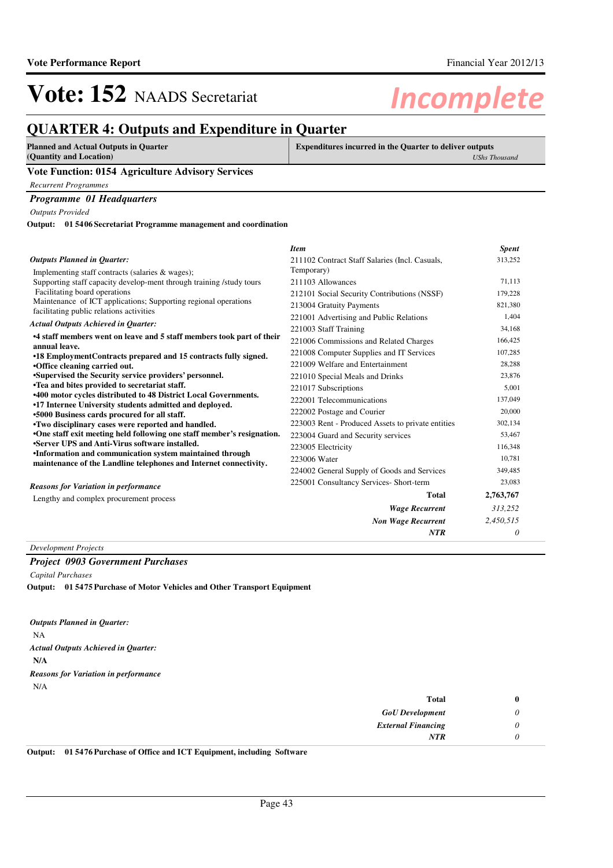## **QUARTER 4: Outputs and Expenditure in Quarter**

| <b>Planned and Actual Outputs in Quarter</b><br>(Quantity and Location) | <b>Expenditures incurred in the Quarter to deliver outputs</b><br>UShs Thousand |
|-------------------------------------------------------------------------|---------------------------------------------------------------------------------|
| <b>Vote Function: 0154 Agriculture Advisory Services</b>                |                                                                                 |
| Recurrent Programmes                                                    |                                                                                 |
| <b>Programme 01 Headquarters</b>                                        |                                                                                 |

*Outputs Provided*

**01 5406 Secretariat Programme management and coordination Output:**

|                                                                                                                               | <b>Item</b>                                       | <b>Spent</b> |
|-------------------------------------------------------------------------------------------------------------------------------|---------------------------------------------------|--------------|
| <b>Outputs Planned in Ouarter:</b>                                                                                            | 211102 Contract Staff Salaries (Incl. Casuals,    | 313,252      |
| Implementing staff contracts (salaries & wages);                                                                              | Temporary)                                        |              |
| Supporting staff capacity develop-ment through training /study tours                                                          | 211103 Allowances                                 | 71,113       |
| Facilitating board operations                                                                                                 | 212101 Social Security Contributions (NSSF)       | 179,228      |
| Maintenance of ICT applications; Supporting regional operations<br>facilitating public relations activities                   | 213004 Gratuity Payments                          | 821,380      |
|                                                                                                                               | 221001 Advertising and Public Relations           | 1,404        |
| <b>Actual Outputs Achieved in Quarter:</b>                                                                                    | 221003 Staff Training                             | 34,168       |
| •4 staff members went on leave and 5 staff members took part of their                                                         | 221006 Commissions and Related Charges            | 166,425      |
| annual leave.<br>•18 EmploymentContracts prepared and 15 contracts fully signed.                                              | 221008 Computer Supplies and IT Services          | 107,285      |
| •Office cleaning carried out.                                                                                                 | 221009 Welfare and Entertainment                  | 28,288       |
| •Supervised the Security service providers' personnel.                                                                        | 221010 Special Meals and Drinks                   | 23,876       |
| •Tea and bites provided to secretariat staff.                                                                                 | 221017 Subscriptions                              | 5,001        |
| <b>.400 motor cycles distributed to 48 District Local Governments.</b>                                                        | 222001 Telecommunications                         | 137,049      |
| •17 Internee University students admitted and deployed.<br>.5000 Business cards procured for all staff.                       | 222002 Postage and Courier                        | 20,000       |
| •Two disciplinary cases were reported and handled.                                                                            | 223003 Rent - Produced Assets to private entities | 302,134      |
| •One staff exit meeting held following one staff member's resignation.                                                        | 223004 Guard and Security services                | 53,467       |
| •Server UPS and Anti-Virus software installed.                                                                                | 223005 Electricity                                | 116,348      |
| •Information and communication system maintained through<br>maintenance of the Landline telephones and Internet connectivity. | 223006 Water                                      | 10.781       |
|                                                                                                                               | 224002 General Supply of Goods and Services       | 349,485      |
| <b>Reasons for Variation in performance</b>                                                                                   | 225001 Consultancy Services- Short-term           | 23,083       |
| Lengthy and complex procurement process                                                                                       | <b>Total</b>                                      | 2,763,767    |
|                                                                                                                               | <b>Wage Recurrent</b>                             | 313,252      |
|                                                                                                                               | <b>Non Wage Recurrent</b>                         | 2,450,515    |
|                                                                                                                               | <b>NTR</b>                                        | 0            |

*Development Projects*

### *Project 0903 Government Purchases*

*Capital Purchases*

**01 5475 Purchase of Motor Vehicles and Other Transport Equipment Output:**

NA **N/A** *Actual Outputs Achieved in Quarter: Outputs Planned in Quarter:* N/A *Reasons for Variation in performance*

| <b>Total</b>              |
|---------------------------|
| <b>GoU</b> Development    |
| <b>External Financing</b> |
| <b>NTR</b>                |
|                           |

**Output: 01 5476 Purchase of Office and ICT Equipment, including Software**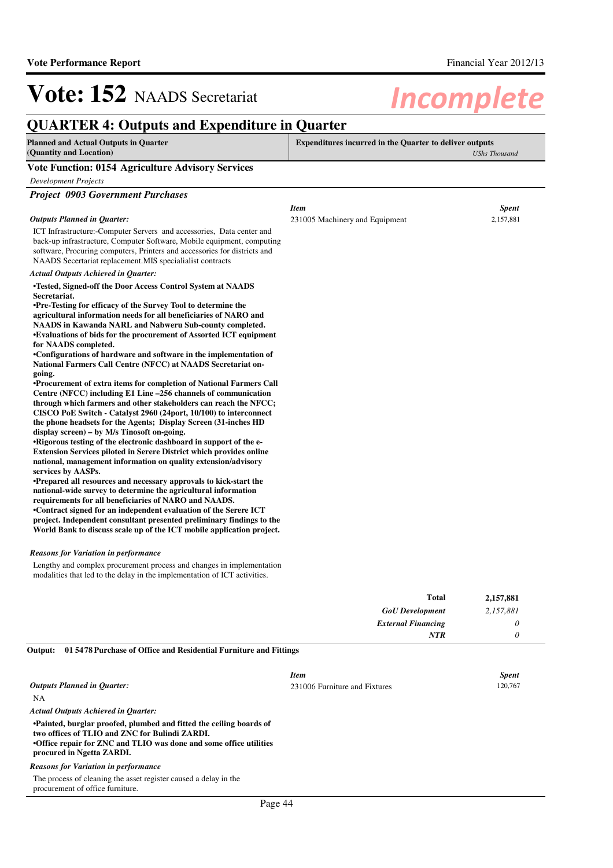## **QUARTER 4: Outputs and Expenditure in Quarter**

| <b>Planned and Actual Outputs in Quarter</b><br>(Quantity and Location)                                                                                                                                                                                                                                                                                                                                                                                                                                                                                                                                                                                                                                                                                                                                                                                                                                                                                                                                                                                                                                                                                                                                                                                                                                                                                                                                                                                                                                                                                                                                | <b>Expenditures incurred in the Quarter to deliver outputs</b> | <b>UShs Thousand</b> |
|--------------------------------------------------------------------------------------------------------------------------------------------------------------------------------------------------------------------------------------------------------------------------------------------------------------------------------------------------------------------------------------------------------------------------------------------------------------------------------------------------------------------------------------------------------------------------------------------------------------------------------------------------------------------------------------------------------------------------------------------------------------------------------------------------------------------------------------------------------------------------------------------------------------------------------------------------------------------------------------------------------------------------------------------------------------------------------------------------------------------------------------------------------------------------------------------------------------------------------------------------------------------------------------------------------------------------------------------------------------------------------------------------------------------------------------------------------------------------------------------------------------------------------------------------------------------------------------------------------|----------------------------------------------------------------|----------------------|
| <b>Vote Function: 0154 Agriculture Advisory Services</b>                                                                                                                                                                                                                                                                                                                                                                                                                                                                                                                                                                                                                                                                                                                                                                                                                                                                                                                                                                                                                                                                                                                                                                                                                                                                                                                                                                                                                                                                                                                                               |                                                                |                      |
| Development Projects                                                                                                                                                                                                                                                                                                                                                                                                                                                                                                                                                                                                                                                                                                                                                                                                                                                                                                                                                                                                                                                                                                                                                                                                                                                                                                                                                                                                                                                                                                                                                                                   |                                                                |                      |
| <b>Project 0903 Government Purchases</b>                                                                                                                                                                                                                                                                                                                                                                                                                                                                                                                                                                                                                                                                                                                                                                                                                                                                                                                                                                                                                                                                                                                                                                                                                                                                                                                                                                                                                                                                                                                                                               |                                                                |                      |
|                                                                                                                                                                                                                                                                                                                                                                                                                                                                                                                                                                                                                                                                                                                                                                                                                                                                                                                                                                                                                                                                                                                                                                                                                                                                                                                                                                                                                                                                                                                                                                                                        | <b>Item</b>                                                    | <b>Spent</b>         |
| <b>Outputs Planned in Quarter:</b>                                                                                                                                                                                                                                                                                                                                                                                                                                                                                                                                                                                                                                                                                                                                                                                                                                                                                                                                                                                                                                                                                                                                                                                                                                                                                                                                                                                                                                                                                                                                                                     | 231005 Machinery and Equipment                                 | 2,157,881            |
| ICT Infrastructure:-Computer Servers and accessories, Data center and<br>back-up infrastructure, Computer Software, Mobile equipment, computing<br>software, Procuring computers, Printers and accessories for districts and<br>NAADS Secertariat replacement.MIS specialialist contracts                                                                                                                                                                                                                                                                                                                                                                                                                                                                                                                                                                                                                                                                                                                                                                                                                                                                                                                                                                                                                                                                                                                                                                                                                                                                                                              |                                                                |                      |
| <b>Actual Outputs Achieved in Quarter:</b>                                                                                                                                                                                                                                                                                                                                                                                                                                                                                                                                                                                                                                                                                                                                                                                                                                                                                                                                                                                                                                                                                                                                                                                                                                                                                                                                                                                                                                                                                                                                                             |                                                                |                      |
| •Tested, Signed-off the Door Access Control System at NAADS<br>Secretariat.<br>•Pre-Testing for efficacy of the Survey Tool to determine the<br>agricultural information needs for all beneficiaries of NARO and<br>NAADS in Kawanda NARL and Nabweru Sub-county completed.<br>•Evaluations of bids for the procurement of Assorted ICT equipment<br>for NAADS completed.<br>•Configurations of hardware and software in the implementation of<br>National Farmers Call Centre (NFCC) at NAADS Secretariat on-<br>going.<br><b>•Procurement of extra items for completion of National Farmers Call</b><br>Centre (NFCC) including E1 Line -256 channels of communication<br>through which farmers and other stakeholders can reach the NFCC;<br>CISCO PoE Switch - Catalyst 2960 (24port, 10/100) to interconnect<br>the phone headsets for the Agents; Display Screen (31-inches HD)<br>display screen) – by M/s Tinosoft on-going.<br>•Rigorous testing of the electronic dashboard in support of the e-<br><b>Extension Services piloted in Serere District which provides online</b><br>national, management information on quality extension/advisory<br>services by AASPs.<br>•Prepared all resources and necessary approvals to kick-start the<br>national-wide survey to determine the agricultural information<br>requirements for all beneficiaries of NARO and NAADS.<br>•Contract signed for an independent evaluation of the Serere ICT<br>project. Independent consultant presented preliminary findings to the<br>World Bank to discuss scale up of the ICT mobile application project. |                                                                |                      |

Lengthy and complex procurement process and changes in implementation modalities that led to the delay in the implementation of ICT activities.

| <b>Total</b>              | 2,157,881 |
|---------------------------|-----------|
| <b>GoU</b> Development    | 2,157,881 |
| <b>External Financing</b> |           |
| NTR                       |           |

| Output: 01 5478 Purchase of Office and Residential Furniture and Fittings |
|---------------------------------------------------------------------------|
|                                                                           |

|                                                                                                                                                                                                                          | <b>Item</b>                   | <b>Spent</b> |
|--------------------------------------------------------------------------------------------------------------------------------------------------------------------------------------------------------------------------|-------------------------------|--------------|
| Outputs Planned in Ouarter:                                                                                                                                                                                              | 231006 Furniture and Fixtures | 120,767      |
| NA                                                                                                                                                                                                                       |                               |              |
| <b>Actual Outputs Achieved in Ouarter:</b>                                                                                                                                                                               |                               |              |
| •Painted, burglar proofed, plumbed and fitted the ceiling boards of<br>two offices of TLIO and ZNC for Bulindi ZARDI.<br>•Office repair for ZNC and TLIO was done and some office utilities<br>procured in Ngetta ZARDI. |                               |              |
| <b>Reasons for Variation in performance</b>                                                                                                                                                                              |                               |              |
| The process of cleaning the asset register caused a delay in the<br>procurement of office furniture.                                                                                                                     |                               |              |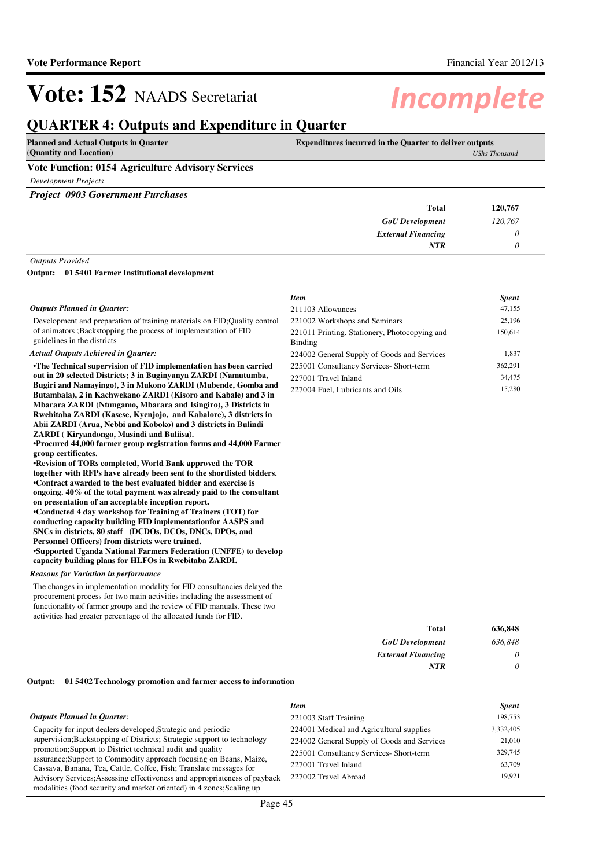## **QUARTER 4: Outputs and Expenditure in Quarter**

| Planned and Actual Outputs in Quarter                    | <b>Expenditures incurred in the Quarter to deliver outputs</b> |  |
|----------------------------------------------------------|----------------------------------------------------------------|--|
| (Quantity and Location)                                  | UShs Thousand                                                  |  |
| <b>Vote Function: 0154 Agriculture Advisory Services</b> |                                                                |  |

*Development Projects*

*Project 0903 Government Purchases*

| <b>Total</b>              | 120,767 |
|---------------------------|---------|
| <b>GoU</b> Development    | 120,767 |
| <b>External Financing</b> |         |
| <b>NTR</b>                |         |
|                           |         |

### *Outputs Provided*

#### **01 5401 Farmer Institutional development Output:**

#### *Outputs Planned in Quarter:*

Development and preparation of training materials on FID;Quality control of animators ;Backstopping the process of implementation of FID guidelines in the districts

### *Actual Outputs Achieved in Quarter:*

**•The Technical supervision of FID implementation ha s been carried out in 20 selected Districts; 3 in Buginyanya ZARDI (Namutumba, Bugiri and Namayingo), 3 in Mukono ZARDI (Mubende, Gomba and Butambala), 2 in Kachwekano ZARDI (Kisoro and Kabale) and 3 in Mbarara ZARDI (Ntungamo, Mbarara and Isingiro), 3 Districts in Rwebitaba ZARDI (Kasese, Kyenjojo, and Kabalore), 3 districts in Abii ZARDI (Arua, Nebbi and Koboko) and 3 districts in Bulindi ZARDI ( Kiryandongo, Masindi and Buliisa).**

**•Procured 44,000 farmer group registration forms an d 44,000 Farmer group certificates.**

**•Revision of TORs completed, World Bank approved the TOR together with RFPs have already been sent to the shortlisted bidders. •Contract awarded to the best evaluated bidder and exercise is ongoing. 40% of the total payment was already paid to the consultant on presentation of an acceptable inception report. •Conducted 4 day workshop for Training of Trainers (TOT) for conducting capacity building FID implementationfor AASPS and SNCs in districts, 80 staff (DCDOs, DCOs, DNCs, DPOs, and Personnel Officers) from districts were trained. •Supported Uganda National Farmers Federation (UNFF E) to develop capacity building plans for HLFOs in Rwebitaba ZARDI.**

### *Reasons for Variation in performance*

The changes in implementation modality for FID consultancies delayed the procurement process for two main activities including the assessment of functionality of farmer groups and the review of FID manuals. These two activities had greater percentage of the allocated funds for FID.

| Item                                                     | <b>Spent</b> |
|----------------------------------------------------------|--------------|
| 211103 Allowances                                        | 47,155       |
| 221002 Workshops and Seminars                            | 25,196       |
| 221011 Printing, Stationery, Photocopying and<br>Binding | 150,614      |
| 224002 General Supply of Goods and Services              | 1,837        |
| 225001 Consultancy Services- Short-term                  | 362,291      |
| 227001 Travel Inland                                     | 34,475       |
| 227004 Fuel, Lubricants and Oils                         | 15.280       |

| 636,848 | <b>Total</b>              |  |  |
|---------|---------------------------|--|--|
| 636,848 | <b>GoU</b> Development    |  |  |
|         | <b>External Financing</b> |  |  |
|         | <b>NTR</b>                |  |  |
|         |                           |  |  |

#### **01 5402 Technology promotion and farmer access to information Output:**

|  |  |  | <b>Outputs Planned in Quarter:</b> |
|--|--|--|------------------------------------|
|--|--|--|------------------------------------|

|                                                                                                                                          | <b>Item</b>                                 | <b>Spent</b> |
|------------------------------------------------------------------------------------------------------------------------------------------|---------------------------------------------|--------------|
| Outputs Planned in Ouarter:                                                                                                              | 221003 Staff Training                       | 198,753      |
| Capacity for input dealers developed; Strategic and periodic                                                                             | 224001 Medical and Agricultural supplies    | 3,332,405    |
| supervision; Backstopping of Districts; Strategic support to technology                                                                  | 224002 General Supply of Goods and Services | 21,010       |
| promotion; Support to District technical audit and quality                                                                               | 225001 Consultancy Services- Short-term     | 329,745      |
| assurance; Support to Commodity approach focusing on Beans, Maize,<br>Cassava, Banana, Tea, Cattle, Coffee, Fish; Translate messages for | 227001 Travel Inland                        | 63.709       |
| Advisory Services; Assessing effectiveness and appropriateness of payback                                                                | 227002 Travel Abroad                        | 19.921       |
| modalities (food security and market oriented) in 4 zones; Scaling up                                                                    |                                             |              |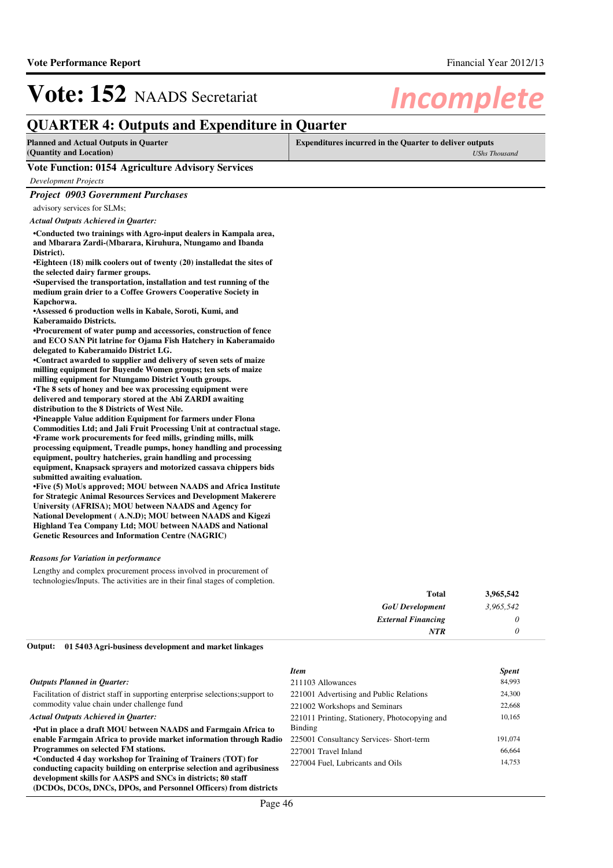## **QUARTER 4: Outputs and Expenditure in Quarter**

| <b>Planned and Actual Outputs in Quarter</b><br>(Quantity and Location) | <b>Expenditures incurred in the Quarter to deliver outputs</b><br><b>UShs Thousand</b> |
|-------------------------------------------------------------------------|----------------------------------------------------------------------------------------|
| Vote Function: 0154 Agriculture Advisory Services                       |                                                                                        |
| Development Projects                                                    |                                                                                        |
| <b>Project 0903 Government Purchases</b>                                |                                                                                        |

advisory services for SLMs; *Actual Outputs Achieved in Quarter:*

**•Conducted two trainings with Agro-input dealers in Kampala area, and Mbarara Zardi-(Mbarara, Kiruhura, Ntungamo and Ibanda District).**

**•Eighteen (18) milk coolers out of twenty (20) installedat the sites of the selected dairy farmer groups.**

•Supervised the transportation, installation and test running of the **medium grain drier to a Coffee Growers Cooperative Society in Kapchorwa.**

**•Assessed 6 production wells in Kabale, Soroti, Kumi, and Kaberamaido Districts.**

**•Procurement of water pump and accessories, construction of fence and ECO SAN Pit latrine for Ojama Fish Hatchery in Kaberamaido delegated to Kaberamaido District LG.**

**•Contract awarded to supplier and delivery of seven sets of maize milling equipment for Buyende Women groups; ten sets of maize milling equipment for Ntungamo District Youth groups.** •The 8 sets of honey and bee wax processing equipment were **delivered and temporary stored at the Abi ZARDI awaiting distribution to the 8 Districts of West Nile.**

**•Pineapple Value addition Equipment for farmers under Flona Commodities Ltd; and Jali Fruit Processing Unit at contractual stage. •Frame work procurements for feed mills, grinding mills, milk processing equipment, Treadle pumps, honey handling and processing equipment, poultry hatcheries, grain handling and processing equipment, Knapsack sprayers and motorized cassava chippers bids submitted awaiting evaluation.**

**•** Five (5) MoUs approved; MOU between NAADS and Africa Institute **for Strategic Animal Resources Services and Development Makerere University (AFRISA); MOU between NAADS and Agency for National Development ( A.N.D); MOU between NAADS and Kigezi Highland Tea Company Ltd; MOU between NAADS and National Genetic Resources and Information Centre (NAGRIC)**

#### *Reasons for Variation in performance*

Lengthy and complex procurement process involved in procurement of technologies/Inputs. The activities are in their final stages of completion.

| Total                     | 3,965,542 |  |
|---------------------------|-----------|--|
| <b>GoU</b> Development    | 3,965,542 |  |
| <b>External Financing</b> | O         |  |
| NTR                       | $\theta$  |  |

**01 5403 Agri-business development and market linkages Output:**

| <b>Item</b>                                   | <b>Spent</b> |
|-----------------------------------------------|--------------|
| 211103 Allowances                             | 84,993       |
| 221001 Advertising and Public Relations       | 24,300       |
| 221002 Workshops and Seminars                 | 22,668       |
| 221011 Printing, Stationery, Photocopying and | 10.165       |
| Binding                                       |              |
| 225001 Consultancy Services- Short-term       | 191,074      |
| 227001 Travel Inland                          | 66,664       |
| 227004 Fuel, Lubricants and Oils              | 14,753       |
|                                               |              |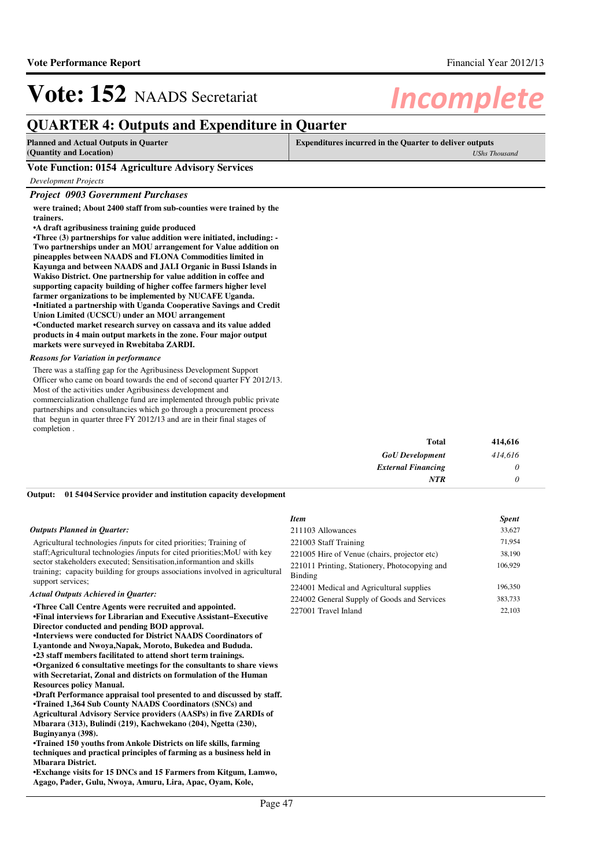## **QUARTER 4: Outputs and Expenditure in Quarter**

| <b>Planned and Actual Outputs in Quarter</b>      | <b>Expenditures incurred in the Quarter to deliver outputs</b> |  |
|---------------------------------------------------|----------------------------------------------------------------|--|
| (Quantity and Location)                           | UShs Thousand                                                  |  |
| Vote Function: 0154 Agriculture Advisory Services |                                                                |  |
| Development Projects                              |                                                                |  |

#### *Project 0903 Government Purchases*

**were trained; About 2400 staff from sub-counties were trained by the trainers.**

**•A draft agribusiness training guide produced**

•Three (3) partnerships for value addition were initiated, including: -**Two partnerships under an MOU arrangement for Value addition on pineapples between NAADS and FLONA Commodities limited in Kayunga and between NAADS and JALI Organic in Bussi Islands in Wakiso District. One partnership for value addition in coffee and supporting capacity building of higher coffee farmers higher level farmer organizations to be implemented by NUCAFE Uganda. •Initiated a partnership with Uganda Cooperative Sa vings and Credit Union Limited (UCSCU) under an MOU arrangement •Conducted market research survey on cassava and its value added products in 4 main output markets in the zone. Four major output markets were surveyed in Rwebitaba ZARDI.**

### *Reasons for Variation in performance*

There was a staffing gap for the Agribusiness Development Support Officer who came on board towards the end of second quarter FY 2012/13. Most of the activities under Agribusiness development and commercialization challenge fund are implemented through public private partnerships and consultancies which go through a procurement process that begun in quarter three FY 2012/13 and are in their final stages of completion .

| 414,616<br><b>Total</b>           |  |
|-----------------------------------|--|
| 414,616<br><b>GoU</b> Development |  |
| <b>External Financing</b>         |  |
| <b>NTR</b>                        |  |

#### **01 5404 Service provider and institution capacity development Output:**

#### *Outputs Planned in Quarter:*

Agricultural technologies /inputs for cited priorities; Training of staff;Agricultural technologies /inputs for cited priorities;MoU with key sector stakeholders executed; Sensitisation,informantion and skills training; capacity building for groups associations involved in agricultural support services;

### *Actual Outputs Achieved in Quarter:*

**•Three Call Centre Agents were recruited and appoin ted. •Final interviews for Librarian and Executive Assis tant–Executive Director conducted and pending BOD approval.**

**•Interviews were conducted for District NAADS Coordinators of Lyantonde and Nwoya,Napak, Moroto, Bukedea and Bududa.**

**•23 staff members facilitated to attend short term trainings. •Organized 6 consultative meetings for the consultants to share views with Secretariat, Zonal and districts on formulation of the Human Resources policy Manual.**

**•Draft Performance appraisal tool presented to and discussed by staff. •Trained 1,364 Sub County NAADS Coordinators (SNCs) and Agricultural Advisory Service providers (AASPs) in five ZARDIs of Mbarara (313), Bulindi (219), Kachwekano (204), Ngetta (230), Buginyanya (398).**

**•Trained 150 youths from Ankole Districts on life s kills, farming techniques and practical principles of farming as a business held in Mbarara District.**

**•Exchange visits for 15 DNCs and 15 Farmers from Ki tgum, Lamwo, Agago, Pader, Gulu, Nwoya, Amuru, Lira, Apac, Oyam, Kole,** 

| Item                                                     | <b>Spent</b> |
|----------------------------------------------------------|--------------|
| 211103 Allowances                                        | 33,627       |
| 221003 Staff Training                                    | 71,954       |
| 221005 Hire of Venue (chairs, projector etc)             | 38,190       |
| 221011 Printing, Stationery, Photocopying and<br>Binding | 106,929      |
| 224001 Medical and Agricultural supplies                 | 196,350      |
| 224002 General Supply of Goods and Services              | 383,733      |
| 227001 Travel Inland                                     | 22,103       |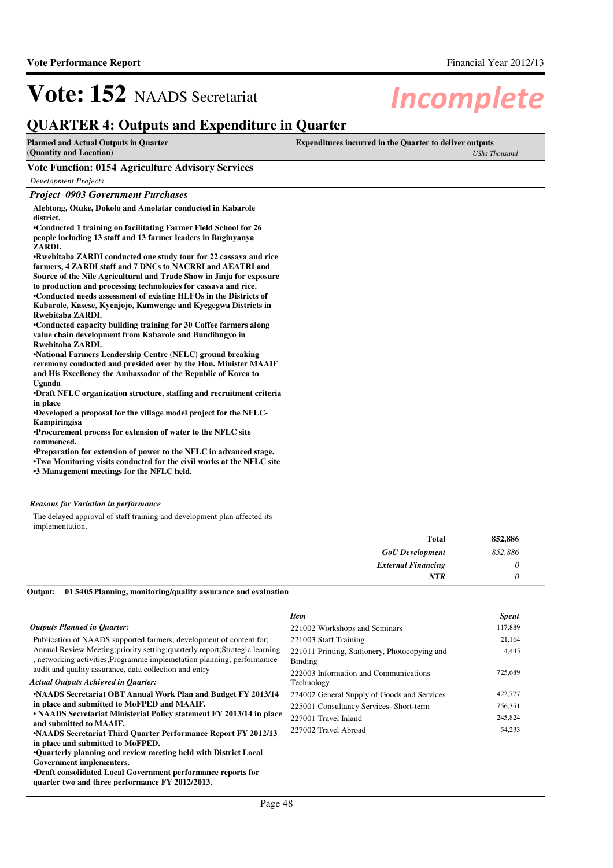## **QUARTER 4: Outputs and Expenditure in Quarter**

| <b>Planned and Actual Outputs in Quarter</b> | <b>Expenditures incurred in the Quarter to deliver outputs</b> |
|----------------------------------------------|----------------------------------------------------------------|
| (Quantity and Location)                      | UShs Thousand                                                  |
| <b>**</b> * **                               |                                                                |

### **Vote Function: 0154 Agriculture Advisory Services**

*Development Projects*

### *Project 0903 Government Purchases*

**Alebtong, Otuke, Dokolo and Amolatar conducted in Kabarole district.**

**•Conducted 1 training on facilitating Farmer Field School for 26 people including 13 staff and 13 farmer leaders in Buginyanya ZARDI.**

**•Rwebitaba ZARDI conducted one study tour for 22 ca ssava and rice farmers, 4 ZARDI staff and 7 DNCs to NACRRI and AEATRI and Source of the Nile Agricultural and Trade Show in Jinja for exposure to production and processing technologies for cassava and rice. •Conducted needs assessment of existing HLFOs in th e Districts of Kabarole, Kasese, Kyenjojo, Kamwenge and Kyegegwa Districts in Rwebitaba ZARDI.**

**•Conducted capacity building training for 30 Coffee farmers along value chain development from Kabarole and Bundibugyo in Rwebitaba ZARDI.**

**•National Farmers Leadership Centre (NFLC) ground b reaking ceremony conducted and presided over by the Hon. Minister MAAIF and His Excellency the Ambassador of the Republic of Korea to Uganda**

**•Draft NFLC organization structure, staffing and recruitment criteria in place**

**•Developed a proposal for the village model project for the NFLC-Kampiringisa**

**•Procurement process for extension of water to the NFLC site commenced.**

**•Preparation for extension of power to the NFLC in advanced stage. •Two Monitoring visits conducted for the civil work s at the NFLC site •3 Management meetings for the NFLC held.**

### *Reasons for Variation in performance*

The delayed approval of staff training and development plan affected its implementation.

| 852,886 |
|---------|
| 852,886 |
| 0       |
| 0       |
|         |

**01 5405 Planning, monitoring/quality assurance and evaluation Output:**

|                                                                                                                                                         | <b>Item</b>                                              | <b>Spent</b> |
|---------------------------------------------------------------------------------------------------------------------------------------------------------|----------------------------------------------------------|--------------|
| <b>Outputs Planned in Quarter:</b>                                                                                                                      | 221002 Workshops and Seminars                            | 117,889      |
| Publication of NAADS supported farmers; development of content for;                                                                                     | 221003 Staff Training                                    | 21,164       |
| Annual Review Meeting; priority setting; quarterly report; Strategic learning<br>, networking activities; Programme implemetation planning; performance | 221011 Printing, Stationery, Photocopying and<br>Binding | 4,445        |
| audit and quality assurance, data collection and entry                                                                                                  | 222003 Information and Communications                    | 725,689      |
| <b>Actual Outputs Achieved in Quarter:</b>                                                                                                              | Technology                                               |              |
| •NAADS Secretariat OBT Annual Work Plan and Budget FY 2013/14                                                                                           | 224002 General Supply of Goods and Services              | 422,777      |
| in place and submitted to MoFPED and MAAIF.                                                                                                             | 225001 Consultancy Services- Short-term                  | 756,351      |
| • NAADS Secretariat Ministerial Policy statement FY 2013/14 in place<br>and submitted to MAAIF.                                                         | 227001 Travel Inland                                     | 245,824      |
| •NAADS Secretariat Third Quarter Performance Report FY 2012/13                                                                                          | 227002 Travel Abroad                                     | 54,233       |
| in place and submitted to MoFPED.                                                                                                                       |                                                          |              |
| •Quarterly planning and review meeting held with District Local                                                                                         |                                                          |              |
| Government implementers.                                                                                                                                |                                                          |              |
| <b>•Draft consolidated Local Government performance reports for</b><br>quarter two and three performance FY 2012/2013.                                  |                                                          |              |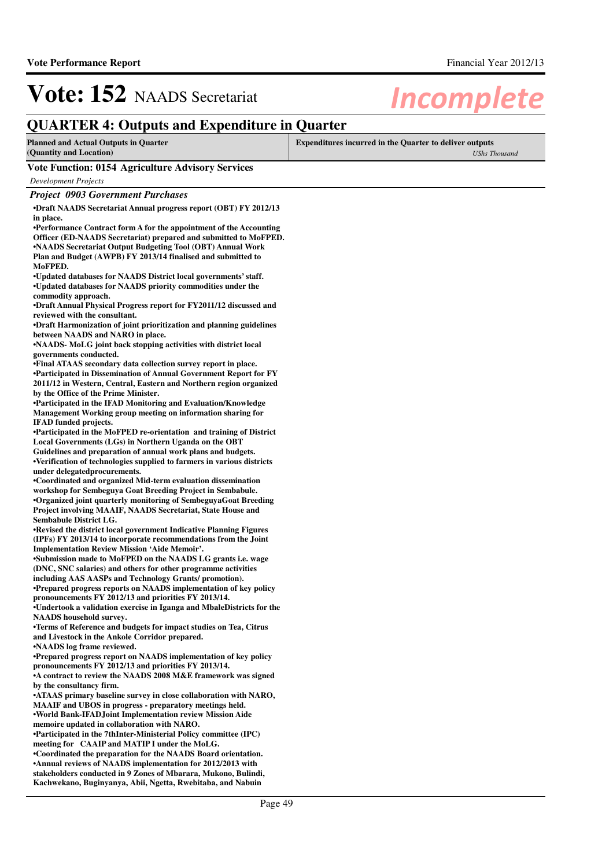## **QUARTER 4: Outputs and Expenditure in Quarter**

| Planned and Actual Outputs in Quarter                    | <b>Expenditures incurred in the Quarter to deliver outputs</b> |  |
|----------------------------------------------------------|----------------------------------------------------------------|--|
| (Quantity and Location)                                  | UShs Thousand                                                  |  |
| <b>Vote Function: 0154 Agriculture Advisory Services</b> |                                                                |  |

*Development Projects*

### *Project 0903 Government Purchases*

**•Draft NAADS Secretariat Annual progress report (OBT) FY 2012/13 in place.**

**•Performance Contract form A for the appointment of the Accounting Officer (ED-NAADS Secretariat) prepared and submitted to MoFPED. •NAADS Secretariat Output Budgeting Tool (OBT) Annual Work Plan and Budget (AWPB) FY 2013/14 finalised and submitted to MoFPED.**

•Updated databases for NAADS District local governments' staff. **•Updated databases for NAADS priority commodities u nder the commodity approach.**

**•Draft Annual Physical Progress report for FY2011/1 2 discussed and reviewed with the consultant.**

**•Draft Harmonization of joint prioritization and pl anning guidelines between NAADS and NARO in place.**

•NAADS- MoLG joint back stopping activities with district local **governments conducted.** 

**•Final ATAAS secondary data collection survey repor t in place. •Participated in Dissemination of Annual Government Report for FY 2011/12 in Western, Central, Eastern and Northern region organized by the Office of the Prime Minister.**

**•Participated in the IFAD Monitoring and Evaluation /Knowledge Management Working group meeting on information sharing for IFAD funded projects.**

**•Participated in the MoFPED re-orientation and training of District Local Governments (LGs) in Northern Uganda on the OBT** 

**Guidelines and preparation of annual work plans and budgets. •Verification of technologies supplied to farmers i n various districts under delegatedprocurements.**

•Coordinated and organized Mid-term evaluation dissemination **workshop for Sembeguya Goat Breeding Project in Sembabule. •Organized joint quarterly monitoring of SembeguyaG oat Breeding Project involving MAAIF, NAADS Secretariat, State House and Sembabule District LG.**

**•Revised the district local government Indicative Planning Figures (IPFs) FY 2013/14 to incorporate recommendations from the Joint Implementation Review Mission 'Aide Memoir'.**

**•Submission made to MoFPED on the NAADS LG grants i .e. wage (DNC, SNC salaries) and others for other programme activities including AAS AASPs and Technology Grants/ promotion).**

**•Prepared progress reports on NAADS implementation of key policy pronouncements FY 2012/13 and priorities FY 2013/14.**

•Undertook a validation exercise in Iganga and MbaleDistricts for the **NAADS household survey.**

**•Terms of Reference and budgets for impact studies on Tea, Citrus and Livestock in the Ankole Corridor prepared. •NAADS log frame reviewed.**

**•Prepared progress report on NAADS implementation of key policy pronouncements FY 2012/13 and priorities FY 2013/14.**

**•A contract to review the NAADS 2008 M&E framework was signed by the consultancy firm.**

**•ATAAS primary baseline survey in close collaboration with NARO, MAAIF and UBOS in progress - preparatory meetings held. •World Bank-IFADJoint Implementation review Mission Aide** 

**memoire updated in collaboration with NARO.**

**•Participated in the 7thInter-Ministerial Policy committee (IPC) meeting for CAAIP and MATIP I under the MoLG.**

**•Coordinated the preparation for the NAADS Board or ientation. •Annual reviews of NAADS implementation for 2012/2013 with stakeholders conducted in 9 Zones of Mbarara, Mukono, Bulindi, Kachwekano, Buginyanya, Abii, Ngetta, Rwebitaba, and Nabuin**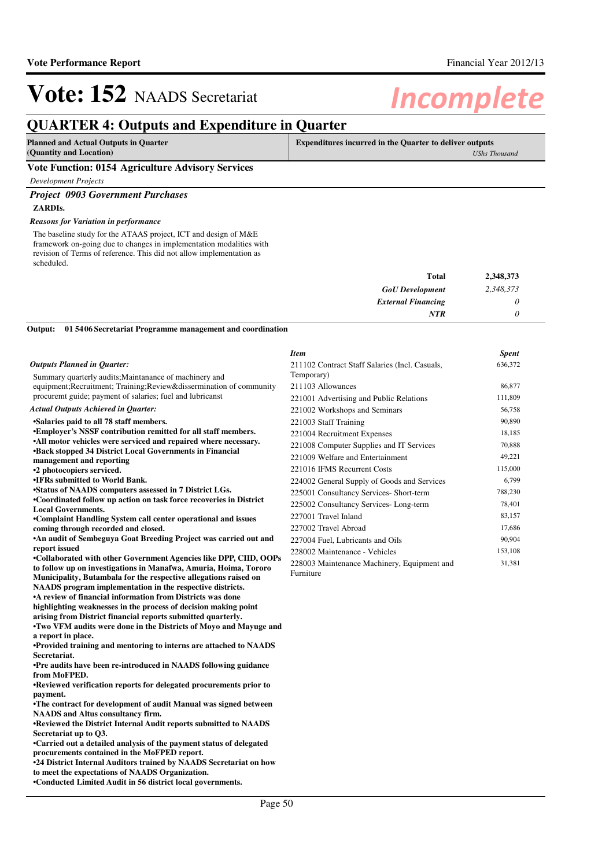## **QUARTER 4: Outputs and Expenditure in Quarter**

| Planned and Actual Outputs in Quarter             | <b>Expenditures incurred in the Quarter to deliver outputs</b> |  |
|---------------------------------------------------|----------------------------------------------------------------|--|
| (Quantity and Location)                           | <b>UShs Thousand</b>                                           |  |
| Vote Eunstian: 0154 Agniculture Advisory Conviges |                                                                |  |

### **Vote Function: 0154 Agriculture Advisory Services**

*Development Projects*

### *Project 0903 Government Purchases* **ZARDIs.**

**to meet the expectations of NAADS Organization. •Conducted Limited Audit in 56 district local gover nments.**

*Reasons for Variation in performance*

The baseline study for the ATAAS project, ICT and design of M&E framework on-going due to changes in implementation modalities with revision of Terms of reference. This did not allow implementation as scheduled.

| <b>Total</b>              | 2,348,373 |
|---------------------------|-----------|
| <b>GoU</b> Development    | 2,348,373 |
| <b>External Financing</b> |           |
| <b>NTR</b>                |           |

**01 5406 Secretariat Programme management and coordination Output:**

|                                                                                                                               | <b>Item</b>                                    | <b>Spent</b> |
|-------------------------------------------------------------------------------------------------------------------------------|------------------------------------------------|--------------|
| <b>Outputs Planned in Quarter:</b>                                                                                            | 211102 Contract Staff Salaries (Incl. Casuals, | 636,372      |
| Summary quarterly audits; Maintanance of machinery and                                                                        | Temporary)                                     |              |
| equipment; Recruitment; Training; Review&dissermination of community                                                          | 211103 Allowances                              | 86,877       |
| procuremt guide; payment of salaries; fuel and lubricanst                                                                     | 221001 Advertising and Public Relations        | 111,809      |
| <b>Actual Outputs Achieved in Quarter:</b>                                                                                    | 221002 Workshops and Seminars                  | 56,758       |
| •Salaries paid to all 78 staff members.                                                                                       | 221003 Staff Training                          | 90,890       |
| <b>*Employer's NSSF contribution remitted for all staff members.</b>                                                          | 221004 Recruitment Expenses                    | 18,185       |
| •All motor vehicles were serviced and repaired where necessary.                                                               | 221008 Computer Supplies and IT Services       | 70,888       |
| <b>•Back stopped 34 District Local Governments in Financial</b>                                                               | 221009 Welfare and Entertainment               | 49,221       |
| management and reporting                                                                                                      | 221016 IFMS Recurrent Costs                    | 115,000      |
| •2 photocopiers serviced.<br><b>.IFRs</b> submitted to World Bank.                                                            |                                                | 6,799        |
| •Status of NAADS computers assessed in 7 District LGs.                                                                        | 224002 General Supply of Goods and Services    |              |
| •Coordinated follow up action on task force recoveries in District                                                            | 225001 Consultancy Services- Short-term        | 788,230      |
| <b>Local Governments.</b>                                                                                                     | 225002 Consultancy Services-Long-term          | 78,401       |
| •Complaint Handling System call center operational and issues                                                                 | 227001 Travel Inland                           | 83,157       |
| coming through recorded and closed.                                                                                           | 227002 Travel Abroad                           | 17,686       |
| <b>An audit of Sembeguya Goat Breeding Project was carried out and</b>                                                        | 227004 Fuel, Lubricants and Oils               | 90,904       |
| report issued                                                                                                                 | 228002 Maintenance - Vehicles                  | 153,108      |
| •Collaborated with other Government Agencies like DPP, CIID, OOPs                                                             | 228003 Maintenance Machinery, Equipment and    | 31,381       |
| to follow up on investigations in Manafwa, Amuria, Hoima, Tororo                                                              | Furniture                                      |              |
| Municipality, Butambala for the respective allegations raised on<br>NAADS program implementation in the respective districts. |                                                |              |
| • A review of financial information from Districts was done                                                                   |                                                |              |
| highlighting weaknesses in the process of decision making point                                                               |                                                |              |
| arising from District financial reports submitted quarterly.                                                                  |                                                |              |
| •Two VFM audits were done in the Districts of Moyo and Mayuge and                                                             |                                                |              |
| a report in place.                                                                                                            |                                                |              |
| •Provided training and mentoring to interns are attached to NAADS                                                             |                                                |              |
| Secretariat.                                                                                                                  |                                                |              |
| •Pre audits have been re-introduced in NAADS following guidance                                                               |                                                |              |
| from MoFPED.                                                                                                                  |                                                |              |
| •Reviewed verification reports for delegated procurements prior to                                                            |                                                |              |
| payment.<br>•The contract for development of audit Manual was signed between                                                  |                                                |              |
| <b>NAADS</b> and Altus consultancy firm.                                                                                      |                                                |              |
| •Reviewed the District Internal Audit reports submitted to NAADS                                                              |                                                |              |
| Secretariat up to O3.                                                                                                         |                                                |              |
| •Carried out a detailed analysis of the payment status of delegated                                                           |                                                |              |
| procurements contained in the MoFPED report.                                                                                  |                                                |              |
| •24 District Internal Auditors trained by NAADS Secretariat on how                                                            |                                                |              |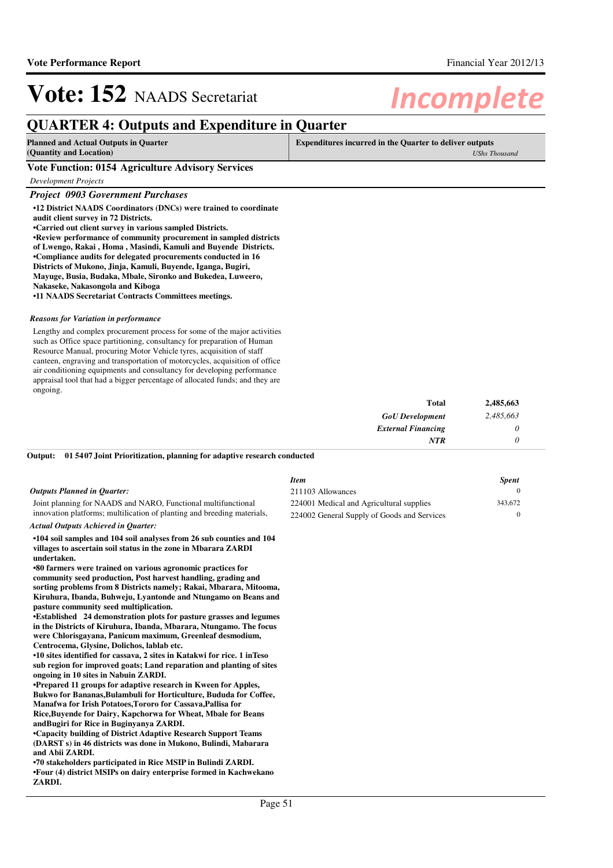## **QUARTER 4: Outputs and Expenditure in Quarter**

| <b>Planned and Actual Outputs in Quarter</b><br>(Quantity and Location) | <b>Expenditures incurred in the Quarter to deliver outputs</b> |  |
|-------------------------------------------------------------------------|----------------------------------------------------------------|--|
|                                                                         | UShs Thousand                                                  |  |
| Vote Function: 0154 Agriculture Advisory Services                       |                                                                |  |

*Development Projects*

#### *Project 0903 Government Purchases*

**•12 District NAADS Coordinators (DNCs) were trained to coordinate audit client survey in 72 Districts.**

•Carried out client survey in various sampled Districts.

**•Review performance of community procurement in sampled districts of Lwengo, Rakai , Homa , Masindi, Kamuli and Buyende Districts.**

**•Compliance audits for delegated procurements conducted in 16** 

**Districts of Mukono, Jinja, Kamuli, Buyende, Iganga, Bugiri,** 

**Mayuge, Busia, Budaka, Mbale, Sironko and Bukedea, Luweero,** 

**Nakaseke, Nakasongola and Kiboga**

**•11 NAADS Secretariat Contracts Committees meetings .**

#### *Reasons for Variation in performance*

Lengthy and complex procurement process for some of the major activities such as Office space partitioning, consultancy for preparation of Human Resource Manual, procuring Motor Vehicle tyres, acquisition of staff canteen, engraving and transportation of motorcycles, acquisition of office air conditioning equipments and consultancy for developing performance appraisal tool that had a bigger percentage of allocated funds; and they are ongoing.

| <b>Total</b>              | 2,485,663 |
|---------------------------|-----------|
| <b>GoU</b> Development    | 2,485,663 |
| <b>External Financing</b> | 0         |
| <b>NTR</b>                |           |

**01 5407 Joint Prioritization, planning for adaptive research conducted Output:**

#### *Outputs Planned in Quarter:*

Joint planning for NAADS and NARO, Functional multifunctional innovation platforms; multilication of planting and breeding materials, *Actual Outputs Achieved in Quarter:*

#### **•104 soil samples and 104 soil analyses from 26 sub counties and 104 villages to ascertain soil status in the zone in Mbarara ZARDI**

**undertaken.**

**•80 farmers were trained on various agronomic practices for community seed production, Post harvest handling, grading and sorting problems from 8 Districts namely; Rakai, Mbarara, Mitooma, Kiruhura, Ibanda, Buhweju, Lyantonde and Ntungamo on Beans and pasture community seed multiplication.**

**•Established 24 demonstration plots for pasture grasses and legumes in the Districts of Kiruhura, Ibanda, Mbarara, Ntungamo. The focus were Chlorisgayana, Panicum maximum, Greenleaf desmodium, Centrocema, Glysine, Dolichos, lablab etc.**

**•10 sites identified for cassava, 2 sites in Katakwi for rice. 1 inTeso sub region for improved goats; Land reparation and planting of sites ongoing in 10 sites in Nabuin ZARDI.**

**•Prepared 11 groups for adaptive research in Kween for Apples, Bukwo for Bananas,Bulambuli for Horticulture, Bududa for Coffee, Manafwa for Irish Potatoes,Tororo for Cassava,Pallisa for** 

**Rice,Buyende for Dairy, Kapchorwa for Wheat, Mbale for Beans andBugiri for Rice in Buginyanya ZARDI.**

**•Capacity building of District Adaptive Research Support Teams (DARST s) in 46 districts was done in Mukono, Bulindi, Mabarara and Abii ZARDI.**

•70 stakeholders participated in Rice MSIP in Bulindi ZARDI. **•Four (4) district MSIPs on dairy enterprise formed in Kachwekano ZARDI.**

| Item                                        | <b>Spent</b> |
|---------------------------------------------|--------------|
| 211103 Allowances                           |              |
| 224001 Medical and Agricultural supplies    | 343,672      |
| 224002 General Supply of Goods and Services |              |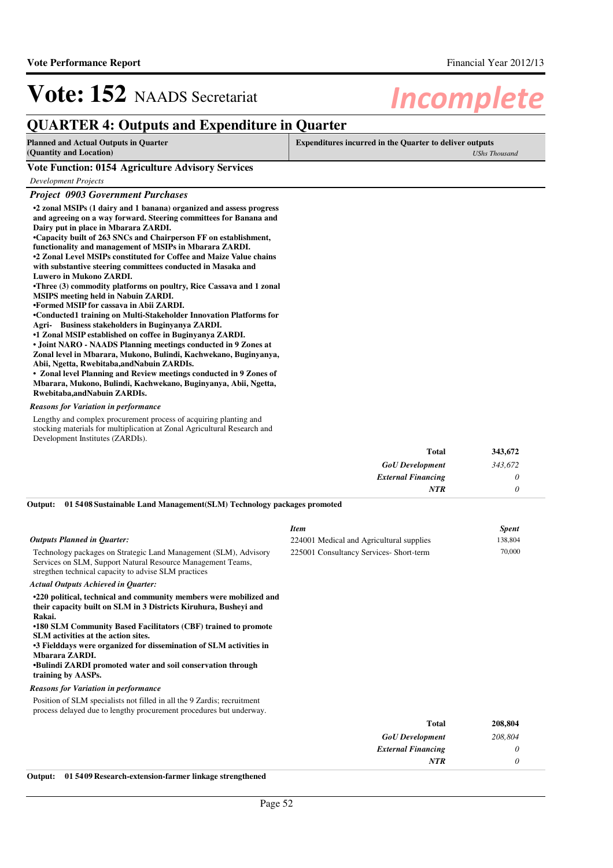## **QUARTER 4: Outputs and Expenditure in Quarter**

| <b>Planned and Actual Outputs in Quarter</b>             | <b>Expenditures incurred in the Quarter to deliver outputs</b> |  |
|----------------------------------------------------------|----------------------------------------------------------------|--|
| (Quantity and Location)                                  | <b>UShs Thousand</b>                                           |  |
| <b>Vote Function: 0154 Agriculture Advisory Services</b> |                                                                |  |
| Development Projects                                     |                                                                |  |

### *Project 0903 Government Purchases*

| Troject 0203 Government Lurchuses                                                                                                                                                 |
|-----------------------------------------------------------------------------------------------------------------------------------------------------------------------------------|
| •2 zonal MSIPs (1 dairy and 1 banana) organized and assess progress<br>and agreeing on a way forward. Steering committees for Banana and                                          |
| Dairy put in place in Mbarara ZARDI.                                                                                                                                              |
| •Capacity built of 263 SNCs and Chairperson FF on establishment,                                                                                                                  |
| functionality and management of MSIPs in Mbarara ZARDI.                                                                                                                           |
| •2 Zonal Level MSIPs constituted for Coffee and Maize Value chains                                                                                                                |
| with substantive steering committees conducted in Masaka and                                                                                                                      |
| <b>Luwero in Mukono ZARDI.</b>                                                                                                                                                    |
| •Three (3) commodity platforms on poultry, Rice Cassava and 1 zonal                                                                                                               |
| <b>MSIPS</b> meeting held in Nabuin ZARDI.                                                                                                                                        |
| •Formed MSIP for cassava in Abii ZARDI.                                                                                                                                           |
| •Conducted1 training on Multi-Stakeholder Innovation Platforms for                                                                                                                |
| Agri- Business stakeholders in Buginyanya ZARDI.                                                                                                                                  |
| •1 Zonal MSIP established on coffee in Buginyanya ZARDI.                                                                                                                          |
| • Joint NARO - NAADS Planning meetings conducted in 9 Zones at                                                                                                                    |
| Zonal level in Mbarara, Mukono, Bulindi, Kachwekano, Buginyanya,                                                                                                                  |
| Abii, Ngetta, Rwebitaba, and Nabuin ZARDIs.                                                                                                                                       |
| • Zonal level Planning and Review meetings conducted in 9 Zones of                                                                                                                |
| Mbarara, Mukono, Bulindi, Kachwekano, Buginyanya, Abii, Ngetta,                                                                                                                   |
| Rwebitaba, and Nabuin ZARDIs.                                                                                                                                                     |
| <b>Reasons for Variation in performance</b>                                                                                                                                       |
|                                                                                                                                                                                   |
| Lengthy and complex procurement process of acquiring planting and<br>stocking materials for multiplication at Zonal Agricultural Research and<br>Development Institutes (ZARDIs). |
|                                                                                                                                                                                   |

| <b>Total</b>              | 343,672 |
|---------------------------|---------|
| <b>GoU</b> Development    | 343,672 |
| <b>External Financing</b> |         |
| <b>NTR</b>                |         |

#### **01 5408 Sustainable Land Management(SLM) Technology packages promoted Output:**

| <b>Outputs Planned in Quarter:</b><br>Technology packages on Strategic Land Management (SLM), Advisory<br>Services on SLM, Support Natural Resource Management Teams,<br>stregthen technical capacity to advise SLM practices<br><b>Actual Outputs Achieved in Quarter:</b>                                                                                                                                                                   | <b>Item</b><br>224001 Medical and Agricultural supplies<br>225001 Consultancy Services- Short-term | <b>Spent</b><br>138,804<br>70,000 |
|-----------------------------------------------------------------------------------------------------------------------------------------------------------------------------------------------------------------------------------------------------------------------------------------------------------------------------------------------------------------------------------------------------------------------------------------------|----------------------------------------------------------------------------------------------------|-----------------------------------|
| •220 political, technical and community members were mobilized and<br>their capacity built on SLM in 3 Districts Kiruhura, Busheyi and<br>Rakai.<br>•180 SLM Community Based Facilitators (CBF) trained to promote<br>SLM activities at the action sites.<br>•3 Fielddays were organized for dissemination of SLM activities in<br>Mbarara ZARDI.<br><b>•Bulindi ZARDI</b> promoted water and soil conservation through<br>training by AASPs. |                                                                                                    |                                   |
| <b>Reasons for Variation in performance</b>                                                                                                                                                                                                                                                                                                                                                                                                   |                                                                                                    |                                   |
| Position of SLM specialists not filled in all the 9 Zardis; recruitment<br>process delayed due to lengthy procurement procedures but underway.                                                                                                                                                                                                                                                                                                |                                                                                                    |                                   |
|                                                                                                                                                                                                                                                                                                                                                                                                                                               | <b>Total</b>                                                                                       | 208,804                           |
|                                                                                                                                                                                                                                                                                                                                                                                                                                               | <b>GoU</b> Development                                                                             | 208,804                           |
|                                                                                                                                                                                                                                                                                                                                                                                                                                               | <b>External Financing</b>                                                                          | 0                                 |
|                                                                                                                                                                                                                                                                                                                                                                                                                                               | <b>NTR</b>                                                                                         | 0                                 |

**Output: 01 5409 Research-extension-farmer linkage strengthened**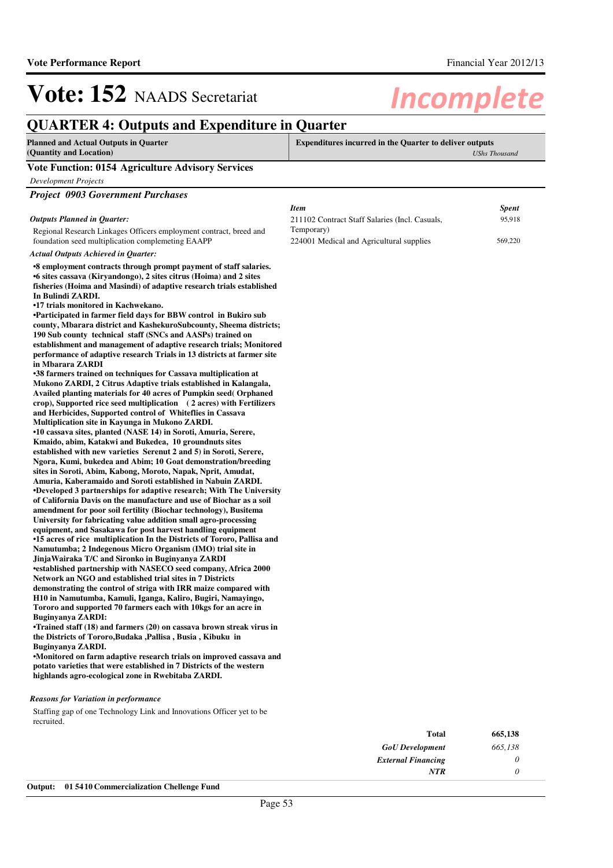## **QUARTER 4: Outputs and Expenditure in Quarter**

| <b>Planned and Actual Outputs in Quarter</b>             | <b>Expenditures incurred in the Quarter to deliver outputs</b> |  |
|----------------------------------------------------------|----------------------------------------------------------------|--|
| (Quantity and Location)                                  | UShs Thousand                                                  |  |
| <b>Vote Function: 0154 Agriculture Advisory Services</b> |                                                                |  |

*Development Projects*

| <b>Project 0903 Government Purchases</b> |
|------------------------------------------|
|------------------------------------------|

#### *Outputs Planned in Quarter:*

Regional Research Linkages Officers employment contract, breed and foundation seed multiplication complemeting EAAPP

*Actual Outputs Achieved in Quarter:*

#### **•8 employment contracts through prompt payment of s taff salaries.**  $\bullet$ 6 sites cassava (Kiryandongo), 2 sites citrus (Hoima) and 2 sites **fisheries (Hoima and Masindi) of adaptive research trials established In Bulindi ZARDI.**

**•17 trials monitored in Kachwekano.**

**•Participated in farmer field days for BBW control in Bukiro sub county, Mbarara district and KashekuroSubcounty, Sheema districts; 190 Sub county technical staff (SNCs and AASPs) trained on establishment and management of adaptive research trials; Monitored performance of adaptive research Trials in 13 districts at farmer site in Mbarara ZARDI**

**•38 farmers trained on techniques for Cassava multiplication at Mukono ZARDI, 2 Citrus Adaptive trials established in Kalangala, Availed planting materials for 40 acres of Pumpkin seed( Orphaned crop), Supported rice seed multiplication ( 2 acres) with Fertilizers and Herbicides, Supported control of Whiteflies in Cassava Multiplication site in Kayunga in Mukono ZARDI.**  $\cdot$ 10 cassava sites, planted (NASE 14) in Soroti, Amuria, Serere, **Kmaido, abim, Katakwi and Bukedea, 10 groundnuts sites established with new varieties Serenut 2 and 5) in Soroti, Serere, Ngora, Kumi, bukedea and Abim; 10 Goat demonstration/breeding sites in Soroti, Abim, Kabong, Moroto, Napak, Nprit, Amudat, Amuria, Kaberamaido and Soroti established in Nabuin ZARDI. •** Developed 3 partnerships for adaptive research; With The University **of California Davis on the manufacture and use of Biochar as a soil amendment for poor soil fertility (Biochar technology), Busitema University for fabricating value addition small agro-processing equipment, and Sasakawa for post harvest handling equipment •15 acres of rice multiplication In the Districts of Tororo, Pallisa and Namutumba; 2 Indegenous Micro Organism (IMO) trial site in JinjaWairaka T/C and Sironko in Buginyanya ZARDI •established partnership with NASECO seed company, Africa 2000 Network an NGO and established trial sites in 7 Districts demonstrating the control of striga with IRR maize compared with H10 in Namutumba, Kamuli, Iganga, Kaliro, Bugiri, Namayingo, Tororo and supported 70 farmers each with 10kgs for an acre in Buginyanya ZARDI:**

**•Trained staff (18) and farmers (20) on cassava brown streak virus in the Districts of Tororo,Budaka ,Pallisa , Busia , Kibuku in Buginyanya ZARDI.**

•Monitored on farm adaptive research trials on improved cassava and **potato varieties that were established in 7 Districts of the western highlands agro-ecological zone in Rwebitaba ZARDI.**

#### *Reasons for Variation in performance*

Staffing gap of one Technology Link and Innovations Officer yet to be recruited.

| 665,138 | <b>Total</b>                                                                                                                                   |
|---------|------------------------------------------------------------------------------------------------------------------------------------------------|
| 665,138 | <b>GoU</b> Development                                                                                                                         |
|         | <b>External Financing</b>                                                                                                                      |
|         | <b>NTR</b>                                                                                                                                     |
|         | $\sim$ $\sim$ $\sim$ $\sim$ $\sim$<br>$\mathbf{r}$ , $\mathbf{r}$ , $\mathbf{r}$ , $\mathbf{r}$ , $\mathbf{r}$ , $\mathbf{r}$<br>$\sim$ $\sim$ |

| Item                                                   | <b>Spent</b> |
|--------------------------------------------------------|--------------|
| 211102 Contract Staff Salaries (Incl. Casuals,         | 95.918       |
| Temporary)<br>224001 Medical and Agricultural supplies | 569,220      |
|                                                        |              |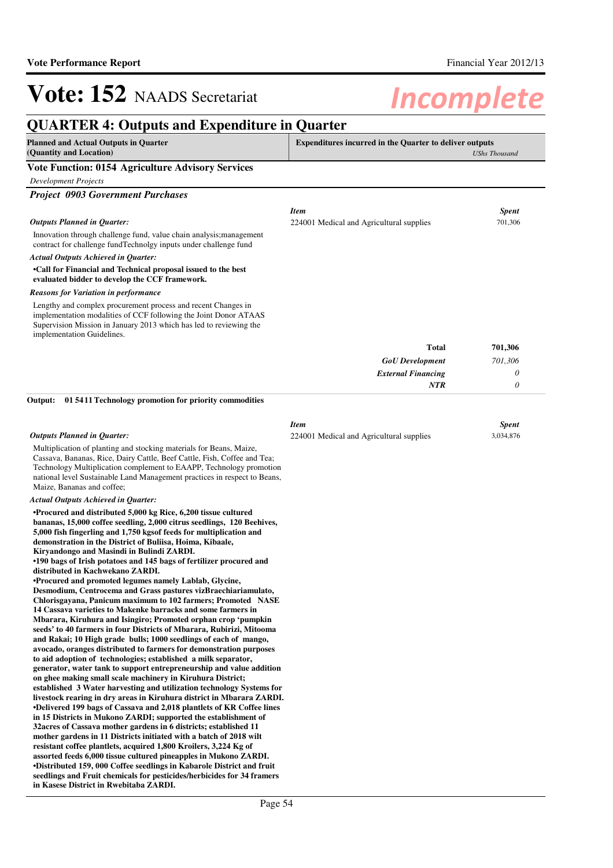## **QUARTER 4: Outputs and Expenditure in Quarter**

| QUANTEN 4: Outputs and Expenditure in Quarter<br><b>Planned and Actual Outputs in Quarter</b><br><b>Expenditures incurred in the Quarter to deliver outputs</b>                                                                                                                                                                                                                                                                                                                                                                                                                                                                                                                                                                                                                                                                                                                                                                                                                                                                                                                                                                                                                            |                                                         |                           |
|--------------------------------------------------------------------------------------------------------------------------------------------------------------------------------------------------------------------------------------------------------------------------------------------------------------------------------------------------------------------------------------------------------------------------------------------------------------------------------------------------------------------------------------------------------------------------------------------------------------------------------------------------------------------------------------------------------------------------------------------------------------------------------------------------------------------------------------------------------------------------------------------------------------------------------------------------------------------------------------------------------------------------------------------------------------------------------------------------------------------------------------------------------------------------------------------|---------------------------------------------------------|---------------------------|
| (Quantity and Location)                                                                                                                                                                                                                                                                                                                                                                                                                                                                                                                                                                                                                                                                                                                                                                                                                                                                                                                                                                                                                                                                                                                                                                    |                                                         | <b>UShs Thousand</b>      |
| <b>Vote Function: 0154 Agriculture Advisory Services</b>                                                                                                                                                                                                                                                                                                                                                                                                                                                                                                                                                                                                                                                                                                                                                                                                                                                                                                                                                                                                                                                                                                                                   |                                                         |                           |
| <b>Development Projects</b>                                                                                                                                                                                                                                                                                                                                                                                                                                                                                                                                                                                                                                                                                                                                                                                                                                                                                                                                                                                                                                                                                                                                                                |                                                         |                           |
| <b>Project 0903 Government Purchases</b>                                                                                                                                                                                                                                                                                                                                                                                                                                                                                                                                                                                                                                                                                                                                                                                                                                                                                                                                                                                                                                                                                                                                                   |                                                         |                           |
|                                                                                                                                                                                                                                                                                                                                                                                                                                                                                                                                                                                                                                                                                                                                                                                                                                                                                                                                                                                                                                                                                                                                                                                            | <b>Item</b>                                             | <b>Spent</b>              |
| Outputs Planned in Quarter:                                                                                                                                                                                                                                                                                                                                                                                                                                                                                                                                                                                                                                                                                                                                                                                                                                                                                                                                                                                                                                                                                                                                                                | 224001 Medical and Agricultural supplies                | 701,306                   |
| Innovation through challenge fund, value chain analysis; management<br>contract for challenge fundTechnolgy inputs under challenge fund                                                                                                                                                                                                                                                                                                                                                                                                                                                                                                                                                                                                                                                                                                                                                                                                                                                                                                                                                                                                                                                    |                                                         |                           |
| <b>Actual Outputs Achieved in Quarter:</b>                                                                                                                                                                                                                                                                                                                                                                                                                                                                                                                                                                                                                                                                                                                                                                                                                                                                                                                                                                                                                                                                                                                                                 |                                                         |                           |
| •Call for Financial and Technical proposal issued to the best<br>evaluated bidder to develop the CCF framework.                                                                                                                                                                                                                                                                                                                                                                                                                                                                                                                                                                                                                                                                                                                                                                                                                                                                                                                                                                                                                                                                            |                                                         |                           |
| Reasons for Variation in performance                                                                                                                                                                                                                                                                                                                                                                                                                                                                                                                                                                                                                                                                                                                                                                                                                                                                                                                                                                                                                                                                                                                                                       |                                                         |                           |
| Lengthy and complex procurement process and recent Changes in<br>implementation modalities of CCF following the Joint Donor ATAAS<br>Supervision Mission in January 2013 which has led to reviewing the<br>implementation Guidelines.                                                                                                                                                                                                                                                                                                                                                                                                                                                                                                                                                                                                                                                                                                                                                                                                                                                                                                                                                      |                                                         |                           |
|                                                                                                                                                                                                                                                                                                                                                                                                                                                                                                                                                                                                                                                                                                                                                                                                                                                                                                                                                                                                                                                                                                                                                                                            | <b>Total</b>                                            | 701,306                   |
|                                                                                                                                                                                                                                                                                                                                                                                                                                                                                                                                                                                                                                                                                                                                                                                                                                                                                                                                                                                                                                                                                                                                                                                            | <b>GoU</b> Development                                  | 701,306                   |
|                                                                                                                                                                                                                                                                                                                                                                                                                                                                                                                                                                                                                                                                                                                                                                                                                                                                                                                                                                                                                                                                                                                                                                                            | <b>External Financing</b>                               | 0                         |
|                                                                                                                                                                                                                                                                                                                                                                                                                                                                                                                                                                                                                                                                                                                                                                                                                                                                                                                                                                                                                                                                                                                                                                                            | NTR                                                     | 0                         |
| 01 5411 Technology promotion for priority commodities<br>Output:                                                                                                                                                                                                                                                                                                                                                                                                                                                                                                                                                                                                                                                                                                                                                                                                                                                                                                                                                                                                                                                                                                                           |                                                         |                           |
| <b>Outputs Planned in Quarter:</b>                                                                                                                                                                                                                                                                                                                                                                                                                                                                                                                                                                                                                                                                                                                                                                                                                                                                                                                                                                                                                                                                                                                                                         | <b>Item</b><br>224001 Medical and Agricultural supplies | <b>Spent</b><br>3,034,876 |
| Multiplication of planting and stocking materials for Beans, Maize,<br>Cassava, Bananas, Rice, Dairy Cattle, Beef Cattle, Fish, Coffee and Tea;<br>Technology Multiplication complement to EAAPP, Technology promotion<br>national level Sustainable Land Management practices in respect to Beans,<br>Maize, Bananas and coffee;                                                                                                                                                                                                                                                                                                                                                                                                                                                                                                                                                                                                                                                                                                                                                                                                                                                          |                                                         |                           |
| <b>Actual Outputs Achieved in Quarter:</b>                                                                                                                                                                                                                                                                                                                                                                                                                                                                                                                                                                                                                                                                                                                                                                                                                                                                                                                                                                                                                                                                                                                                                 |                                                         |                           |
| •Procured and distributed 5,000 kg Rice, 6,200 tissue cultured<br>bananas, 15,000 coffee seedling, 2,000 citrus seedlings, 120 Beehives,<br>5,000 fish fingerling and 1,750 kgsof feeds for multiplication and<br>demonstration in the District of Buliisa, Hoima, Kibaale,<br>Kiryandongo and Masindi in Bulindi ZARDI.<br>•190 bags of Irish potatoes and 145 bags of fertilizer procured and<br>distributed in Kachwekano ZARDI.<br>•Procured and promoted legumes namely Lablab, Glycine,<br>Desmodium, Centrocema and Grass pastures vizBraechiariamulato,<br>Chlorisgayana, Panicum maximum to 102 farmers; Promoted NASE<br>14 Cassava varieties to Makenke barracks and some farmers in<br>Mbarara, Kiruhura and Isingiro; Promoted orphan crop 'pumpkin<br>seeds' to 40 farmers in four Districts of Mbarara, Rubirizi, Mitooma<br>and Rakai; 10 High grade bulls; 1000 seedlings of each of mango,<br>avocado, oranges distributed to farmers for demonstration purposes<br>to aid adoption of technologies; established a milk separator,<br>generator, water tank to support entrepreneurship and value addition<br>on ghee making small scale machinery in Kiruhura District; |                                                         |                           |
| established 3 Water harvesting and utilization technology Systems for<br>livestock rearing in dry areas in Kiruhura district in Mbarara ZARDI.<br>•Delivered 199 bags of Cassava and 2,018 plantlets of KR Coffee lines<br>in 15 Districts in Mukono ZARDI; supported the establishment of<br>32 acres of Cassava mother gardens in 6 districts; established 11<br>mother gardens in 11 Districts initiated with a batch of 2018 wilt                                                                                                                                                                                                                                                                                                                                                                                                                                                                                                                                                                                                                                                                                                                                                      |                                                         |                           |

**mother gardens in 11 Districts initiated with a batch of 2018 wilt resistant coffee plantlets, acquired 1,800 Kroilers, 3,224 Kg of assorted feeds 6,000 tissue cultured pineapples in Mukono ZARDI. •Distributed 159, 000 Coffee seedlings in Kabarole District and fruit seedlings and Fruit chemicals for pesticides/herbicides for 34 framers in Kasese District in Rwebitaba ZARDI.**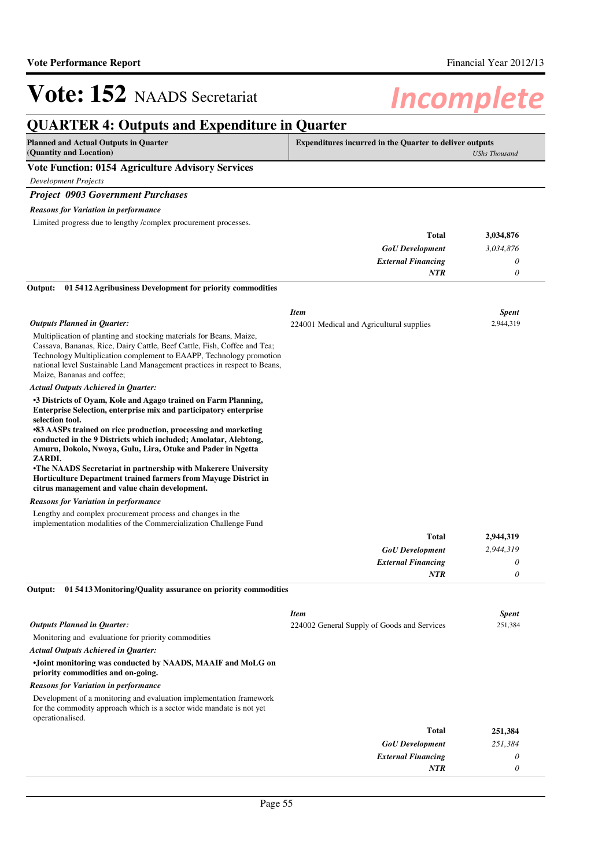*0*

*NTR*

# Vote: 152 NAADS Secretariat **Incomplete**

## **QUARTER 4: Outputs and Expenditure in Quarter**

| <b>Planned and Actual Outputs in Quarter</b><br>(Quantity and Location)                                                                                                                                                                                                                                                                                     | <b>Expenditures incurred in the Quarter to deliver outputs</b> | <b>UShs Thousand</b> |
|-------------------------------------------------------------------------------------------------------------------------------------------------------------------------------------------------------------------------------------------------------------------------------------------------------------------------------------------------------------|----------------------------------------------------------------|----------------------|
| <b>Vote Function: 0154 Agriculture Advisory Services</b>                                                                                                                                                                                                                                                                                                    |                                                                |                      |
| <b>Development Projects</b>                                                                                                                                                                                                                                                                                                                                 |                                                                |                      |
| <b>Project 0903 Government Purchases</b>                                                                                                                                                                                                                                                                                                                    |                                                                |                      |
| <b>Reasons for Variation in performance</b>                                                                                                                                                                                                                                                                                                                 |                                                                |                      |
| Limited progress due to lengthy /complex procurement processes.                                                                                                                                                                                                                                                                                             |                                                                |                      |
|                                                                                                                                                                                                                                                                                                                                                             | Total                                                          | 3,034,876            |
|                                                                                                                                                                                                                                                                                                                                                             | <b>GoU</b> Development                                         | 3,034,876            |
|                                                                                                                                                                                                                                                                                                                                                             | <b>External Financing</b>                                      | 0                    |
|                                                                                                                                                                                                                                                                                                                                                             | NTR                                                            | 0                    |
| 01 5412 Agribusiness Development for priority commodities<br>Output:                                                                                                                                                                                                                                                                                        |                                                                |                      |
|                                                                                                                                                                                                                                                                                                                                                             | <b>Item</b>                                                    | <b>Spent</b>         |
| <b>Outputs Planned in Quarter:</b>                                                                                                                                                                                                                                                                                                                          | 224001 Medical and Agricultural supplies                       | 2,944,319            |
| Multiplication of planting and stocking materials for Beans, Maize,<br>Cassava, Bananas, Rice, Dairy Cattle, Beef Cattle, Fish, Coffee and Tea;<br>Technology Multiplication complement to EAAPP, Technology promotion<br>national level Sustainable Land Management practices in respect to Beans,<br>Maize, Bananas and coffee;                           |                                                                |                      |
| <b>Actual Outputs Achieved in Quarter:</b>                                                                                                                                                                                                                                                                                                                  |                                                                |                      |
| •3 Districts of Oyam, Kole and Agago trained on Farm Planning,<br>Enterprise Selection, enterprise mix and participatory enterprise<br>selection tool.<br>•83 AASPs trained on rice production, processing and marketing<br>conducted in the 9 Districts which included; Amolatar, Alebtong,<br>Amuru, Dokolo, Nwoya, Gulu, Lira, Otuke and Pader in Ngetta |                                                                |                      |
| ZARDI.<br>•The NAADS Secretariat in partnership with Makerere University<br>Horticulture Department trained farmers from Mayuge District in<br>citrus management and value chain development.                                                                                                                                                               |                                                                |                      |
| <b>Reasons for Variation in performance</b>                                                                                                                                                                                                                                                                                                                 |                                                                |                      |
| Lengthy and complex procurement process and changes in the<br>implementation modalities of the Commercialization Challenge Fund                                                                                                                                                                                                                             |                                                                |                      |
|                                                                                                                                                                                                                                                                                                                                                             | Total                                                          | 2,944,319            |
|                                                                                                                                                                                                                                                                                                                                                             | <b>GoU</b> Development                                         | 2,944,319            |
|                                                                                                                                                                                                                                                                                                                                                             | <b>External Financing</b>                                      | 0                    |
|                                                                                                                                                                                                                                                                                                                                                             | NTR                                                            | 0                    |
| Output: 01 5413 Monitoring/Quality assurance on priority commodities                                                                                                                                                                                                                                                                                        |                                                                |                      |
|                                                                                                                                                                                                                                                                                                                                                             | <b>Item</b>                                                    | <b>Spent</b>         |
| <b>Outputs Planned in Quarter:</b>                                                                                                                                                                                                                                                                                                                          | 224002 General Supply of Goods and Services                    | 251,384              |
| Monitoring and evaluatione for priority commodities                                                                                                                                                                                                                                                                                                         |                                                                |                      |
| Actual Outputs Achieved in Quarter:                                                                                                                                                                                                                                                                                                                         |                                                                |                      |
| •Joint monitoring was conducted by NAADS, MAAIF and MoLG on<br>priority commodities and on-going.                                                                                                                                                                                                                                                           |                                                                |                      |
| <b>Reasons for Variation in performance</b>                                                                                                                                                                                                                                                                                                                 |                                                                |                      |
| Development of a monitoring and evaluation implementation framework<br>for the commodity approach which is a sector wide mandate is not yet<br>operationalised.                                                                                                                                                                                             |                                                                |                      |
|                                                                                                                                                                                                                                                                                                                                                             | Total                                                          | 251,384              |
|                                                                                                                                                                                                                                                                                                                                                             | <b>GoU</b> Development                                         | 251,384              |
|                                                                                                                                                                                                                                                                                                                                                             | <b>External Financing</b>                                      | 0                    |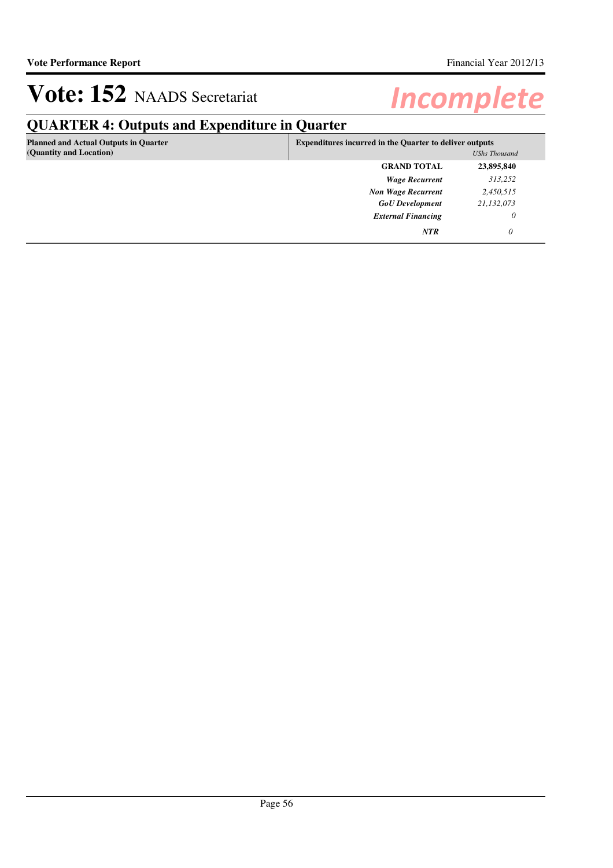# **QUARTER 4: Outputs and Expenditure in Quarter**

| <b>Planned and Actual Outputs in Quarter</b><br>(Quantity and Location) | <b>Expenditures incurred in the Quarter to deliver outputs</b><br><b>UShs Thousand</b> |            |
|-------------------------------------------------------------------------|----------------------------------------------------------------------------------------|------------|
|                                                                         | <b>GRAND TOTAL</b>                                                                     | 23,895,840 |
|                                                                         | <b>Wage Recurrent</b>                                                                  | 313,252    |
|                                                                         | <b>Non Wage Recurrent</b>                                                              | 2,450,515  |
|                                                                         | <b>GoU</b> Development                                                                 | 21,132,073 |
|                                                                         | <b>External Financing</b>                                                              | 0          |
|                                                                         | <b>NTR</b>                                                                             | 0          |